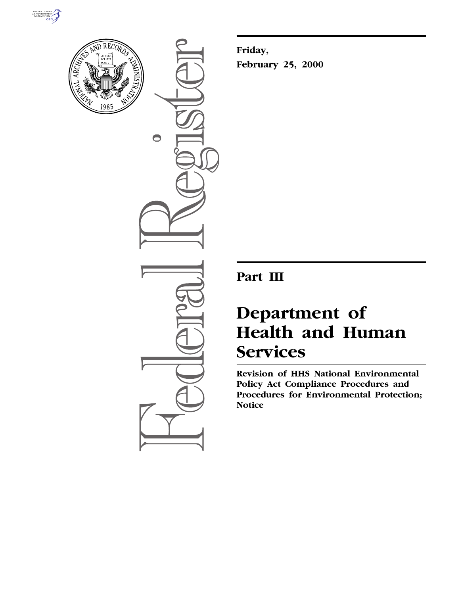



 $\bigcirc$ 

**Friday, February 25, 2000**

**Part III**

# **Department of Health and Human Services**

**Revision of HHS National Environmental Policy Act Compliance Procedures and Procedures for Environmental Protection; Notice**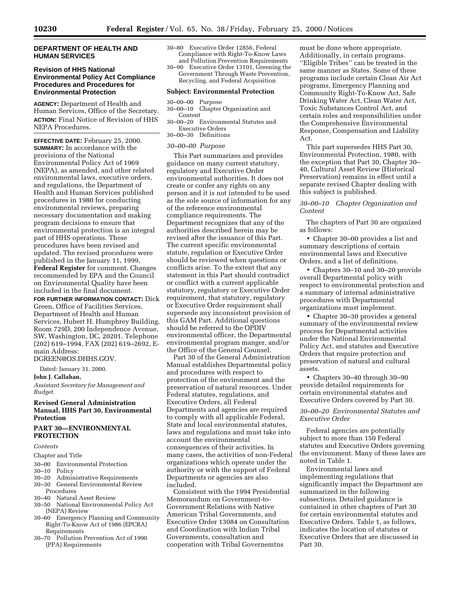## **DEPARTMENT OF HEALTH AND HUMAN SERVICES**

## **Revision of HHS National Environmental Policy Act Compliance Procedures and Procedures for Environmental Protection**

**AGENCY:** Department of Health and Human Services, Office of the Secretary. **ACTION:** Final Notice of Revision of HHS NEPA Procedures.

**EFFECTIVE DATE:** February 25, 2000. **SUMMARY:** In accordance with the provisions of the National Environmental Policy Act of 1969 (NEPA), as amended, and other related environmental laws, executive orders, and regulations, the Department of Health and Human Services published procedures in 1980 for conducting environmental reviews, preparing necessary documentation and making program decisions to ensure that environmental protection is an integral part of HHS operations. These procedures have been revised and updated. The revised procedures were published in the January 11, 1999, **Federal Register** for comment. Changes recommended by EPA and the Council on Environmental Quality have been included in the final document.

**FOR FURTHER INFORMATION CONTACT:** Dick Green, Office of Facilities Services, Department of Health and Human Services, Hubert H. Humphrey Building, Room 729D, 200 Independence Avenue, SW, Washington, DC, 20201. Telephone (202) 619–1994, FAX (202) 619–2692, Emain Address: DGREEN@OS.DHHS.GOV.

Dated: January 31, 2000.

**John J. Callahan,**

*Assistant Secretary for Management and Budget.*

## **Revised General Administration Manual, HHS Part 30, Environmental Protection**

## **PART 30—ENVIRONMENTAL PROTECTION**

## *Contents*

#### Chapter and Title

- 30–00 Environmental Protection
- 30–10 Policy
- 30–20 Administrative Requirements 30–30 General Environmental Review
- Procedures 30–40 Natural Asset Review
- 30–50 National Environmental Policy Act (NEPA) Review
- 30–60 Emergency Planning and Community Right-To-Know Act of 1986 (EPCRA) Requirements
- 30–70 Pollution Prevention Act of 1990 (PPA) Requirements
- 30–80 Executive Order 12856, Federal Compliance with Right-To-Know Laws and Pollution Prevention Requirements
- 30–90 Executive Order 13101, Greening the Government Through Waste Prevention, Recycling, and Federal Acquisition

#### **Subject: Environmental Protection**

- 30–00–00 Purpose
- 30–00–10 Chapter Organization and Content
- 30–00–20 Environmental Statutes and Executive Orders 30–00–30 Definitions

### *30–00–00 Purpose*

This Part summarizes and provides guidance on many current statutory, regulatory and Executive Order environmental authorities. It does not create or confer any rights on any person and it is not intended to be used as the sole source of information for any of the reference environmental compliance requirements. The Department recognizes that any of the authorities described herein may be revised after the issuance of this Part. The current specific environmental statute, regulation or Executive Order should be reviewed when questions or conflicts arise. To the extent that any statement in this Part should contradict or conflict with a current applicable statutory, regulatory or Executive Order requirement, that statutory, regulatory or Executive Order requirement shall supersede any inconsistent provision of this GAM Part. Additional questions should be referred to the OPDIV environmental officer, the Departmental environmental program manger, and/or the Office of the General Counsel.

Part 30 of the General Administration Manual establishes Departmental policy and procedures with respect to protection of the environment and the preservation of natural resources. Under Federal statutes, regulations, and Executive Orders, all Federal Departments and agencies are required to comply with all applicable Federal, State and local environmental statutes, laws and regulations and must take into account the environmental consequences of their activities. In many cases, the activities of non-Federal organizations which operate under the authority or with the support of Federal Departments or agencies are also included.

Consistent with the 1994 Presidential Memorandum on Government-to-Government Relations with Native American Tribal Governments, and Executive Order 13084 on Consultation and Coordination with Indian Tribal Governments, consultation and cooperation with Tribal Governemtns

must be done where appropriate. Additionally, in certain programs. ''Eligible Tribes'' can be treated in the same manner as States. Some of these programs include certain Clean Air Act programs, Emergency Planning and Community Right-To-Know Act, Safe Drinking Water Act, Clean Water Act, Toxic Substances Control Act, and certain roles and responsibilities under the Comprehensive Environmental Response, Compensation and Liability Act.

This part supersedes HHS Part 30, Environmental Protection, 1980, with the exception that Part 30, Chapter 30– 40, Cultural Asset Review (Historical Preservation) remains in effect until a separate revised Chapter dealing with this subject is published.

## *30–00–10 Chapter Organization and Content*

The chapters of Part 30 are organized as follows:

• Chapter 30–00 provides a list and summary descriptions of certain environmental laws and Executive Orders, and a list of definitions.

• Chapters 30–10 and 30–20 provide overall Departmental policy with respect to environmental protection and a summary of internal administrative procedures with Departmental organizations must implement.

• Chapter 30–30 provides a general summary of the environmental review process for Departmental activities under the National Environmental Policy Act, and statutes and Executive Orders that require protection and preservation of natural and cultural assets.

• Chapters 30–40 through 30–90 provide detailed requirements for certain environmental statutes and Executive Orders covered by Part 30.

## *30–00–20 Environmental Statutes and Executive Order*

Federal agencies are potentially subject to more than 150 Federal statutes and Executive Orders governing the environment. Many of these laws are noted in Table 1.

Environmental laws and implementing regulations that significantly impact the Department are summarized in the following subsections. Detailed guidance is contained in other chapters of Part 30 for certain environmental statutes and Executive Orders. Table 1, as follows, indicates the location of statutes or Executive Orders that are discussed in Part 30.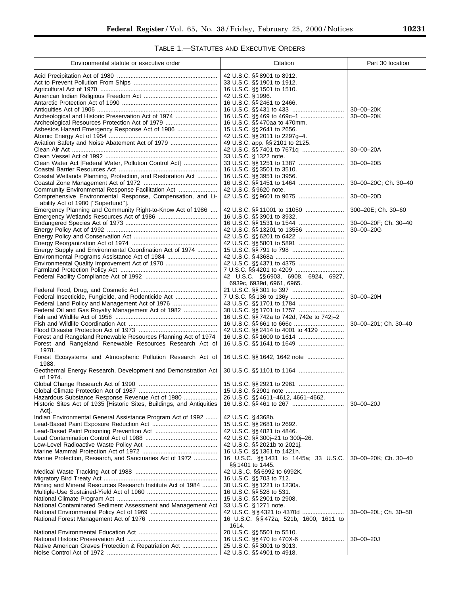## TABLE 1.—STATUTES AND EXECUTIVE ORDERS

| Environmental statute or executive order                               | Citation                                                   | Part 30 location     |
|------------------------------------------------------------------------|------------------------------------------------------------|----------------------|
|                                                                        | 42 U.S.C. §§ 8901 to 8912.                                 |                      |
|                                                                        | 33 U.S.C. §§ 1901 to 1912.                                 |                      |
|                                                                        | 16 U.S.C. §§ 1501 to 1510.                                 |                      |
|                                                                        | 42 U.S.C. § 1996.                                          |                      |
|                                                                        | 16 U.S.C. §§ 2461 to 2466.                                 |                      |
|                                                                        |                                                            | $30 - 00 - 20K$      |
| Archeological and Historic Preservation Act of 1974                    |                                                            | $30 - 00 - 20K$      |
| Asbestos Hazard Emergency Response Act of 1986                         | 16 U.S.C. §§ 470aa to 470mm.<br>15 U.S.C. §§ 2641 to 2656. |                      |
|                                                                        | 42 U.S.C. §§ 2011 to 2297g-4.                              |                      |
| Aviation Safety and Noise Abatement Act of 1979                        | 49 U.S.C. app. §§ 2101 to 2125.                            |                      |
|                                                                        |                                                            | $30 - 00 - 20A$      |
|                                                                        | 33 U.S.C. § 1322 note.                                     |                      |
| Clean Water Act [Federal Water, Pollution Control Act]                 |                                                            | $30 - 00 - 20B$      |
|                                                                        | 16 U.S.C. §§ 3501 to 3510.                                 |                      |
| Coastal Wetlands Planning, Protection, and Restoration Act             | 16 U.S.C. §§ 3951 to 3956.                                 | 30-00-20C; Ch. 30-40 |
| Community Environmental Response Facilitation Act                      | 42 U.S.C. § 9620 note.                                     |                      |
| Comprehensive Environmental Response, Compensation, and Li-            | 42 U.S.C. §§ 9601 to 9675                                  | $30 - 00 - 20D$      |
| ability Act of 1980 ["Superfund"].                                     |                                                            |                      |
| Emergency Planning and Community Right-to-Know Act of 1986             |                                                            | 300-20E; Ch. 30-60   |
|                                                                        | 16 U.S.C. §§ 3901 to 3932.                                 |                      |
|                                                                        |                                                            | 30-00-20F; Ch. 30-40 |
|                                                                        |                                                            | $30 - 00 - 20G$      |
|                                                                        |                                                            |                      |
| Energy Supply and Environmental Coordination Act of 1974               |                                                            |                      |
| Environmental Programs Assistance Act of 1984                          |                                                            |                      |
| Environmental Quality Improvement Act of 1970                          |                                                            |                      |
|                                                                        |                                                            |                      |
|                                                                        | 42 U.S.C. §§6903, 6908, 6924, 6927,                        |                      |
|                                                                        | 6939c, 6939d, 6961, 6965.                                  |                      |
| Federal Insecticide, Fungicide, and Rodenticide Act                    |                                                            | 30-00-20H            |
| Federal Land Policy and Management Act of 1976                         |                                                            |                      |
| Federal Oil and Gas Royalty Management Act of 1982                     |                                                            |                      |
|                                                                        | 16 U.S.C. §§ 742a to 742d, 742e to 742j-2                  |                      |
|                                                                        |                                                            | 30-00-201; Ch. 30-40 |
|                                                                        | 42 U.S.C. §§ 2414 to 4001 to 4129                          |                      |
| Forest and Rangeland Renewable Resources Planning Act of 1974          |                                                            |                      |
| Forest and Rangeland Renewable Resources Research Act of<br>1978.      |                                                            |                      |
| Forest Ecosystems and Atmospheric Pollution Research Act of            |                                                            |                      |
| 1988.<br>Geothermal Energy Research, Development and Demonstration Act |                                                            |                      |
| of 1974.                                                               |                                                            |                      |
|                                                                        |                                                            |                      |
| Hazardous Substance Response Revenue Act of 1980                       | 26 U.S.C. §§ 4611-4612, 4661-4662.                         |                      |
| Historic Sites Act of 1935 [Historic Sites, Buildings, and Antiquities |                                                            | $30 - 00 - 20J$      |
| Act.<br>Indian Environmental General Assistance Program Act of 1992    | 42 U.S.C. § 4368b.                                         |                      |
|                                                                        | 15 U.S.C. §§ 2681 to 2692.                                 |                      |
|                                                                        | 42 U.S.C. §§ 4821 to 4846.                                 |                      |
|                                                                        | 42 U.S.C. §§ 300j-21 to 300j-26.                           |                      |
|                                                                        | 42 U.S.C. §§ 2021b to 2021j.                               |                      |
|                                                                        | 16 U.S.C. §§ 1361 to 1421h.                                |                      |
| Marine Protection, Research, and Sanctuaries Act of 1972               | 16 U.S.C. §§1431 to 1445a; 33 U.S.C.<br>§§ 1401 to 1445.   | 30-00-20K; Ch. 30-40 |
|                                                                        | 42 U.S.C. §§ 6992 to 6992K.                                |                      |
|                                                                        | 16 U.S.C. §§ 703 to 712.                                   |                      |
| Mining and Mineral Resources Research Institute Act of 1984            | 30 U.S.C. §§ 1221 to 1230a.                                |                      |
|                                                                        | 16 U.S.C. §§ 528 to 531.                                   |                      |
|                                                                        | 15 U.S.C. §§ 2901 to 2908.                                 |                      |
| National Contaminated Sediment Assessment and Management Act           | 33 U.S.C. § 1271 note.                                     |                      |
|                                                                        | 16 U.S.C. §§472a, 521b, 1600, 1611 to                      | 30-00-20L; Ch. 30-50 |
|                                                                        | 1614.                                                      |                      |
|                                                                        | 20 U.S.C. §§ 5501 to 5510.                                 |                      |
|                                                                        |                                                            | $30 - 00 - 20J$      |
| Native American Graves Protection & Repatriation Act                   | 25 U.S.C. §§ 3001 to 3013.                                 |                      |
|                                                                        | 42 U.S.C. §§4901 to 4918.                                  |                      |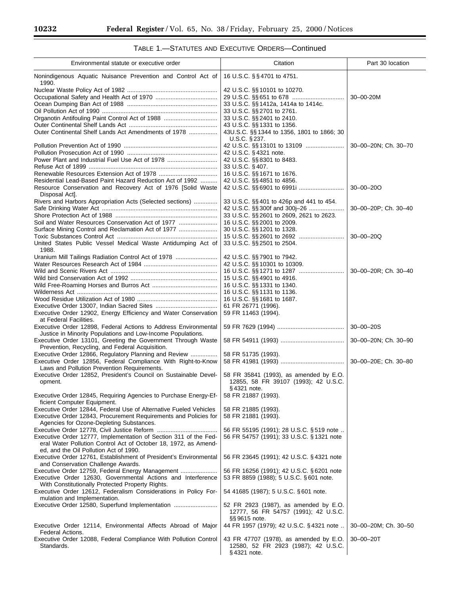۳

| Environmental statute or executive order                                                                 | Citation                                                                 | Part 30 location     |
|----------------------------------------------------------------------------------------------------------|--------------------------------------------------------------------------|----------------------|
| Nonindigenous Aquatic Nuisance Prevention and Control Act of<br>1990.                                    | 16 U.S.C. §§4701 to 4751.                                                |                      |
|                                                                                                          | 42 U.S.C. §§ 10101 to 10270.                                             |                      |
|                                                                                                          |                                                                          | 30-00-20M            |
|                                                                                                          | 33 U.S.C. §§ 1412a, 1414a to 1414c.                                      |                      |
|                                                                                                          | 33 U.S.C. §§ 2701 to 2761.                                               |                      |
| Organotin Antifouling Paint Control Act of 1988                                                          | 33 U.S.C. §§ 2401 to 2410.                                               |                      |
| Outer Continental Shelf Lands Act Amendments of 1978                                                     | 43 U.S.C. §§ 1331 to 1356.<br>43U.S.C. §§ 1344 to 1356, 1801 to 1866; 30 |                      |
|                                                                                                          | $U.S.C.$ § 237.                                                          |                      |
|                                                                                                          |                                                                          | 30-00-20N; Ch. 30-70 |
|                                                                                                          | 42 U.S.C. § 4321 note.                                                   |                      |
| Power Plant and Industrial Fuel Use Act of 1978                                                          | 42 U.S.C. §§ 8301 to 8483.                                               |                      |
|                                                                                                          | 33 U.S.C. §407.                                                          |                      |
|                                                                                                          | 16 U.S.C. §§ 1671 to 1676.                                               |                      |
| Residential Lead-Based Paint Hazard Reduction Act of 1992                                                | 42 U.S.C. §§4851 to 4856.                                                |                      |
| Resource Conservation and Recovery Act of 1976 [Solid Waste<br>Disposal Act].                            |                                                                          | $30 - 00 - 200$      |
| Rivers and Harbors Appropriation Acts (Selected sections)                                                | 33 U.S.C. §§401 to 426p and 441 to 454.                                  |                      |
|                                                                                                          |                                                                          | 30-00-20P; Ch. 30-40 |
|                                                                                                          | 33 U.S.C. §§ 2601 to 2609, 2621 to 2623.                                 |                      |
| Soil and Water Resources Conservation Act of 1977                                                        | 16 U.S.C. §§ 2001 to 2009.                                               |                      |
| Surface Mining Control and Reclamation Act of 1977                                                       | 30 U.S.C. §§ 1201 to 1328.                                               |                      |
|                                                                                                          |                                                                          | 30-00-20Q            |
| United States Public Vessel Medical Waste Antidumping Act of<br>1988.                                    | 33 U.S.C. §§ 2501 to 2504.                                               |                      |
| Uranium Mill Tailings Radiation Control Act of 1978                                                      | 42 U.S.C. §§ 7901 to 7942.                                               |                      |
|                                                                                                          | 42 U.S.C. §§ 10301 to 10309.                                             |                      |
|                                                                                                          |                                                                          | 30-00-20R; Ch. 30-40 |
|                                                                                                          | 15 U.S.C. §§ 4901 to 4916.<br>16 U.S.C. §§ 1331 to 1340.                 |                      |
|                                                                                                          | 16 U.S.C. §§ 1131 to 1136.                                               |                      |
|                                                                                                          | 16 U.S.C. §§ 1681 to 1687.                                               |                      |
|                                                                                                          | 61 FR 26771 (1996).                                                      |                      |
| Executive Order 12902, Energy Efficiency and Water Conservation                                          | 59 FR 11463 (1994).                                                      |                      |
| at Federal Facilities.<br>Executive Order 12898, Federal Actions to Address Environmental                |                                                                          | $30 - 00 - 20S$      |
| Justice in Minority Populations and Low-Income Populations.                                              |                                                                          |                      |
| Executive Order 13101, Greeting the Government Through Waste                                             |                                                                          | 30-00-20N; Ch. 30-90 |
| Prevention, Recycling, and Federal Acquisition.<br>Executive Order 12866, Regulatory Planning and Review | 58 FR 51735 (1993).                                                      |                      |
| Executive Order 12856, Federal Compliance With Right-to-Know                                             |                                                                          | 30-00-20E; Ch. 30-80 |
| Laws and Pollution Prevention Requirements.                                                              |                                                                          |                      |
| Executive Order 12852, President's Council on Sustainable Devel-                                         | 58 FR 35841 (1993), as amended by E.O.                                   |                      |
| opment.                                                                                                  | 12855, 58 FR 39107 (1993); 42 U.S.C.                                     |                      |
|                                                                                                          | §4321 note.                                                              |                      |
| Executive Order 12845, Requiring Agencies to Purchase Energy-Ef-                                         | 58 FR 21887 (1993).                                                      |                      |
| ficient Computer Equipment.<br>Executive Order 12844, Federal Use of Alternative Fueled Vehicles         |                                                                          |                      |
| Executive Order 12843, Procurement Requirements and Policies for                                         | 58 FR 21885 (1993).<br>58 FR 21881 (1993).                               |                      |
| Agencies for Ozone-Depleting Substances.                                                                 |                                                                          |                      |
|                                                                                                          | 56 FR 55195 (1991); 28 U.S.C. § 519 note                                 |                      |
| Executive Order 12777, Implementation of Section 311 of the Fed-                                         | 56 FR 54757 (1991); 33 U.S.C. § 1321 note                                |                      |
| eral Water Pollution Control Act of October 18, 1972, as Amend-                                          |                                                                          |                      |
| ed, and the Oil Pollution Act of 1990.                                                                   |                                                                          |                      |
| Executive Order 12761, Establishment of President's Environmental                                        | 56 FR 23645 (1991); 42 U.S.C. § 4321 note                                |                      |
| and Conservation Challenge Awards.<br>Executive Order 12759, Federal Energy Management                   | 56 FR 16256 (1991); 42 U.S.C. § 6201 note                                |                      |
| Executive Order 12630, Governmental Actions and Interference                                             | 53 FR 8859 (1988); 5 U.S.C. § 601 note.                                  |                      |
| With Constitutionally Protected Property Rights.                                                         |                                                                          |                      |
| Executive Order 12612, Federalism Considerations in Policy For-                                          | 54 41685 (1987); 5 U.S.C. § 601 note.                                    |                      |
| mulation and Implementation.                                                                             |                                                                          |                      |
| Executive Order 12580, Superfund Implementation                                                          | 52 FR 2923 (1987), as amended by E.O.                                    |                      |
|                                                                                                          | 12777, 56 FR 54757 (1991); 42 U.S.C.                                     |                      |
|                                                                                                          | §§9615 note.                                                             |                      |
| Executive Order 12114, Environmental Affects Abroad of Major<br>Federal Actions.                         | 44 FR 1957 (1979); 42 U.S.C. § 4321 note                                 | 30-00-20M; Ch. 30-50 |
| Executive Order 12088, Federal Compliance With Pollution Control                                         | 43 FR 47707 (1978), as amended by E.O.                                   | $30 - 00 - 20T$      |
| Standards.                                                                                               | 12580, 52 FR 2923 (1987); 42 U.S.C.<br>$§$ 4321 note.                    |                      |

# TABLE 1.—STATUTES AND EXECUTIVE ORDERS—Continued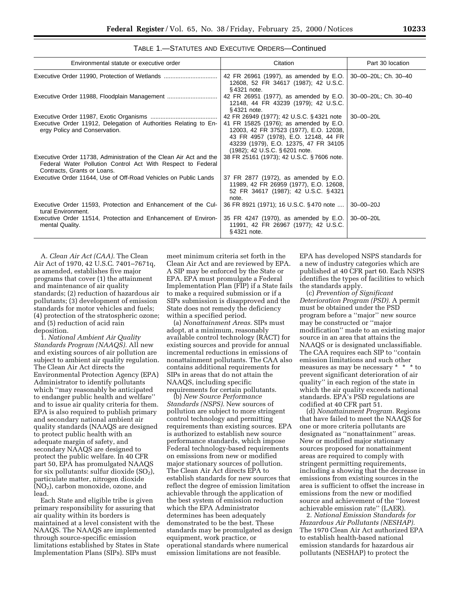| Environmental statute or executive order                                                                                                                         | Citation                                                                                                                                                                                                                                        | Part 30 location     |
|------------------------------------------------------------------------------------------------------------------------------------------------------------------|-------------------------------------------------------------------------------------------------------------------------------------------------------------------------------------------------------------------------------------------------|----------------------|
| Executive Order 11990, Protection of Wetlands                                                                                                                    | 42 FR 26961 (1997), as amended by E.O.<br>12608, 52 FR 34617 (1987); 42 U.S.C.<br>§4321 note.                                                                                                                                                   | 30-00-20L; Ch. 30-40 |
| Executive Order 11988, Floodplain Management                                                                                                                     | 42 FR 26951 (1977), as amended by E.O.<br>12148, 44 FR 43239 (1979); 42 U.S.C.<br>§4321 note.                                                                                                                                                   | 30-00-20L; Ch. 30-40 |
| Executive Order 11912, Delegation of Authorities Relating to En-<br>ergy Policy and Conservation.                                                                | 42 FR 26949 (1977); 42 U.S.C. §4321 note<br>41 FR 15825 (1976); as amended by E.O.<br>12003, 42 FR 37523 (1977), E.O. 12038,<br>43 FR 4957 (1978), E.O. 12148, 44 FR<br>43239 (1979), E.O. 12375, 47 FR 34105<br>(1982); 42 U.S.C. § 6201 note. | $30 - 00 - 20$ L     |
| Executive Order 11738, Administration of the Clean Air Act and the<br>Federal Water Pollution Control Act With Respect to Federal<br>Contracts, Grants or Loans. | 38 FR 25161 (1973); 42 U.S.C. §7606 note.                                                                                                                                                                                                       |                      |
| Executive Order 11644, Use of Off-Road Vehicles on Public Lands                                                                                                  | 37 FR 2877 (1972), as amended by E.O.<br>11989, 42 FR 26959 (1977), E.O. 12608,<br>52 FR 34617 (1987); 42 U.S.C. §4321<br>note.                                                                                                                 |                      |
| Executive Order 11593, Protection and Enhancement of the Cul-<br>tural Environment.                                                                              | 36 FR 8921 (1971); 16 U.S.C. §470 note                                                                                                                                                                                                          | $30 - 00 - 20J$      |
| Executive Order 11514, Protection and Enhancement of Environ-<br>mental Quality.                                                                                 | 35 FR 4247 (1970), as amended by E.O.<br>11991, 42 FR 26967 (1977); 42 U.S.C.<br>§4321 note.                                                                                                                                                    | $30 - 00 - 20L$      |

TABLE 1.—STATUTES AND EXECUTIVE ORDERS—Continued

A. *Clean Air Act (CAA).* The Clean Air Act of 1970, 42 U.S.C. 7401–7671q, as amended, establishes five major programs that cover (1) the attainment and maintenance of air quality standards; (2) reduction of hazardous air pollutants; (3) development of emission standards for motor vehicles and fuels; (4) protection of the stratospheric ozone; and (5) reduction of acid rain deposition.

1. *National Ambient Air Quality Standards Program (NAAQS).* All new and existing sources of air pollution are subject to ambient air quality regulation. The Clean Air Act directs the Environmental Protection Agency (EPA) Administrator to identify pollutants which ''may reasonably be anticipated to endanger public health and welfare'' and to issue air quality criteria for them. EPA is also required to publish primary and secondary national ambient air quality standards (NAAQS are designed to protect public health with an adequate margin of safety, and secondary NAAQS are designed to protect the public welfare. In 40 CFR part 50, EPA has promulgated NAAQS for six pollutants: sulfur dioxide  $(SO<sub>2</sub>)$ , particulate matter, nitrogen dioxide (NO2), carbon monoxide, ozone, and lead.

Each State and eligible tribe is given primary responsibility for assuring that air quality within its borders is maintained at a level consistent with the NAAQS. The NAAQS are implemented through source-specific emission limitations established by States in State Implementation Plans (SIPs). SIPs must

meet minimum criteria set forth in the Clean Air Act and are reviewed by EPA. A SIP may be enforced by the State or EPA. EPA must promulgate a Federal Implementation Plan (FIP) if a State fails to make a required submission or if a SIPs submission is disapproved and the State does not remedy the deficiency within a specified period.

(a) *Nonattainment Areas.* SIPs must adopt, at a minimum, reasonably available control technology (RACT) for existing sources and provide for annual incremental reductions in emissions of nonattainment pollutants. The CAA also contains additional requirements for SIPs in areas that do not attain the NAAQS, including specific

requirements for certain pollutants.

(b) *New Source Performance Standards (NSPS).* New sources of pollution are subject to more stringent control technology and permitting requirements than existing sources. EPA is authorized to establish new source performance standards, which impose Federal technology-based requirements on emissions from new or modified major stationary sources of pollution. The Clean Air Act directs EPA to establish standards for new sources that reflect the degree of emission limitation achievable through the application of the best system of emission reduction which the EPA Administrator determines has been adequately demonstrated to be the best. These standards may be promulgated as design equipment, work practice, or operational standards where numerical emission limitations are not feasible.

EPA has developed NSPS standards for a new of industry categories which are published at 40 CFR part 60. Each NSPS identifies the types of facilities to which the standards apply.

(c) *Prevention of Significant Deterioration Program (PSD).* A permit must be obtained under the PSD program before a ''major'' new source may be constructed or ''major modification'' made to an existing major source in an area that attains the NAAQS or is designated unclassifiable. The CAA requires each SIP to ''contain emission limitations and such other measures as may be necessary \* \* \* to prevent significant deterioration of air quality'' in each region of the state in which the air quality exceeds national standards. EPA's PSD regulations are codified at 40 CFR part 51.

(d) *Nonattainment Program.* Regions that have failed to meet the NAAQS for one or more criteria pollutants are designated as ''nonattainment'' areas. New or modified major stationary sources proposed for nonattainment areas are required to comply with stringent permitting requirements, including a showing that the decrease in emissions from existing sources in the area is sufficient to offset the increase in emissions from the new or modified source and achievement of the ''lowest achievable emission rate'' (LAER).

2. *National Emission Standards for Hazardous Air Pollutants (NESHAP).* The 1970 Clean Air Act authorized EPA to establish health-based national emission standards for hazardous air pollutants (NESHAP) to protect the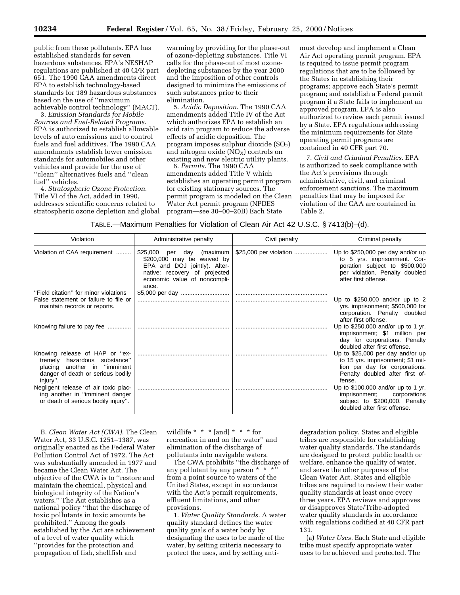public from these pollutants. EPA has established standards for seven hazardous substances. EPA's NESHAP regulations are published at 40 CFR part 651. The 1990 CAA amendments direct EPA to establish technology-based standards for 189 hazardous substances based on the use of ''maximum achievable control technology'' (MACT).

3. *Emission Standards for Mobile Sources and Fuel-Related Programs.* EPA is authorized to establish allowable levels of auto emissions and to control fuels and fuel additives. The 1990 CAA amendments establish lower emission standards for automobiles and other vehicles and provide for the use of ''clean'' alternatives fuels and ''clean fuel'' vehicles.

4. *Stratospheric Ozone Protection.* Title VI of the Act, added in 1990, addresses scientific concerns related to stratospheric ozone depletion and global warming by providing for the phase-out of ozone-depleting substances. Title VI calls for the phase-out of most ozonedepleting substances by the year 2000 and the imposition of other controls designed to minimize the emissions of such substances prior to their elimination.

5. *Acidic Deposition.* The 1990 CAA amendments added Title IV of the Act which authorizes EPA to establish an acid rain program to reduce the adverse effects of acidic deposition. The program imposes sulphur dioxide  $(SO<sub>2</sub>)$ and nitrogen oxide  $(NO<sub>X</sub>)$  controls on existing and new electric utility plants.

6. *Permits.* The 1990 CAA amendments added Title V which establishes an operating permit program for existing stationary sources. The permit program is modeled on the Clean Water Act permit program (NPDES program—see 30–00–20B) Each State

must develop and implement a Clean Air Act operating permit program. EPA is required to issue permit program regulations that are to be followed by the States in establishing their programs; approve each State's permit program; and establish a Federal permit program if a State fails to implement an approved program. EPA is also authorized to review each permit issued by a State. EPA regulations addressing the minimum requirements for State operating permit programs are contained in 40 CFR part 70.

7. *Civil and Criminal Penalties.* EPA is authorized to seek compliance with the Act's provisions through administrative, civil, and criminal enforcement sanctions. The maximum penalties that may be imposed for violation of the CAA are contained in Table 2.

TABLE.—Maximum Penalties for Violation of Clean Air Act 42 U.S.C. § 7413(b)–(d).

| Violation                                                                                                      | Administrative penalty                                                                                                                                               | Civil penalty          | Criminal penalty                                                                                                                                              |
|----------------------------------------------------------------------------------------------------------------|----------------------------------------------------------------------------------------------------------------------------------------------------------------------|------------------------|---------------------------------------------------------------------------------------------------------------------------------------------------------------|
| Violation of CAA requirement                                                                                   | \$25,000<br>per day (maximum<br>\$200,000 may be waived by<br>EPA and DOJ jointly). Alter-<br>native: recovery of projected<br>economic value of noncompli-<br>ance. | \$25,000 per violation | Up to $$250,000$ per day and/or up<br>to 5 yrs. imprisonment. Cor-<br>poration subject to \$500,000<br>per violation. Penalty doubled<br>after first offense. |
| "Field citation" for minor violations                                                                          | \$5,000 per day                                                                                                                                                      |                        |                                                                                                                                                               |
| False statement or failure to file or<br>maintain records or reports.                                          |                                                                                                                                                                      |                        | Up to $$250,000$ and/or up to 2<br>yrs. imprisonment; \$500,000 for                                                                                           |
| Knowing failure to pay fee                                                                                     |                                                                                                                                                                      |                        | corporation. Penalty doubled<br>after first offense.<br>Up to $$250,000$ and/or up to 1 yr.                                                                   |
|                                                                                                                |                                                                                                                                                                      |                        | imprisonment; \$1 million per<br>day for corporations. Penalty<br>doubled after first offense.                                                                |
| Knowing release of HAP or "ex-<br>tremely hazardous substance"                                                 |                                                                                                                                                                      |                        | Up to \$25,000 per day and/or up<br>to 15 yrs. imprisonment; \$1 mil-                                                                                         |
| placing another in "imminent<br>danger of death or serious bodily<br>injury".                                  |                                                                                                                                                                      |                        | lion per day for corporations.<br>Penalty doubled after first of-<br>fense.                                                                                   |
| Negligent release of air toxic plac-<br>ing another in "imminent danger<br>or death of serious bodily injury". |                                                                                                                                                                      |                        | Up to \$100,000 and/or up to 1 yr.<br>imprisonment;<br>corporations<br>subject to \$200,000. Penalty<br>doubled after first offense.                          |

B. *Clean Water Act (CWA).* The Clean Water Act, 33 U.S.C. 1251–1387, was originally enacted as the Federal Water Pollution Control Act of 1972. The Act was substantially amended in 1977 and became the Clean Water Act. The objective of the CWA is to ''restore and maintain the chemical, physical and biological integrity of the Nation's waters.'' The Act establishes as a national policy ''that the discharge of toxic pollutants in toxic amounts be prohibited.'' Among the goals established by the Act are achievement of a level of water quality which ''provides for the protection and propagation of fish, shellfish and

wildlife  $* * *$  [and]  $* * *$  for recreation in and on the water'' and elimination of the discharge of pollutants into navigable waters.

The CWA prohibits ''the discharge of any pollutant by any person \* \* \* from a point source to waters of the United States, except in accordance with the Act's permit requirements, effluent limitations, and other provisions.

1. *Water Quality Standards.* A water quality standard defines the water quality goals of a water body by designating the uses to be made of the water, by setting criteria necessary to protect the uses, and by setting anti-

degradation policy. States and eligible tribes are responsible for establishing water quality standards. The standards are designed to protect public health or welfare, enhance the quality of water, and serve the other purposes of the Clean Water Act. States and eligible tribes are required to review their water quality standards at least once every three years. EPA reviews and approves or disapproves State/Tribe-adopted water quality standards in accordance with regulations codified at 40 CFR part 131.

(a) *Water Uses.* Each State and eligible tribe must specify appropriate water uses to be achieved and protected. The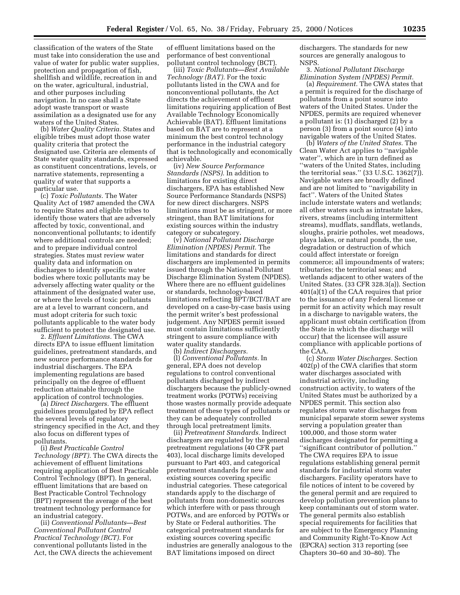classification of the waters of the State must take into consideration the use and value of water for public water supplies, protection and propagation of fish, shellfish and wildlife, recreation in and on the water, agricultural, industrial, and other purposes including navigation. In no case shall a State adopt waste transport or waste assimilation as a designated use for any waters of the United States.

(b) *Water Quality Criteria.* States and eligible tribes must adopt those water quality criteria that protect the designated use. Criteria are elements of State water quality standards, expressed as constituent concentrations, levels, or narrative statements, representing a quality of water that supports a particular use.

(c) *Toxic Pollutants.* The Water Quality Act of 1987 amended the CWA to require States and eligible tribes to identify those waters that are adversely affected by toxic, conventional, and nonconventional pollutants; to identify where additional controls are needed; and to prepare individual control strategies. States must review water quality data and information on discharges to identify specific water bodies where toxic pollutants may be adversely affecting water quality or the attainment of the designated water use, or where the levels of toxic pollutants are at a level to warrant concern, and must adopt criteria for such toxic pollutants applicable to the water body sufficient to protect the designated use.

2. *Effluent Limitations.* The CWA directs EPA to issue effluent limitation guidelines, pretreatment standards, and new source performance standards for industrial dischargers. The EPA implementing regulations are based principally on the degree of effluent reduction attainable through the application of control technologies.

(a) *Direct Dischargers.* The effluent guidelines promulgated by EPA reflect the several levels of regulatory stringency specified in the Act, and they also focus on different types of pollutants.

(i) *Best Practicable Control Technology (BPT).* The CWA directs the achievement of effluent limitations requiring application of Best Practicable Control Technology (BPT). In general, effluent limitations that are based on Best Practicable Control Technology (BPT) represent the average of the best treatment technology performance for an industrial category.

(ii) *Conventional Pollutants—Best Conventional Pollutant Control Practical Technology (BCT).* For conventional pollutants listed in the Act, the CWA directs the achievement of effluent limitations based on the performance of best conventional pollutant control technology (BCT).

(iii) *Toxic Pollutants—Best Available Technology (BAT).* For the toxic pollutants listed in the CWA and for nonconventional pollutants, the Act directs the achievement of effluent limitations requiring application of Best Available Technology Economically Achievable (BAT). Effluent limitations based on BAT are to represent at a minimum the best control technology performance in the industrial category that is technologically and economically achievable.

(iv) *New Source Performance Standards (NSPS).* In addition to limitations for existing direct dischargers, EPA has established New Source Performance Standards (NSPS) for new direct dischargers. NSPS limitations must be as stringent, or more stringent, than BAT limitations for existing sources within the industry category or subcategory.

(v) *National Pollutant Discharge Elimination (NPDES) Permit.* The limitations and standards for direct dischargers are implemented in permits issued through the National Pollutant Discharge Elimination System (NPDES). Where there are no effluent guidelines or standards, technology-based limitations reflecting BPT/BCT/BAT are developed on a case-by-case basis using the permit writer's best professional judgement. Any NPDES permit issued must contain limitations sufficiently stringent to assure compliance with water quality standards.

(b) *Indirect Dischargers.*

(l) *Conventional Pollutants.* In general, EPA does not develop regulations to control conventional pollutants discharged by indirect dischargers because the publicly-owned treatment works (POTWs) receiving those wastes normally provide adequate treatment of these types of pollutants or they can be adequately controlled through local pretreatment limits.

(ii) *Pretreatment Standards.* Indirect dischargers are regulated by the general pretreatment regulations (40 CFR part 403), local discharge limits developed pursuant to Part 403, and categorical pretreatment standards for new and existing sources covering specific industrial categories. These categorical standards apply to the discharge of pollutants from non-domestic sources which interfere with or pass through POTWs, and are enforced by POTWs or by State or Federal authorities. The categorical pretreatment standards for existing sources covering specific industries are generally analogous to the BAT limitations imposed on direct

dischargers. The standards for new sources are generally analogous to NSPS.

3. *National Pollutant Discharge Elimination System (NPDES) Permit.*

(a) *Requirement.* The CWA states that a permit is required for the discharge of pollutants from a point source into waters of the United States. Under the NPDES, permits are required whenever a pollutant is: (1) discharged (2) by a person (3) from a point source (4) into navigable waters of the United States.

(b) *Waters of the United States.* The Clean Water Act applies to ''navigable water'', which are in turn defined as ''waters of the United States, including the territorial seas."  $(33 \text{ U.S.C. } 1362(7))$ . Navigable waters are broadly defined and are not limited to ''navigability in fact''. Waters of the United States include interstate waters and wetlands; all other waters such as intrastate lakes, rivers, streams (including intermittent streams), mudflats, sandflats, wetlands, sloughs, prairie potholes, wet meadows, playa lakes, or natural ponds, the use, degradation or destruction of which could affect interstate or foreign commerce; all impoundments of waters; tributaries; the territorial seas; and wetlands adjacent to other waters of the United States. (33 CFR 328.3(a)). Section 401(a)(1) of the CAA requires that prior to the issuance of any Federal license or permit for an activity which may result in a discharge to navigable waters, the applicant must obtain certification (from the State in which the discharge will occur) that the licensee will assure compliance with applicable portions of the CAA.

(c) *Storm Water Discharges.* Section 402(p) of the CWA clarifies that storm water discharges associated with industrial activity, including construction activity, to waters of the United States must be authorized by a NPDES permit. This section also regulates storm water discharges from municipal separate storm sewer systems serving a population greater than 100,000, and those storm water discharges designated for permitting a ''significant contributor of pollution.'' The CWA requires EPA to issue regulations establishing general permit standards for industrial storm water dischargers. Facility operators have to file notices of intent to be covered by the general permit and are required to develop pollution prevention plans to keep contaminants out of storm water. The general permits also establish special requirements for facilities that are subject to the Emergency Planning and Community Right-To-Know Act (EPCRA) section 313 reporting (see Chapters 30–60 and 30–80). The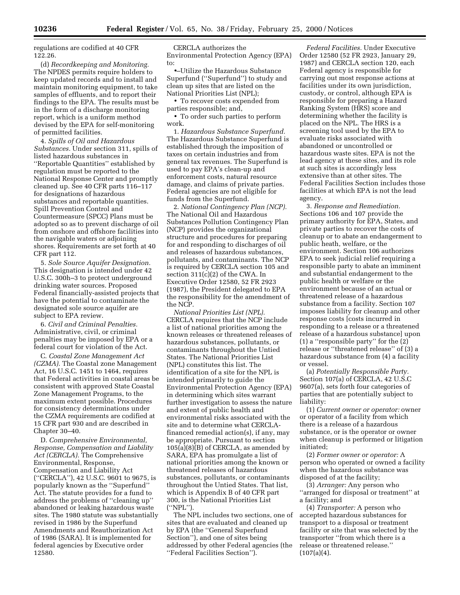regulations are codified at 40 CFR 122.26.

(d) *Recordkeeping and Monitoring.* The NPDES permits require holders to keep updated records and to install and maintain monitoring equipment, to take samples of effluents, and to report their findings to the EPA. The results must be in the form of a discharge monitoring report, which is a uniform method devised by the EPA for self-monitoring of permitted facilities.

4. *Spills of Oil and Hazardous Substances.* Under section 311, spills of listed hazardous substances in ''Reportable Quantities'' established by regulation must be reported to the National Response Center and promptly cleaned up. See 40 CFR parts 116–117 for designations of hazardous substances and reportable quantities. Spill Prevention Control and Countermeasure (SPCC) Plans must be adopted so as to prevent discharge of oil from onshore and offshore facilities into the navigable waters or adjoining shores. Requirements are set forth at 40 CFR part 112.

5. *Sole Source Aquifer Designation.* This designation is intended under 42 U.S.C. 300h–3 to protect underground drinking water sources. Proposed Federal financially-assisted projects that have the potential to contaminate the designated sole source aquifer are subject to EPA review.

6. *Civil and Criminal Penalties.* Administrative, civil, or criminal penalties may be imposed by EPA or a federal court for violation of the Act.

C. *Coastal Zone Management Act (CZMA).* The Coastal zone Management Act, 16 U.S.C. 1451 to 1464, requires that Federal activities in coastal areas be consistent with approved State Coastal Zone Management Programs, to the maximum extent possible. Procedures for consistency determinations under the CZMA requirements are codified at 15 CFR part 930 and are described in Chapter 30–40.

D. *Comprehensive Environmental, Response, Compensation and Liability Act (CERCLA).* The Comprehensive Environmental, Response, Compensation and Liability Act (''CERCLA''), 42 U.S.C. 9601 to 9675, is popularly known as the ''Superfund'' Act. The statute provides for a fund to address the problems of ''cleaning up'' abandoned or leaking hazardous waste sites. The 1980 statute was substantially revised in 1986 by the Superfund Amendments and Reauthorization Act of 1986 (SARA). It is implemented for federal agencies by Executive order 12580.

CERCLA authorizes the Environmental Protection Agency (EPA) to:

•–Utilize the Hazardous Substance Superfund (''Superfund'') to study and clean up sites that are listed on the National Priorities List (NPL);

• To recover costs expended from parties responsible; and,

• To order such parties to perform work.

1. *Hazardous Substance Superfund.* The Hazardous Substance Superfund is established through the imposition of taxes on certain industries and from general tax revenues. The Superfund is used to pay EPA's clean-up and enforcement costs, natural resource damage, and claims of private parties. Federal agencies are not eligible for funds from the Superfund.

2. *National Contingency Plan (NCP).* The National Oil and Hazardous Substances Pollution Contingency Plan (NCP) provides the organizational structure and procedures for preparing for and responding to discharges of oil and releases of hazardous substances, pollutants, and contaminants. The NCP is required by CERCLA section 105 and section 311(c)(2) of the CWA. In Executive Order 12580, 52 FR 2923 (1987), the President delegated to EPA the responsibility for the amendment of the NCP.

*National Priorities List (NPL).* CERCLA requires that the NCP include a list of national priorities among the known releases or threatened releases of hazardous substances, pollutants, or contaminants throughout the Untied States. The National Priorities List (NPL) constitutes this list. The identification of a site for the NPL is intended primarily to guide the Environmental Protection Agency (EPA) in determining which sites warrant further investigation to assess the nature and extent of public health and environmental risks associated with the site and to determine what CERCLAfinanced remedial action(s), if any, may be appropriate. Pursuant to section 105(a)(8)(B) of CERCLA, as amended by SARA, EPA has promulgate a list of national priorities among the known or threatened releases of hazardous substances, pollutants, or contaminants throughout the Untied States. That list, which is Appendix B of 40 CFR part 300, is the National Priorities List (''NPL'').

The NPL includes two sections, one of sites that are evaluated and cleaned up by EPA (the ''General Superfund Section''), and one of sites being addressed by other Federal agencies (the ''Federal Facilities Section'').

*Federal Facilities.* Under Executive Order 12580 (52 FR 2923, January 29, 1987) and CERCLA section 120, each Federal agency is responsible for carrying out most response actions at facilities under its own jurisdiction, custody, or control, although EPA is responsible for preparing a Hazard Ranking System (HRS) score and determining whether the facility is placed on the NPL. The HRS is a screening tool used by the EPA to evaluate risks associated with abandoned or uncontrolled or hazardous waste sites. EPA is not the lead agency at these sites, and its role at such sites is accordingly less extensive than at other sites. The Federal Facilities Section includes those facilities at which EPA is not the lead agency.

3. *Response and Remediation.* Sections 106 and 107 provide the primary authority for EPA, States, and private parties to recover the costs of cleanup or to abate an endangerment to public heath, welfare, or the environment. Section 106 authorizes EPA to seek judicial relief requiring a responsible party to abate an imminent and substantial endangerment to the public health or welfare or the environment because of an actual or threatened release of a hazardous substance from a facility. Section 107 imposes liability for cleanup and other response costs [costs incurred in responding to a release or a threatened release of a hazardous substance] upon (1) a ''responsible party'' for the (2) release or ''threatened release'' of (3) a hazardous substance from (4) a facility or vessel.

(a) *Potentially Responsible Party.* Section 107(a) of CERCLA, 42 U.S.C 9607(a), sets forth four categories of parties that are potentially subject to liability:

(1) *Current owner or operator:* owner or operator of a facility from which there is a release of a hazardous substance, or is the operator or owner when cleanup is performed or litigation initiated;

(2) *Former owner or operator:* A person who operated or owned a facility when the hazardous substance was disposed of at the facility;

(3) *Arranger:* Any person who ''arranged for disposal or treatment'' at a facility; and

(4) *Transporter:* A person who accepted hazardous substances for transport to a disposal or treatment facility or site that was selected by the transporter ''from which there is a release or threatened release.''  $(107(a)(4).$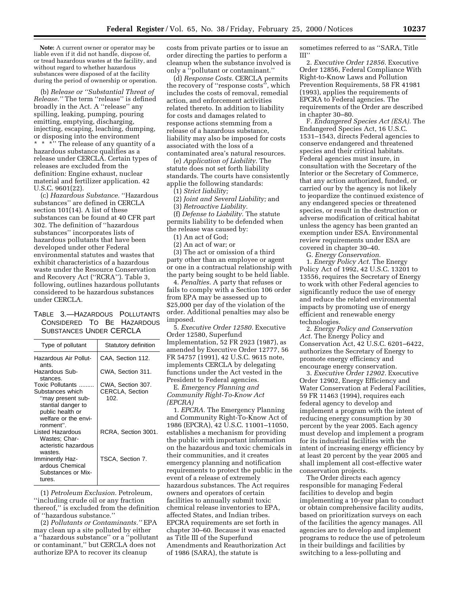**Note:** A current owner or operator may be liable even if it did not handle, dispose of, or tread hazardous wastes at the facility, and without regard to whether hazardous substances were disposed of at the facility during the period of ownership or operation.

(b) *Release or ''Substantial Threat of Release.''* The term ''release'' is defined broadly in the Act. A ''release'' any spilling, leaking, pumping, pouring emitting, emptying, discharging, injecting, escaping, leaching, dumping, or disposing into the environment \* \*\*\* The release of any quantity of a hazardous substance qualifies as a release under CERCLA. Certain types of releases are excluded from the definition: Engine exhaust, nuclear material and fertilizer application. 42 U.S.C. 9601(22).

(c) *Hazardous Substance.* ''Hazardous substances'' are defined in CERCLA section 101(14). A list of these substances can be found at 40 CFR part 302. The definition of ''hazardous substances'' incorporates lists of hazardous pollutants that have been developed under other Federal environmental statutes and wastes that exhibit characteristics of a hazardous waste under the Resource Conservation and Recovery Act (''RCRA''). Table 3, following, outlines hazardous pollutants considered to be hazardous substances under CERCLA.

## TABLE 3.—HAZARDOUS POLLUTANTS CONSIDERED TO BE HAZARDOUS SUBSTANCES UNDER CERCLA

| Type of pollutant                                                                                                                        | Statutory definition                                |
|------------------------------------------------------------------------------------------------------------------------------------------|-----------------------------------------------------|
| Hazardous Air Pollut-<br>ants.                                                                                                           | CAA, Section 112.                                   |
| Hazardous Sub-<br>stances.                                                                                                               | CWA, Section 311.                                   |
| Toxic Pollutants<br>Substances which<br>"may present sub-<br>stantial danger to<br>public health or<br>welfare or the envi-<br>ronment". | CWA, Section 307.<br><b>CERCLA, Section</b><br>102. |
| Listed Hazardous<br>Wastes: Char-<br>acteristic hazardous<br>wastes.                                                                     | RCRA, Section 3001.                                 |
| Imminently Haz-<br>ardous Chemical<br>Substances or Mix-<br>tures.                                                                       | TSCA, Section 7.                                    |

(1) *Petroleum Exclusion.* Petroleum, ''including crude oil or any fraction thereof,'' is excluded from the definition of ''hazardous substance.''

(2) *Pollutants or Contaminants.''* EPA may clean up a site polluted by either a ''hazardous substance'' or a ''pollutant or contaminant,'' but CERCLA does not authorize EPA to recover its cleanup

costs from private parties or to issue an order directing the parties to perform a cleanup when the substance involved is only a ''pollutant or contaminant.''

(d) *Response Costs.* CERCLA permits the recovery of ''response costs'', which includes the costs of removal, remedial action, and enforcement activities related thereto. In addition to liability for costs and damages related to response actions stemming from a release of a hazardous substance, liability may also be imposed for costs associated with the loss of a contaminated area's natural resources.

(e) *Application of Liability.* The statute does not set forth liability standards. The courts have consistently applie the following standards:

(1) *Strict liability;*

(2) *Joint and Several Liability;* and

(3) *Retroactive Liability.*

(f) *Defense to Liability.* The statute permits liability to be defended when the release was caused by:

(1) An act of God;

(2) An act of war; or

(3) The act or omission of a third party other than an employee or agent or one in a contractual relationship with the party being sought to be held liable.

4. *Penalties.* A party that refuses or fails to comply with a Section 106 order from EPA may be assessed up to \$25,000 per day of the violation of the order. Additional penalties may also be imposed.

5. *Executive Order 12580.* Executive Order 12580, Superfund Implementation, 52 FR 2923 (1987), as amended by Executive Order 12777, 56 FR 54757 (1991), 42 U.S.C. 9615 note, implements CERCLA by delegating functions under the Act vested in the President to Federal agencies.

E. *Emergency Planning and Community Right-To-Know Act (EPCRA)*

1. *EPCRA.* The Emergency Planning and Community Right-To-Know Act of 1986 (EPCRA), 42 U.S.C. 11001–11050, establishes a mechanism for providing the public with important information on the hazardous and toxic chemicals in their communities, and it creates emergency planning and notification requirements to protect the public in the event of a release of extremely hazardous substances. The Act requires owners and operators of certain facilities to annually submit toxic chemical release inventories to EPA, affected States, and Indian tribes. EPCRA requirements are set forth in chapter 30–60. Because it was enacted as Title III of the Superfund Amendments and Reauthorization Act of 1986 (SARA), the statute is

sometimes referred to as ''SARA, Title III''

2. *Executive Order 12856.* Executive Order 12856, Federal Compliance With Right-to-Know Laws and Pollution Prevention Requirements, 58 FR 41981 (1993), applies the requirements of EPCRA to Federal agencies. The requirements of the Order are described in chapter 30–80.

F. *Endangered Species Act (ESA).* The Endangered Species Act, 16 U.S.C. 1531–1543, directs Federal agencies to conserve endangered and threatened species and their critical habitats. Federal agencies must insure, in consultation with the Secretary of the Interior or the Secretary of Commerce, that any action authorized, funded, or carried our by the agency is not likely to jeopardize the continued existence of any endangered species or threatened species, or result in the destruction or adverse modification of critical habitat unless the agency has been granted an exemption under ESA. Environmental review requirements under ESA are covered in chapter 30–40.

G. *Energy Conservation.*

1. *Energy Policy Act.* The Energy Policy Act of 1992, 42 U.S.C. 13201 to 13556, requires the Secretary of Energy to work with other Federal agencies to significantly reduce the use of energy and reduce the related environmental impacts by promoting use of energy efficient and renewable energy technologies.

2. *Energy Policy and Conservation Act.* The Energy Policy and Conservation Act, 42 U.S.C. 6201–6422, authorizes the Secretary of Energy to promote energy efficiency and encourage energy conservation.

3. *Executive Order 12902.* Executive Order 12902, Energy Efficiency and Water Conservation at Federal Facilities, 59 FR 11463 (1994), requires each federal agency to develop and implement a program with the intent of reducing energy consumption by 30 percent by the year 2005. Each agency must develop and implement a program for its industrial facilities with the intent of increasing energy efficiency by at least 20 percent by the year 2005 and shall implement all cost-effective water conservation projects.

The Order directs each agency responsible for managing Federal facilities to develop and begin implementing a 10-year plan to conduct or obtain comprehensive facility audits, based on prioritization surveys on each of the facilities the agency manages. All agencies are to develop and implement programs to reduce the use of petroleum in their buildings and facilities by switching to a less-polluting and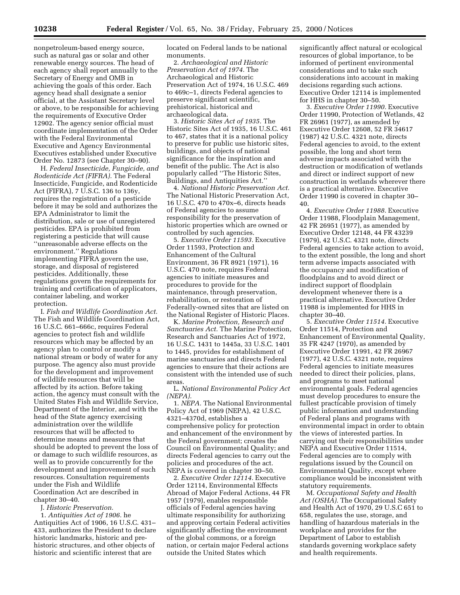nonpetroleum-based energy source, such as natural gas or solar and other renewable energy sources. The head of each agency shall report annually to the Secretary of Energy and OMB in achieving the goals of this order. Each agency head shall designate a senior official, at the Assistant Secretary level or above, to be responsible for achieving the requirements of Executive Order 12902. The agency senior official must coordinate implementation of the Order with the Federal Environmental Executive and Agency Environmental Executives established under Executive Order No. 12873 (see Chapter 30–90).

H. *Federal Insecticide, Fungicide, and Rodenticide Act (FIFRA).* The Federal Insecticide, Fungicide, and Rodenticide Act (FIFRA), 7 U.S.C. 136 to 136y, requires the registration of a pesticide before it may be sold and authorizes the EPA Administrator to limit the distribution, sale or use of unregistered pesticides. EPA is prohibited from registering a pesticide that will cause ''unreasonable adverse effects on the environment.'' Regulations implementing FIFRA govern the use, storage, and disposal of registered pesticides. Additionally, these regulations govern the requirements for training and certification of applicators, container labeling, and worker protection.

I. *Fish and Wildlife Coordination Act.* The Fish and Wildlife Coordination Act, 16 U.S.C. 661–666c, requires Federal agencies to protect fish and wildlife resources which may be affected by an agency plan to control or modify a national stream or body of water for any purpose. The agency also must provide for the development and improvement of wildlife resources that will be affected by its action. Before taking action, the agency must consult with the United States Fish and Wildlife Service, Department of the Interior, and with the head of the State agency exercising administration over the wildlife resources that will be affected to determine means and measures that should be adopted to prevent the loss of or damage to such wildlife resources, as well as to provide concurrently for the development and improvement of such resources. Consultation requirements under the Fish and Wildlife Coordination Act are described in chapter 30–40.

J. *Historic Preservation.*

1. *Antiquities Act of 1906.* he Antiquities Act of 1906, 16 U.S.C. 431– 433, authorizes the President to declare historic landmarks, historic and prehistoric structures, and other objects of historic and scientific interest that are

located on Federal lands to be national monuments.

2. *Archaeological and Historic Preservation Act of 1974.* The Archaeological and Historic Preservation Act of 1974, 16 U.S.C. 469 to 469c–1, directs Federal agencies to preserve significant scientific, prehistorical, historical and archaeological data.

3. *Historic Sites Act of 1935.* The Historic Sites Act of 1935, 16 U.S.C. 461 to 467, states that it is a national policy to preserve for public use historic sites, buildings, and objects of national significance for the inspiration and benefit of the public. The Act is also popularly called ''The Historic Sites, Buildings, and Antiquities Act.''

4. *National Historic Preservation Act.* The National Historic Preservation Act, 16 U.S.C. 470 to 470x–6, directs heads of Federal agencies to assume responsibility for the preservation of historic properties which are owned or controlled by such agencies.

5. *Executive Order 11593.* Executive Order 11593, Protection and Enhancement of the Cultural Environment, 36 FR 8921 (1971), 16 U.S.C. 470 note, requires Federal agencies to initiate measures and procedures to provide for the maintenance, through preservation, rehabilitation, or restoration of Federally-owned sites that are listed on the National Register of Historic Places.

K. *Marine Protection, Research and Sanctuaries Act.* The Marine Protection, Research and Sanctuaries Act of 1972, 16 U.S.C. 1431 to 1445a, 33 U.S.C. 1401 to 1445, provides for establishment of marine sanctuaries and directs Federal agencies to ensure that their actions are consistent with the intended use of such areas.

L. *National Environmental Policy Act (NEPA).*

1. *NEPA.* The National Environmental Policy Act of 1969 (NEPA), 42 U.S.C. 4321–4370d, establishes a comprehensive policy for protection and enhancement of the environment by the Federal government; creates the Council on Environmental Quality; and directs Federal agencies to carry out the policies and procedures of the act. NEPA is covered in chapter 30–50.

2. *Executive Order 12114.* Executive Order 12114, Environmental Effects Abroad of Major Federal Actions, 44 FR 1957 (1979), enables responsible officials of Federal agencies having ultimate responsibility for authorizing and approving certain Federal activities significantly affecting the environment of the global commons, or a foreign nation, or certain major Federal actions outside the United States which

significantly affect natural or ecological resources of global importance, to be informed of pertinent environmental considerations and to take such considerations into account in making decisions regarding such actions. Executive Order 12114 is implemented for HHS in chapter 30–50.

3. *Executive Order 11990.* Executive Order 11990, Protection of Wetlands, 42 FR 26961 (1977), as amended by Executive Order 12608, 52 FR 34617 (1987) 42 U.S.C. 4321 note, directs Federal agencies to avoid, to the extent possible, the long and short term adverse impacts associated with the destruction or modification of wetlands and direct or indirect support of new construction in wetlands wherever there is a practical alternative. Executive Order 11990 is covered in chapter 30– 40.

4. *Executive Order 11988.* Executive Order 11988, Floodplain Management, 42 FR 26951 (1977), as amended by Executive Order 12148, 44 FR 43239 (1979), 42 U.S.C. 4321 note, directs Federal agencies to take action to avoid, to the extent possible, the long and short term adverse impacts associated with the occupancy and modification of floodplains and to avoid direct or indirect support of floodplain development whenever there is a practical alternative. Executive Order 11988 is implemented for HHS in chapter 30–40.

5. *Executive Order 11514.* Executive Order 11514, Protection and Enhancement of Environmental Quality, 35 FR 4247 (1970), as amended by Executive Order 11991, 42 FR 26967 (1977), 42 U.S.C. 4321 note, requires Federal agencies to initiate measures needed to direct their policies, plans, and programs to meet national environmental goals. Federal agencies must develop procedures to ensure the fullest practicable provision of timely public information and understanding of Federal plans and programs with environmental impact in order to obtain the views of interested parties. In carrying out their responsibilities under NEPA and Executive Order 11514, Federal agencies are to comply with regulations issued by the Council on Environmental Quality, except where compliance would be inconsistent with statutory requirements.

M. *Occupational Safety and Health Act (OSHA).* The Occupational Safety and Health Act of 1970, 29 U.S.C 651 to 658, regulates the use, storage, and handling of hazardous materials in the workplace and provides for the Department of Labor to establish standards governing workplace safety and health requirements.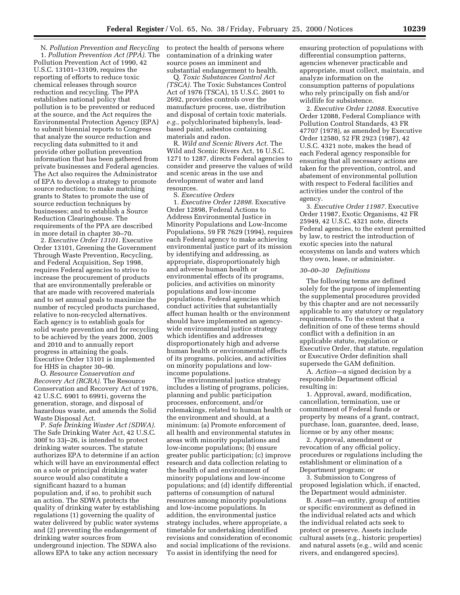N. *Pollution Prevention and Recycling* 1. *Pollution Prevention Act (PPA).* The Pollution Prevention Act of 1990, 42 U.S.C. 13101–13109, requires the reporting of efforts to reduce toxic chemical releases through source reduction and recycling. The PPA establishes national policy that pollution is to be prevented or reduced at the source, and the Act requires the Environmental Protection Agency (EPA) to submit biennial reports to Congress that analyze the source reduction and recycling data submitted to it and provide other pollution prevention information that has been gathered from private businesses and Federal agencies. The Act also requires the Administrator of EPA to develop a strategy to promote source reduction; to make matching grants to States to promote the use of source reduction techniques by businesses; and to establish a Source Reduction Clearinghouse. The requirements of the PPA are described in more detail in chapter 30–70.

2. *Executive Order 13101.* Executive Order 13101, Greening the Government Through Waste Prevention, Recycling, and Federal Acquisition, Sep 1998, requires Federal agencies to strive to increase the procurement of products that are environmentally preferable or that are made with recovered materials and to set annual goals to maximize the number of recycled products purchased, relative to non-recycled alternatives. Each agency is to establish goals for solid waste prevention and for recycling to be achieved by the years 2000, 2005 and 2010 and to annually report progress in attaining the goals. Executive Order 13101 is implemented for HHS in chapter 30–90.

O. *Resource Conservation and Recovery Act (RCRA).* The Resource Conservation and Recovery Act of 1976, 42 U.S.C. 6901 to 6991i, governs the generation, storage, and disposal of hazardous waste, and amends the Solid Waste Disposal Act.

P. *Safe Drinking Waster Act (SDWA).* The Safe Drinking Water Act, 42 U.S.C. 300f to 33j–26, is intended to protect drinking water sources. The statute authorizes EPA to determine if an action which will have an environmental effect on a sole or principal drinking water source would also constitute a significant hazard to a human population and, if so, to prohibit such an action. The SDWA protects the quality of drinking water by establishing regulations (1) governing the quality of water delivered by public water systems and (2) preventing the endangerment of drinking water sources from underground injection. The SDWA also allows EPA to take any action necessary

to protect the health of persons where contamination of a drinking water source poses an imminent and substantial endangerment to health.

Q. *Toxic Substances Control Act (TSCA).* The Toxic Substances Control Act of 1976 (TSCA), 15 U.S.C. 2601 to 2692, provides controls over the manufacture process, use, distribution and disposal of certain toxic materials. *e.g.,* polychlorinated biphenyls, leadbased paint, asbestos containing materials and radon.

R. *Wild and Scenic Rivers Act.* The Wild and Scenic Rivers Act, 16 U.S.C. 1271 to 1287, directs Federal agencies to consider and preserve the values of wild and scenic areas in the use and development of water and land resources.

S. *Executive Orders* 1. *Executive Order 12898.* Executive Order 12898, Federal Actions to Address Environmental Justice in Minority Populations and Low-Income Populations, 59 FR 7629 (1994), requires each Federal agency to make achieving environmental justice part of its mission by identifying and addressing, as appropriate, disproportionately high and adverse human health or environmental effects of its programs, policies, and activities on minority populations and low-income populations. Federal agencies which conduct activities that substantially affect human health or the environment should have implemented an agencywide environmental justice strategy which identifies and addresses disproportionately high and adverse human health or environmental effects of its programs, policies, and activities on minority populations and lowincome populations.

The environmental justice strategy includes a listing of programs, policies, planning and public participation processes, enforcement, and/or rulemakings, related to human health or the environment and should, at a minimum: (a) Promote enforcement of all health and environmental statutes in areas with minority populations and low-income populations; (b) ensure greater public participation; (c) improve research and data collection relating to the health of and environment of minority populations and low-income populations; and (d) identify differential patterns of consumption of natural resources among minority populations and low-income populations. In addition, the environmental justice strategy includes, where appropriate, a timetable for undertaking identified revisions and consideration of economic and social implications of the revisions. To assist in identifying the need for

ensuring protection of populations with differential consumption patterns, agencies whenever practicable and appropriate, must collect, maintain, and analyze information on the consumption patterns of populations who rely principally on fish and/or wildlife for subsistence.

2. *Executive Order 12088.* Executive Order 12088, Federal Compliance with Pollution Control Standards, 43 FR 47707 (1978), as amended by Executive Order 12580, 52 FR 2923 (1987), 42 U.S.C. 4321 note, makes the head of each Federal agency responsible for ensuring that all necessary actions are taken for the prevention, control, and abatement of environmental pollution with respect to Federal facilities and activities under the control of the agency.

3. *Executive Order 11987.* Executive Order 11987, Exotic Organisms, 42 FR 25949, 42 U.S.C. 4321 note, directs Federal agencies, to the extent permitted by law, to restrict the introduction of exotic species into the natural ecosystems on lands and waters which they own, lease, or administer.

#### *30–00–30 Definitions*

The following terms are defined solely for the purpose of implementing the supplemental procedures provided by this chapter and are not necessarily applicable to any statutory or regulatory requirements. To the extent that a definition of one of these terms should conflict with a definition in an applicable statute, regulation or Executive Order, that statute, regulation or Executive Order definition shall supersede the GAM definition.

A. *Action*—a signed decision by a responsible Department official resulting in:

1. Approval, award, modification, cancellation, termination, use or commitment of Federal funds or property by means of a grant, contract, purchase, loan, guarantee, deed, lease, license or by any other means;

2. Approval, amendment or revocation of any official policy, procedures or regulations including the establishment or elimination of a Department program; or

3. Submission to Congress of proposed legislation which, if enacted, the Department would administer.

B. *Asset*—an entity, group of entities or specific environment as defined in the individual related acts and which the individual related acts seek to protect or preserve. Assets include cultural assets (e.g., historic properties) and natural assets (e.g., wild and scenic rivers, and endangered species).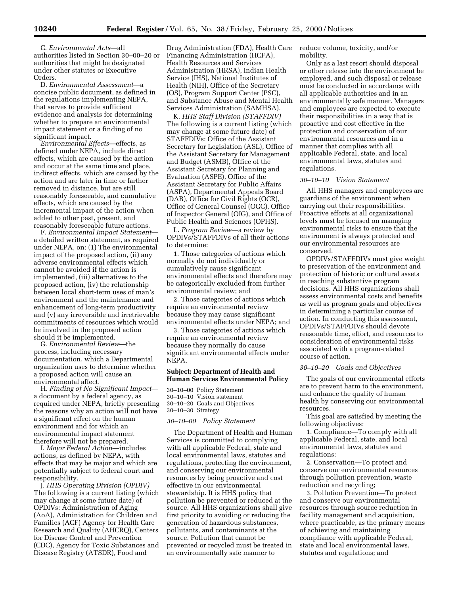C. *Environmental Acts*—all authorities listed in Section 30–00–20 or authorities that might be designated under other statutes or Executive Orders.

D. *Environmental Assessment*—a concise public document, as defined in the regulations implementing NEPA, that serves to provide sufficient evidence and analysis for determining whether to prepare an environmental impact statement or a finding of no significant impact.

*Environmental Effects*—effects, as defined under NEPA, include direct effects, which are caused by the action and occur at the same time and place, indirect effects, which are caused by the action and are later in time or farther removed in distance, but are still reasonably foreseeable, and cumulative effects, which are caused by the incremental impact of the action when added to other past, present, and reasonably foreseeable future actions.

F. *Environmental Impact Statement* a detailed written statement, as required under NEPA, on: (1) The environmental impact of the proposed action, (ii) any adverse environmental effects which cannot be avoided if the action is implemented, (iii) alternatives to the proposed action, (iv) the relationship between local short-term uses of man's environment and the maintenance and enhancement of long-term productivity and (v) any irreversible and irretrievable commitments of resources which would be involved in the proposed action should it be implemented.

G. *Environmental Review*—the process, including necessary documentation, which a Departmental organization uses to determine whether a proposed action will cause an environmental affect.

H. *Finding of No Significant Impact* a document by a federal agency, as required under NEPA, briefly presenting the reasons why an action will not have a significant effect on the human environment and for which an environmental impact statement therefore will not be prepared.

I. *Major Federal Action*—includes actions, as defined by NEPA, with effects that may be major and which are potentially subject to federal court and responsibility.

J. *HHS Operating Division (OPDIV)* The following is a current listing (which may change at some future date) of OPDIVs: Administration of Aging (AoA), Administration for Children and Families (ACF) Agency for Health Care Research and Quality (AHCRQ), Centers for Disease Control and Prevention (CDC), Agency for Toxic Substances and Disease Registry (ATSDR), Food and

Drug Administration (FDA), Health Care Financing Administration (HCFA), Health Resources and Services Administration (HRSA), Indian Health Service (IHS), National Institutes of Health (NIH), Office of the Secretary (OS), Program Support Center (PSC), and Substance Abuse and Mental Health Services Administration (SAMHSA).

K. *HHS Staff Division (STAFFDIV)* The following is a current listing (which may change at some future date) of STAFFDIVs: Office of the Assistant Secretary for Legislation (ASL), Office of the Assistant Secretary for Management and Budget (ASMB), Office of the Assistant Secretary for Planning and Evaluation (ASPE), Office of the Assistant Secretary for Public Affairs (ASPA), Departmental Appeals Board (DAB), Office for Civil Rights (OCR), Office of General Counsel (OGC), Office of Inspector General (OIG), and Office of Public Health and Sciences (OPHS).

L. *Program Review*—a review by OPDIVs/STAFFDIVs of all their actions to determine:

1. Those categories of actions which normally do not individually or cumulatively cause significant environmental effects and therefore may be categorically excluded from further environmental review; and

2. Those categories of actions which require an environmental review because they may cause significant environmental effects under NEPA; and

3. Those categories of actions which require an environmental review because they normally do cause significant environmental effects under NEPA.

#### **Subject: Department of Health and Human Services Environmental Policy**

30–10–00 Policy Statement 30–10–10 Vision statement 30–10–20 Goals and Objectives 30–10–30 Strategy

#### *30–10–00 Policy Statement*

The Department of Health and Human Services is committed to complying with all applicable Federal, state and local environmental laws, statutes and regulations, protecting the environment, and conserving our environmental resources by being proactive and cost effective in our environmental stewardship. It is HHS policy that pollution be prevented or reduced at the source. All HHS organizations shall give first priority to avoiding or reducing the generation of hazardous substances, pollutants, and contaminants at the source. Pollution that cannot be prevented or recycled must be treated in an environmentally safe manner to

reduce volume, toxicity, and/or mobility.

Only as a last resort should disposal or other release into the environment be employed, and such disposal or release must be conducted in accordance with all applicable authorities and in an environmentally safe manner. Managers and employees are expected to execute their responsibilities in a way that is proactive and cost effective in the protection and conservation of our environmental resources and in a manner that complies with all applicable Federal, state, and local environmental laws, statutes and regulations.

#### *30–10–10 Vision Statement*

All HHS managers and employees are guardians of the environment when carrying out their responsibilities. Proactive efforts at all organizational levels must be focused on managing environmental risks to ensure that the environment is always protected and our environmental resources are conserved.

OPDIVs/STAFFDIVs must give weight to preservation of the environment and protection of historic or cultural assets in reaching substantive program decisions. All HHS organizations shall assess environmental costs and benefits as well as program goals and objectives in determining a particular course of action. In conducting this assessment, OPDIVs/STAFFDIVs should devote reasonable time, effort, and resources to consideration of environmental risks associated with a program-related course of action.

#### *30–10–20 Goals and Objectives*

The goals of our environmental efforts are to prevent harm to the environment, and enhance the quality of human health by conserving our environmental resources.

This goal are satisfied by meeting the following objectives:

1. Compliance—To comply with all applicable Federal, state, and local environmental laws, statutes and regulations:

2. Conservation—To protect and conserve our environmental resources through pollution prevention, waste reduction and recycling;

3. Pollution Prevention—To protect and conserve our environmental resources through source reduction in facility management and acquisition, where practicable, as the primary means of achieving and maintaining compliance with applicable Federal, state and local environmental laws, statutes and regulations; and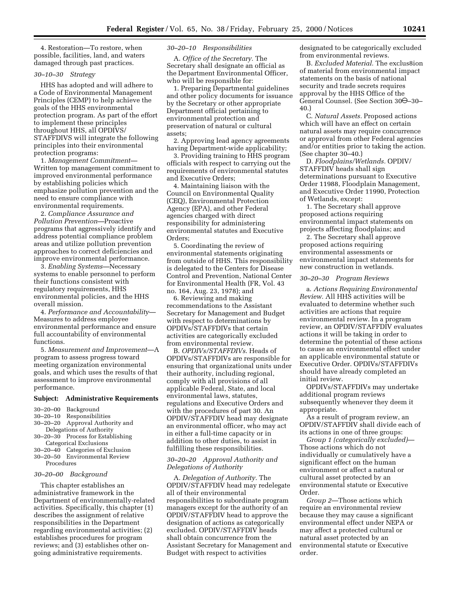4. Restoration—To restore, when possible, facilities, land, and waters damaged through past practices.

#### *30–10–30 Strategy*

HHS has adopted and will adhere to a Code of Environmental Management Principles (CEMP) to help achieve the goals of the HHS environmental protection program. As part of the effort to implement these principles throughout HHS, all OPDIVS/ STAFFDIVS will integrate the following principles into their environmental protection programs:

1. *Management Commitment—* Written top management commitment to improved environmental performance by establishing policies which emphasize pollution prevention and the need to ensure compliance with environmental requirements.

2. *Compliance Assurance and Pollution Prevention—*Proactive programs that aggressively identify and address potential compliance problem areas and utilize pollution prevention approaches to correct deficiencies and improve environmental performance.

3. *Enabling Systems—*Necessary systems to enable personnel to perform their functions consistent with regulatory requirements, HHS environmental policies, and the HHS overall mission.

4. *Performance and Accountability*— Measures to address employee environmental performance and ensure full accountability of environmental functions.

5. *Measurement and Improvement*—A program to assess progress toward meeting organization environmental goals, and which uses the results of that assessment to improve environmental performance.

#### **Subject: Administrative Requirements**

- 
- 30–20–00 Background Responsibilities 30–20–20 Approval Authority and
- Delegations of Authority
- 30–20–30 Process for Establishing Categorical Exclusions
- 30–20–40 Categories of Exclusion
- 30–20–50 Environmental Review Procedures

#### *30–20–00 Background*

This chapter establishes an administrative framework in the Department of environmentally-related activities. Specifically, this chapter (1) describes the assignment of relative responsibilities in the Department regarding environmental activities; (2) establishes procedures for program reviews; and (3) establishes other ongoing administrative requirements.

#### *30–20–10 Responsibilities*

A. *Office of the Secretary.* The Secretary shall designate an official as the Department Environmental Officer, who will be responsible for:

1. Preparing Departmental guidelines and other policy documents for issuance by the Secretary or other appropriate Department official pertaining to environmental protection and preservation of natural or cultural assets;

2. Approving lead agency agreements having Department-wide applicability;

3. Providing training to HHS program officials with respect to carrying out the requirements of environmental statutes and Executive Orders;

4. Maintaining liaison with the Council on Environmental Quality (CEQ), Environmental Protection Agency (EPA), and other Federal agencies charged with direct responsibility for administering environmental statutes and Executive Orders;

5. Coordinating the review of environmental statements originating from outside of HHS. This responsibility is delegated to the Centers for Disease Control and Prevention, National Center for Environmental Health (FR, Vol. 43 no. 164, Aug. 23, 1978); and

6. Reviewing and making recommendations to the Assistant Secretary for Management and Budget with respect to determinations by OPDIVs/STAFFDIVs that certain activities are categorically excluded from environmental review.

B. *OPDIVs/STAFFDIVs*. Heads of OPDIVs/STAFFDIVs are responsible for ensuring that organizational units under their authority, including regional, comply with all provisions of all applicable Federal, State, and local environmental laws, statutes, regulations and Executive Orders and with the procedures of part 30. An OPDIV/STAFFDIV head may designate an environmental officer, who may act in either a full-time capacity or in addition to other duties, to assist in fulfilling these responsibilities.

## *30–20–20 Approval Authority and Delegations of Authority*

A. *Delegation of Authority.* The OPDIV/STAFFDIV head may redelegate all of their environmental responsibilities to subordinate program managers except for the authority of an OPDIV/STAFFDIV head to approve the designation of actions as categorically excluded. OPDIV/STAFFDIV heads shall obtain concurrence from the Assistant Secretary for Management and Budget with respect to activities

designated to be categorically excluded from environmental reviews.

B. *Excluded Material.* The exclus8ion of material from environmental impact statements on the basis of national security and trade secrets requires approval by the HHS Office of the General Counsel. (See Section 30<del>O</del>–30– 40.)

C. *Natural Assets.* Proposed actions which will have an effect on certain natural assets may require concurrence or approval from other Federal agencies and/or entities prior to taking the action. (See chapter 30–40.)

D. *Floodplains/Wetlands.* OPDIV/ STAFFDIV heads shall sign determinations pursuant to Executive Order 11988, Floodplain Management, and Executive Order 11990, Protection of Wetlands, except:

1. The Secretary shall approve proposed actions requiring environmental impact statements on projects affecting floodplains; and

2. The Secretary shall approve proposed actions requiring environmental assessments or environmental impact statements for new construction in wetlands.

#### *30–20–30 Program Reviews*

a. *Actions Requiring Environmental Review.* All HHS activities will be evaluated to determine whether such activities are actions that require environmental review. In a program review, an OPDIV/STAFFDIV evaluates actions it will be taking in order to determine the potential of these actions to cause an environmental effect under an applicable environmental statute or Executive Order. OPDIVs/STAFFDIVs should have already completed an initial review.

OPDIVs/STAFFDIVs may undertake additional program reviews subsequently whenever they deem it appropriate.

As a result of program review, an OPDIV/STAFFDIV shall divide each of its actions in one of three groups:

*Group 1 (categorically excluded)*— Those actions which do not individually or cumulatively have a significant effect on the human environment or affect a natural or cultural asset protected by an environmental statute or Executive Order.

*Group 2*—Those actions which require an environmental review because they may cause a significant environmental effect under NEPA or may affect a protected cultural or natural asset protected by an environmental statute or Executive order.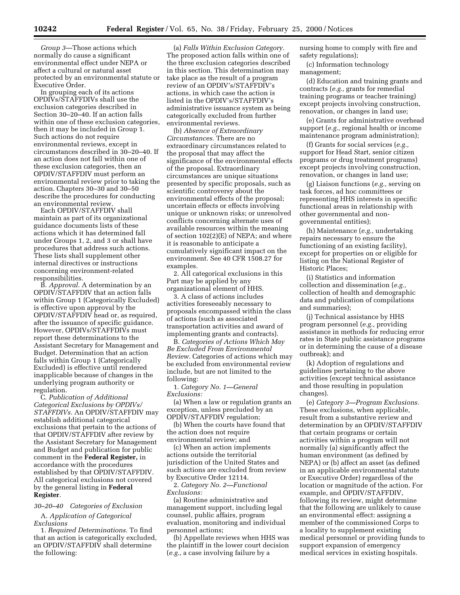*Group 3*—Those actions which normally do cause a significant environmental effect under NEPA or affect a cultural or natural asset protected by an environmental statute or Executive Order.

In grouping each of its actions OPDIVs/STAFFDIVs shall use the exclusion categories described in Section 30–20–40. If an action falls within one of these exclusion categories, then it may be included in Group 1. Such actions do not require environmental reviews, except in circumstances described in 30–20–40. If an action does not fall within one of these exclusion categories, then an OPDIV/STAFFDIV must perform an environmental review prior to taking the action. Chapters 30–30 and 30–50 describe the procedures for conducting an environmental review.

Each OPDIV/STAFFDIV shall maintain as part of its organizational guidance documents lists of these actions which it has determined fall under Groups 1, 2, and 3 or shall have procedures that address such actions. These lists shall supplement other internal directives or instructions concerning environment-related responsibilities.

B. *Approval.* A determination by an OPDIV/STAFFDIV that an action falls within Group 1 (Categorically Excluded) is effective upon approval by the OPDIV/STAFFDIV head or, as required, after the issuance of specific guidance. However, OPDIVs/STAFFDIVs must report these determinations to the Assistant Secretary for Management and Budget. Determination that an action falls within Group 1 (Categorically Excluded) is effective until rendered inapplicable because of changes in the underlying program authority or regulation.

C. *Publication of Additional Categorical Exclusions by OPDIVs/ STAFFDIVs.* An OPDIV/STAFFDIV may establish additional categorical exclusions that pertain to the actions of that OPDIV/STAFFDIV after review by the Assistant Secretary for Management and Budget and publication for public comment in the **Federal Register,** in accordance with the procedures established by that OPDIV/STAFFDIV. All categorical exclusions not covered by the general listing in **Federal Register**.

*30–20–40 Categories of Exclusion*

A. *Application of Categorical Exclusions*

1. *Required Determinations.* To find that an action is categorically excluded, an OPDIV/STAFFDIV shall determine the following:

(a) *Falls Within Exclusion Category.* The proposed action falls within one of the three exclusion categories described in this section. This determination may take place as the result of a program review of an OPDIV's/STAFFDIV's actions, in which case the action is listed in the OPDIV's/STAFFDIV's administrative issuance system as being categorically excluded from further environmental reviews.

(b) *Absence of Extraordinary Circumstances.* There are no extraordinary circumstances related to the proposal that may affect the significance of the environmental effects of the proposal. Extraordinary circumstances are unique situations presented by specific proposals, such as scientific controversy about the environmental effects of the proposal; uncertain effects or effects involving unique or unknown risks; or unresolved conflicts concerning alternate uses of available resources within the meaning of section 102(2)(E) of NEPA; and where it is reasonable to anticipate a cumulatively significant impact on the environment. See 40 CFR 1508.27 for examples.

2. All categorical exclusions in this Part may be applied by any organizational element of HHS.

3. A class of actions includes activities foreseeably necessary to proposals encompassed within the class of actions (such as associated transportation activities and award of implementing grants and contracts).

B. *Categories of Actions Which May Be Excluded From Environmental Review.* Categories of actions which may be excluded from environmental review include, but are not limited to the following:

1. *Category No. 1—General Exclusions:*

(a) When a law or regulation grants an exception, unless precluded by an OPDIV/STAFFDIV regulation;

(b) When the courts have found that the action does not require environmental review; and

(c) When an action implements actions outside the territorial jurisdiction of the United States and such actions are excluded from review by Executive Order 12114.

2. *Category No. 2—Functional Exclusions:*

(a) Routine administrative and management support, including legal counsel, public affairs, program evaluation, monitoring and individual personnel actions;

(b) Appellate reviews when HHS was the plaintiff in the lower court decision (*e.g.,* a case involving failure by a

nursing home to comply with fire and safety regulations);

(c) Information technology management;

(d) Education and training grants and contracts (*e.g.,* grants for remedial training programs or teacher training) except projects involving construction, renovation, or changes in land use;

(e) Grants for administrative overhead support (*e.g.,* regional health or income maintenance program administration);

(f) Grants for social services (*e.g.,* support for Head Start, senior citizen programs or drug treatment programs) except projects involving construction, renovation, or changes in land use;

(g) Liaison functions (*e.g.,* serving on task forces, ad hoc committees or representing HHS interests in specific functional areas in relationship with other governmental and nongovernmental entities);

(h) Maintenance (*e.g.,* undertaking repairs necessary to ensure the functioning of an existing facility), except for properties on or eligible for listing on the National Register of Historic Places;

(i) Statistics and information collection and dissemination (*e.g.,* collection of health and demographic data and publication of compilations and summaries);

(j) Technical assistance by HHS program personnel (*e.g.,* providing assistance in methods for reducing error rates in State public assistance programs or in determining the cause of a disease outbreak); and

(k) Adoption of regulations and guidelines pertaining to the above activities (except technical assistance and those resulting in population changes).

(e) *Category 3—Program Exclusions.* These exclusions, when applicable, result from a substantive review and determination by an OPDIV/STAFFDIV that certain programs or certain activities within a program will not normally (a) significantly affect the human environment (as defined by NEPA) or (b) affect an asset (as defined in an applicable environmental statute or Executive Order) regardless of the location or magnitude of the action. For example, and OPDIV/STAFFDIV, following its review, might determine that the following are unlikely to cause an environmental effect: assigning a member of the commissioned Corps to a locality to supplement existing medical personnel or providing funds to support expansion of emergency medical services in existing hospitals.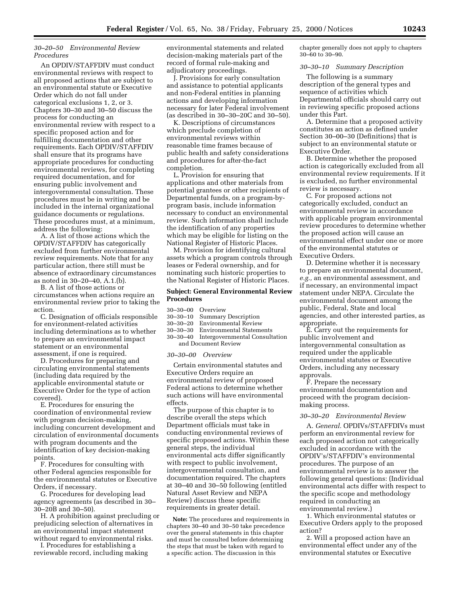## *30–20–50 Environmental Review Procedures*

An OPDIV/STAFFDIV must conduct environmental reviews with respect to all proposed actions that are subject to an environmental statute or Executive Order which do not fall under categorical exclusions 1, 2, or 3. Chapters 30–30 and 30–50 discuss the process for conducting an environmental review with respect to a specific proposed action and for fulfilling documentation and other requirements. Each OPDIV/STAFFDIV shall ensure that its programs have appropriate procedures for conducting environmental reviews, for completing required documentation, and for ensuring public involvement and intergovernmental consultation. These procedures must be in writing and be included in the internal organizational guidance documents or regulations. These procedures must, at a minimum, address the following:

A. A list of those actions which the OPDIV/STAFFDIV has categorically excluded from further environmental review requirements. Note that for any particular action, there still must be absence of extraordinary circumstances as noted in 30–20–40, A.1.(b).

B. A list of those actions or circumstances when actions require an environmental review prior to taking the action.

C. Designation of officials responsible for environment-related activities including determinations as to whether to prepare an environmental impact statement or an environmental assessment, if one is required.

D. Procedures for preparing and circulating environmental statements (including data required by the applicable environmental statute or Executive Order for the type of action covered).

E. Procedures for ensuring the coordination of environmental review with program decision-making, including concurrent development and circulation of environmental documents with program documents and the identification of key decision-making points.

F. Procedures for consulting with other Federal agencies responsible for the environmental statutes or Executive Orders, if necessary.

G. Procedures for developing lead agency agreements (as described in 30– 30–20B and 30–50).

H. A prohibition against precluding or prejudicing selection of alternatives in an environmental impact statement without regard to environmental risks.

I. Procedures for establishing a reviewable record, including making environmental statements and related decision-making materials part of the record of formal rule-making and adjudicatory proceedings.

J. Provisions for early consultation and assistance to potential applicants and non-Federal entities in planning actions and developing information necessary for later Federal involvement (as described in 30–30–20C and 30–50).

K. Descriptions of circumstances which preclude completion of environmental reviews within reasonable time frames because of public health and safety considerations and procedures for after-the-fact completion.

L. Provision for ensuring that applications and other materials from potential grantees or other recipients of Departmental funds, on a program-byprogram basis, include information necessary to conduct an environmental review. Such information shall include the identification of any properties which may be eligible for listing on the National Register of Historic Places.

M. Provision for identifying cultural assets which a program controls through leases or Federal ownership, and for nominating such historic properties to the National Register of Historic Places.

#### **Subject: General Environmental Review Procedures**

- 30–30–00 Overview
- 30–30–10 Summary Description
- Environmental Review
- 30–30–30 Environmental Statements
- 30–30–40 Intergovernmental Consultation and Document Review

#### *30–30–00 Overview*

Certain environmental statutes and Executive Orders require an environmental review of proposed Federal actions to determine whether such actions will have environmental effects.

The purpose of this chapter is to describe overall the steps which Department officials must take in conducting environmental reviews of specific proposed actions. Within these general steps, the individual environmental acts differ significantly with respect to public involvement, intergovernmental consultation, and documentation required. The chapters at 30–40 and 30–50 following (entitled Natural Asset Review and NEPA Review) discuss these specific requirements in greater detail.

**Note:** The procedures and requirements in chapters 30–40 and 30–50 take precedence over the general statements in this chapter and must be consulted before determining the steps that must be taken with regard to a specific action. The discussion in this

chapter generally does not apply to chapters 30–60 to 30–90.

## *30–30–10 Summary Description*

The following is a summary description of the general types and sequence of activities which Departmental officials should carry out in reviewing specific proposed actions under this Part.

A. Determine that a proposed activity constitutes an action as defined under Section 30–00–30 (Definitions) that is subject to an environmental statute or Executive Order.

B. Determine whether the proposed action is categorically excluded from all environmental review requirements. If it is excluded, no further environmental review is necessary.

C. For proposed actions not categorically excluded, conduct an environmental review in accordance with applicable program environmental review procedures to determine whether the proposed action will cause an environmental effect under one or more of the environmental statutes or Executive Orders.

D. Determine whether it is necessary to prepare an environmental document, *e.g.,* an environmental assessment, and if necessary, an environmental impact statement under NEPA. Circulate the environmental document among the public, Federal, State and local agencies, and other interested parties, as appropriate.

E. Carry out the requirements for public involvement and intergovernmental consultation as required under the applicable environmental statutes or Executive Orders, including any necessary approvals.

F. Prepare the necessary environmental documentation and proceed with the program decisionmaking process.

#### *30–30–20 Environmental Review*

A. *General.* OPDIVs/STAFFDIVs must perform an environmental review for each proposed action not categorically excluded in accordance with the OPDIV's/STAFFDIV's environmental procedures. The purpose of an environmental review is to answer the following general questions: (Individual environmental acts differ with respect to the specific scope and methodology required in conducting an environmental review.)

1. Which environmental statutes or Executive Orders apply to the proposed action?

2. Will a proposed action have an environmental effect under any of the environmental statutes or Executive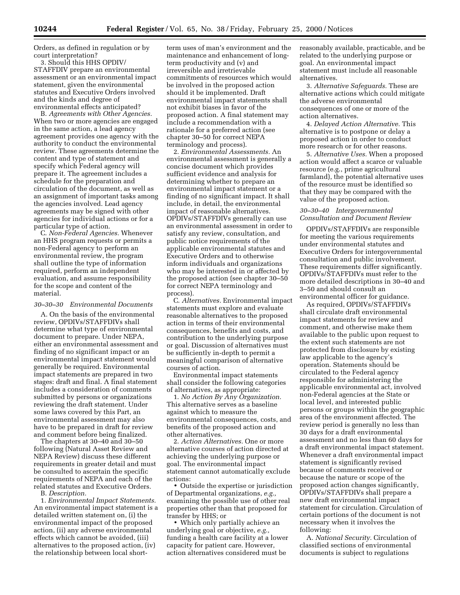Orders, as defined in regulation or by court interpretation?

3. Should this HHS OPDIV/ STAFFDIV prepare an environmental assessment or an environmental impact statement, given the environmental statutes and Executive Orders involved and the kinds and degree of environmental effects anticipated?

B. *Agreements with Other Agencies.* When two or more agencies are engaged in the same action, a lead agency agreement provides one agency with the authority to conduct the environmental review. These agreements determine the content and type of statement and specify which Federal agency will prepare it. The agreement includes a schedule for the preparation and circulation of the document, as well as an assignment of important tasks among the agencies involved. Lead agency agreements may be signed with other agencies for individual actions or for a particular type of action.

C. *Non-Federal Agencies.* Whenever an HHS program requests or permits a non-Federal agency to perform an environmental review, the program shall outline the type of information required, perform an independent evaluation, and assume responsibility for the scope and content of the material.

#### *30–30–30 Environmental Documents*

A. On the basis of the environmental review, OPDIVs/STAFFDIVs shall determine what type of environmental document to prepare. Under NEPA, either an environmental assessment and finding of no significant impact or an environmental impact statement would generally be required. Environmental impact statements are prepared in two stages: draft and final. A final statement includes a consideration of comments submitted by persons or organizations reviewing the draft statement. Under some laws covered by this Part, an environmental assessment may also have to be prepared in draft for review and comment before being finalized.

The chapters at 30–40 and 30–50 following (Natural Asset Review and NEPA Review) discuss these different requirements in greater detail and must be consulted to ascertain the specific requirements of NEPA and each of the related statutes and Executive Orders.

B. *Description.*

1. *Environmental Impact Statements.* An environmental impact statement is a detailed written statement on, (i) the environmental impact of the proposed action, (ii) any adverse environmental effects which cannot be avoided, (iii) alternatives to the proposed action, (iv) the relationship between local short-

term uses of man's environment and the maintenance and enhancement of longterm productivity and (v) and irreversible and irretrievable commitments of resources which would be involved in the proposed action should it be implemented. Draft environmental impact statements shall not exhibit biases in favor of the proposed action. A final statement may include a recommendation with a rationale for a preferred action (see chapter 30–50 for correct NEPA terminology and process).

2. *Environmental Assessments.* An environmental assessment is generally a concise document which provides sufficient evidence and analysis for determining whether to prepare an environmental impact statement or a finding of no significant impact. It shall include, in detail, the environmental impact of reasonable alternatives. OPDIVs/STAFFDIVs generally can use an environmental assessment in order to satisfy any review, consultation, and public notice requirements of the applicable environmental statutes and Executive Orders and to otherwise inform individuals and organizations who may be interested in or affected by the proposed action (see chapter 30–50 for correct NEPA terminology and process).

C. *Alternatives.* Environmental impact statements must explore and evaluate reasonable alternatives to the proposed action in terms of their environmental consequences, benefits and costs, and contribution to the underlying purpose or goal. Discussion of alternatives must be sufficiently in-depth to permit a meaningful comparison of alternative courses of action.

Environmental impact statements shall consider the following categories of alternatives, as appropriate:

1. *No Action By Any Organization.* This alternative serves as a baseline against which to measure the environmental consequences, costs, and benefits of the proposed action and other alternatives.

2. *Action Alternatives.* One or more alternative courses of action directed at achieving the underlying purpose or goal. The environmental impact statement cannot automatically exclude actions:

• Outside the expertise or jurisdiction of Departmental organizations, *e.g.,* examining the possible use of other real properties other than that proposed for transfer by HHS; or

• Which only partially achieve an underlying goal or objective, *e.g.,* funding a health care facility at a lower capacity for patient care. However, action alternatives considered must be

reasonably available, practicable, and be related to the underlying purpose or goal. An environmental impact statement must include all reasonable alternatives.

3. *Alternative Safeguards.* These are alternative actions which could mitigate the adverse environmental consequences of one or more of the action alternatives.

4. *Delayed Action Alternative.* This alternative is to postpone or delay a proposed action in order to conduct more research or for other reasons.

5. *Alternative Uses.* When a proposed action would affect a scarce or valuable resource (e.g., prime agricultural farmland), the potential alternative uses of the resource must be identified so that they may be compared with the value of the proposed action.

#### *30–30–40 Intergovernmental Consultation and Document Review*

OPDIVs/STAFFDIVs are responsible for meeting the various requirements under environmental statutes and Executive Orders for intergovernmental consultation and public involvement. These requirements differ significantly. OPDIVs/STAFFDIVs must refer to the more detailed descriptions in 30–40 and 3–50 and should consult an environmental officer for guidance.

As required, OPDIVs/STAFFDIVs shall circulate draft environmental impact statements for review and comment, and otherwise make them available to the public upon request to the extent such statements are not protected from disclosure by existing law applicable to the agency's operation. Statements should be circulated to the Federal agency responsible for administering the applicable environmental act, involved non-Federal agencies at the State or local level, and interested public persons or groups within the geographic area of the environment affected. The review period is generally no less than 30 days for a draft environmental assessment and no less than 60 days for a draft environmental impact statement. Whenever a draft environmental impact statement is significantly revised because of comments received or because the nature or scope of the proposed action changes significantly, OPDIVs/STAFFDIVs shall prepare a new draft environmental impact statement for circulation. Circulation of certain portions of the document is not necessary when it involves the following:

A. *National Security.* Circulation of classified sections of environmental documents is subject to regulations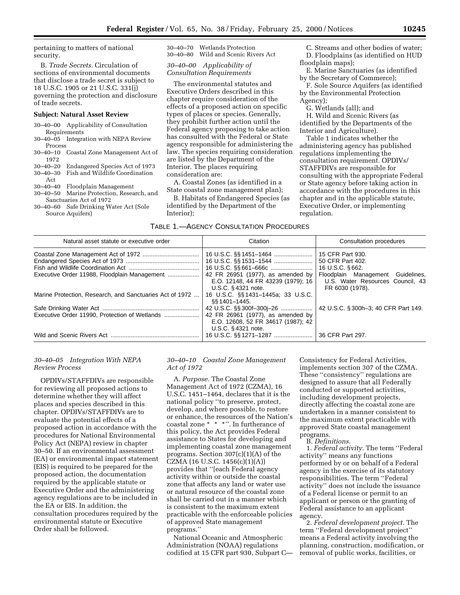pertaining to matters of national security.

B. *Trade Secrets.* Circulation of sections of environmental documents that disclose a trade secret is subject to 18 U.S.C. 1905 or 21 U.S.C. 331(j) governing the protection and disclosure of trade secrets.

#### **Subject: Natural Asset Review**

30–40–00 Applicability of Consultation Requirements

- 30–40–05 Integration with NEPA Review Process
- 30–40–10 Coastal Zone Management Act of 1972 30–40–20 Endangered Species Act of 1973
- 30–40–30 Fish and Wildlife Coordination Act<br>30–40–40 Floodplain Management 30–40–50 Marine Protection, Research, and
- Sanctuaries Act of 1972
- 30–40–60 Safe Drinking Water Act (Sole Source Aquifers)

30–40–70 Wetlands Protection 30–40–80 Wild and Scenic Rivers Act

*30–40–00 Applicability of Consultation Requirements*

The environmental statutes and Executive Orders described in this chapter require consideration of the effects of a proposed action on specific types of places or species. Generally, they prohibit further action until the Federal agency proposing to take action has consulted with the Federal or State agency responsible for administering the law. The species requiring consideration are listed by the Department of the Interior. The places requiring consideration are:

A. Coastal Zones (as identified in a State coastal zone management plan);

B. Habitats of Endangered Species (as identified by the Department of the Interior);

C. Streams and other bodies of water; D. Floodplains (as identified on HUD floodplain maps);

E. Marine Sanctuaries (as identified by the Secretary of Commerce);

F. Sole Source Aquifers (as identified by the Environmental Protection Agency);

G. Wetlands (all); and

H. Wild and Scenic Rivers (as identified by the Departments of the Interior and Agriculture).

Table 1 indicates whether the administering agency has published regulations implementing the consultation requirement. OPDIVs/ STAFFDIVs are responsible for consulting with the appropriate Federal or State agency before taking action in accordance with the procedures in this chapter and in the applicable statute, Executive Order, or implementing regulation.

| TABLE 1.-AGENCY CONSULTATION PROCEDURES |  |  |
|-----------------------------------------|--|--|
|-----------------------------------------|--|--|

| Natural asset statute or executive order                 | Citation                                                                                                                   | Consultation procedures                                                                  |  |
|----------------------------------------------------------|----------------------------------------------------------------------------------------------------------------------------|------------------------------------------------------------------------------------------|--|
|                                                          | 16 U.S.C. §§ 1451–1464<br>16 U.S.C. §§ 661-666c                                                                            | 15 CFR Part 930.<br>50 CFR Part 402.<br>16 U.S.C. §662.                                  |  |
| Executive Order 11988, Floodplain Management             | 42 FR 26951 (1977), as amended by<br>E.O. 12148, 44 FR 43239 (1979); 16<br>U.S.C. § 4321 note.                             | Floodplain Management Guidelines,<br>U.S. Water Resources Council. 43<br>FR 6030 (1978). |  |
| Marine Protection, Research, and Sanctuaries Act of 1972 | 16 U.S.C. §§1431-1445a; 33 U.S.C.<br>§§ 1401–1445.                                                                         |                                                                                          |  |
| Executive Order 11990, Protection of Wetlands            | 42 U.S.C. §§ 300f-300j-26<br>42 FR 26961 (1977), as amended by<br>E.O. 12608, 52 FR 34617 (1987); 42<br>U.S.C. §4321 note. | 42 U.S.C. § 300h-3; 40 CFR Part 149.                                                     |  |
|                                                          | 16 U.S.C. §§ 1271–1287                                                                                                     | 36 CFR Part 297.                                                                         |  |

#### *30–40–05 Integration With NEPA Review Process*

OPDIVs/STAFFDIVs are responsible for reviewing all proposed actions to determine whether they will affect places and species described in this chapter. OPDIVs/STAFFDIVs are to evaluate the potential effects of a proposed action in accordance with the procedures for National Environmental Policy Act (NEPA) review in chapter 30–50. If an environmental assessment (EA) or environmental impact statement (EIS) is required to be prepared for the proposed action, the documentation required by the applicable statute or Executive Order and the administering agency regulations are to be included in the EA or EIS. In addition, the consultation procedures required by the environmental statute or Executive Order shall be followed.

## *30–40–10 Coastal Zone Management Act of 1972*

A. *Purpose.* The Coastal Zone Management Act of 1972 (CZMA), 16 U.S.C. 1451–1464, declares that it is the national policy ''to preserve, protect, develop, and where possible, to restore or enhance, the resources of the Nation's coastal zone \* \* \*''. In furtherance of this policy, the Act provides Federal assistance to States for developing and implementing coastal zone management programs. Section 307(c)(1)(A) of the CZMA (16 U.S.C. 1456(c)(1)(A)) provides that ''[each Federal agency activity within or outside the coastal zone that affects any land or water use or natural resource of the coastal zone shall be carried out in a manner which is consistent to the maximum extent practicable with the enforceable policies of approved State management programs.''

National Oceanic and Atmospheric Administration (NOAA) regulations codified at 15 CFR part 930, Subpart C— Consistency for Federal Activities, implements section 307 of the CZMA. These ''consistency'' regulations are designed to assure that all Federally conducted or supported activities, including development projects, directly affecting the coastal zone are undertaken in a manner consistent to the maximum extent practicable with approved State coastal management programs.

B. *Definitions.*

1. *Federal activity.* The term ''Federal activity'' means any functions performed by or on behalf of a Federal agency in the exercise of its statutory responsibilities. The term ''Federal activity'' does not include the issuance of a Federal license or permit to an applicant or person or the granting of Federal assistance to an applicant agency.

2. *Federal development project.* The term ''Federal development project'' means a Federal activity involving the planning, construction, modification, or removal of public works, facilities, or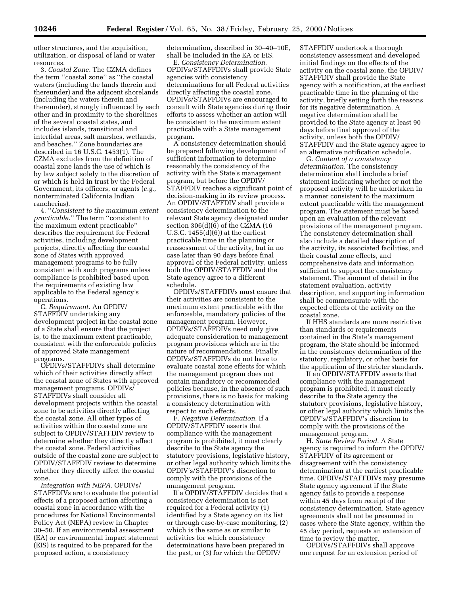other structures, and the acquisition, utilization, or disposal of land or water resources.

3. *Coastal Zone.* The CZMA defines the term ''coastal zone'' as ''the coastal waters (including the lands therein and thereunder) and the adjacent shorelands (including the waters therein and thereunder), strongly influenced by each other and in proximity to the shorelines of the several coastal states, and includes islands, transitional and intertidal areas, salt marshes, wetlands, and beaches.'' Zone boundaries are described in 16 U.S.C. 1453(1). The CZMA excludes from the definition of coastal zone lands the use of which is by law subject solely to the discretion of or which is held in trust by the Federal Government, its officers, or agents (*e.g.,* nonterminated California Indian rancherias).

4. ''*Consistent to the maximum extent practicable.*'' The term ''consistent to the maximum extent practicable'' describes the requirement for Federal activities, including development projects, directly affecting the coastal zone of States with approved management programs to be fully consistent with such programs unless compliance is prohibited based upon the requirements of existing law applicable to the Federal agency's operations.

C. *Requirement.* An OPDIV/ STAFFDIV undertaking any development project in the coastal zone of a State shall ensure that the project is, to the maximum extent practicable, consistent with the enforceable policies of approved State management programs.

OPDIVs/STAFFDIVs shall determine which of their activities directly affect the coastal zone of States with approved management programs. OPDIVs/ STAFFDIVs shall consider all development projects within the coastal zone to be activities directly affecting the coastal zone. All other types of activities within the coastal zone are subject to OPDIV/STAFFDIV review to determine whether they directly affect the coastal zone. Federal activities outside of the coastal zone are subject to OPDIV/STAFFDIV review to determine whether they directly affect the coastal zone.

*Integration with NEPA.* OPDIVs/ STAFFDIVs are to evaluate the potential effects of a proposed action affecting a coastal zone in accordance with the procedures for National Environmental Policy Act (NEPA) review in Chapter 30–50. If an environmental assessment (EA) or environmental impact statement (EIS) is required to be prepared for the proposed action, a consistency

determination, described in 30–40–10E, shall be included in the EA or EIS.

E. *Consistency Determination.* OPDIVs/STAFFDIVs shall provide State agencies with consistency determinations for all Federal activities directly affecting the coastal zone. OPDIVs/STAFFDIVs are encouraged to consult with State agencies during their efforts to assess whether an action will be consistent to the maximum extent practicable with a State management program.

A consistency determination should be prepared following development of sufficient information to determine reasonably the consistency of the activity with the State's management program, but before the OPDIV/ STAFFDIV reaches a significant point of decision-making in its review process. An OPDIV/STAFFDIV shall provide a consistency determination to the relevant State agency designated under section 306(d)(6) of the CZMA (16 U.S.C. 1455(d)(6)) at the earliest practicable time in the planning or reassessment of the activity, but in no case later than 90 days before final approval of the Federal activity, unless both the OPDIV/STAFFDIV and the State agency agree to a different schedule.

OPDIVs/STAFFDIVs must ensure that their activities are consistent to the maximum extent practicable with the enforceable, mandatory policies of the management program. However, OPDIVs/STAFFDIVs need only give adequate consideration to management program provisions which are in the nature of recommendations. Finally, OPDIVs/STAFFDIVs do not have to evaluate coastal zone effects for which the management program does not contain mandatory or recommended policies because, in the absence of such provisions, there is no basis for making a consistency determination with respect to such effects.

F. *Negative Determination.* If a OPDIV/STAFFDIV asserts that compliance with the management program is prohibited, it must clearly describe to the State agency the statutory provisions, legislative history, or other legal authority which limits the OPDIV's/STAFFDIV's discretion to comply with the provisions of the management program.

If a OPDIV/STAFFDIV decides that a consistency determination is not required for a Federal activity (1) identified by a State agency on its list or through case-by-case monitoring, (2) which is the same as or similar to activities for which consistency determinations have been prepared in the past, or (3) for which the OPDIV/

STAFFDIV undertook a thorough consistency assessment and developed initial findings on the effects of the activity on the coastal zone, the OPDIV/ STAFFDIV shall provide the State agency with a notification, at the earliest practicable time in the planning of the activity, briefly setting forth the reasons for its negative determination. A negative determination shall be provided to the State agency at least 90 days before final approval of the activity, unless both the OPDIV/ STAFFDIV and the State agency agree to an alternative notification schedule.

G. *Content of a consistency determination.* The consistency determination shall include a brief statement indicating whether or not the proposed activity will be undertaken in a manner consistent to the maximum extent practicable with the management program. The statement must be based upon an evaluation of the relevant provisions of the management program. The consistency determination shall also include a detailed description of the activity, its associated facilities, and their coastal zone effects, and comprehensive data and information sufficient to support the consistency statement. The amount of detail in the statement evaluation, activity description, and supporting information shall be commensurate with the expected effects of the activity on the coastal zone.

If HHS standards are more restrictive than standards or requirements contained in the State's management program, the State should be informed in the consistency determination of the statutory, regulatory, or other basis for the application of the stricter standards.

If an OPDIV/STAFFDIV asserts that compliance with the management program is prohibited, it must clearly describe to the State agency the statutory provisions, legislative history, or other legal authority which limits the OPDIV's/STAFFDIV's discretion to comply with the provisions of the management program.

H. *State Review Period.* A State agency is required to inform the OPDIV/ STAFFDIV of its agreement or disagreement with the consistency determination at the earliest practicable time. OPDIVs/STAFFDIVs may presume State agency agreement if the State agency fails to provide a response within 45 days from receipt of the consistency determination. State agency agreements shall not be presumed in cases where the State agency, within the 45 day period, requests an extension of time to review the matter.

OPDIVs/STAFFDIVs shall approve one request for an extension period of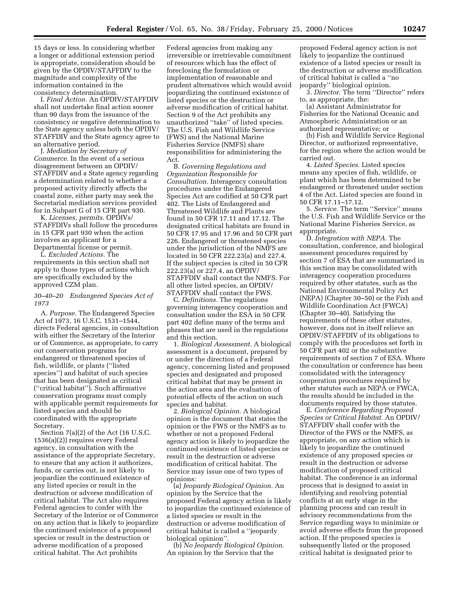15 days or less. In considering whether a longer or additional extension period is appropriate, consideration should be given by the OPDIV/STAFFDIV to the magnitude and complexity of the information contained in the consistency determination.

I. *Final Action.* An OPDIV/STAFFDIV shall not undertake final action sooner than 90 days from the issuance of the consistency or negative determination to the State agency unless both the OPDIV/ STAFFDIV and the State agency agree to an alternative period.

J. *Mediation by Secretary of Commerce.* In the event of a serious disagreement between an OPDIV/ STAFFDIV and a State agency regarding a determination related to whether a proposed activity directly affects the coastal zone, either party may seek the Secretarial mediation services provided for in Subpart G of 15 CFR part 930.

K. *Licenses, permits.* OPDIVs/ STAFFDIVs shall follow the procedures in 15 CFR part 930 when the action involves an applicant for a Departmental license or permit.

L. *Excluded Actions.* The requirements in this section shall not apply to those types of actions which are specifically excluded by the approved CZM plan.

#### *30–40–20 Endangered Species Act of 1973*

A. *Purpose.* The Endangered Species Act of 1973, 16 U.S.C. 1531–1544, directs Federal agencies, in consultation with either the Secretary of the Interior or of Commerce, as appropriate, to carry out conservation programs for endangered or threatened species of fish, wildlife, or plants (''listed species'') and habitat of such species that has been designated as critical (''critical habitat''). Such affirmative conservation programs must comply with applicable permit requirements for listed species and should be coordinated with the appropriate Secretary.

Section 7(a)(2) of the Act (16 U.S.C. 1536(a)(2)) requires every Federal agency, in consultation with the assistance of the appropriate Secretary, to ensure that any action it authorizes, funds, or carries out, is not likely to jeopardize the continued existence of any listed species or result in the destruction or adverse modification of critical habitat. The Act also requires Federal agencies to confer with the Secretary of the Interior or of Commerce on any action that is likely to jeopardize the continued existence of a proposed species or result in the destruction or adverse modification of a proposed critical habitat. The Act prohibits

Federal agencies from making any irreversible or irretrievable commitment of resources which has the effect of foreclosing the formulation or implementation of reasonable and prudent alternatives which would avoid jeopardizing the continued existence of listed species or the destruction or adverse modification of critical habitat. Section 9 of the Act prohibits any unauthorized ''take'' of listed species. The U.S. Fish and Wildlife Service (FWS) and the National Marine Fisheries Service (NMFS) share responsibilities for administering the Act.

B. *Governing Regulations and Organization Responsible for Consultation.* Interagency consultation procedures under the Endangered Species Act are codified at 50 CFR part 402. The Lists of Endangered and Threatened Wildlife and Plants are found in 50 CFR 17.11 and 17.12. The designated critical habitats are found in 50 CFR 17.95 and 17.96 and 50 CFR part 226. Endangered or threatened species under the jurisdiction of the NMFS are located in 50 CFR 222.23(a) and 227.4. If the subject species is cited in 50 CFR 222.23(a) or 227.4, an OPDIV/ STAFFDIV shall contact the NMFS. For all other listed species, an OPDIV/ STAFFDIV shall contact the FWS.

C. *Definitions.* The regulations governing interagency cooperation and consultation under the ESA in 50 CFR part 402 define many of the terms and phrases that are used in the regulations and this section.

1. *Biological Assessment.* A biological assessment is a document, prepared by or under the direction of a Federal agency, concerning listed and proposed species and designated and proposed critical habitat that may be present in the action area and the evaluation of potential effects of the action on such species and habitat.

2. *Biological Opinion.* A biological opinion is the document that states the opinion or the FWS or the NMFS as to whether or not a proposed Federal agency action is likely to jeopardize the continued existence of listed species or result in the destruction or adverse modification of critical habitat. The Service may issue one of two types of opinions:

(a) *Jeopardy Biological Opinion.* An opinion by the Service that the proposed Federal agency action is likely to jeopardize the continued existence of a listed species or result in the destruction or adverse modification of critical habitat is called a ''jeopardy biological opinion''.

(b) *No Jeopardy Biological Opinion.* An opinion by the Service that the

proposed Federal agency action is not likely to jeopardize the continued existence of a listed species or result in the destruction or adverse modification of critical habitat is called a ''no jeopardy'' biological opinion.

3. *Director.* The term ''Director'' refers to, as appropriate, the:

(a) Assistant Administrator for Fisheries for the National Oceanic and Atmospheric Administration or an authorized representative; or

(b) Fish and Wildlife Service Regional Director, or authorized representative, for the region where the action would be carried out.

4. *Listed Species.* Listed species means any species of fish, wildlife, or plant which has been determined to be endangered or threatened under section 4 of the Act. Listed species are found in 50 CFR 17.11–17.12.

5. *Service.* The term ''Service'' means the U.S. Fish and Wildlife Service or the National Marine Fisheries Service, as appropriate.

D. *Integration with NEPA.* The consultation, conference, and biological assessment procedures required by section 7 of ESA that are summarized in this section may be consolidated with interagency cooperation procedures required by other statutes, such as the National Environmental Policy Act (NEPA) (Chapter 30–50) or the Fish and Wildlife Coordination Act (FWCA) (Chapter 30–40). Satisfying the requirements of these other statutes, however, does not in itself relieve an OPDIV/STAFFDIV of its obligations to comply with the procedures set forth in 50 CFR part 402 or the substantive requirements of section 7 of ESA. Where the consultation or conference has been consolidated with the interagency cooperation procedures required by other statutes such as NEPA or FWCA, the results should be included in the documents required by those statutes.

E. *Conference Regarding Proposed Species or Critical Habitat.* An OPDIV/ STAFFDIV shall confer with the Director of the FWS or the NMFS, as appropriate, on any action which is likely to jeopardize the continued existence of any proposed species or result in the destruction or adverse modification of proposed critical habitat. The conference is an informal process that is designed to assist in identifying and resolving potential conflicts at an early stage in the planning process and can result in advisory recommendations from the Service regarding ways to minimize or avoid adverse effects from the proposed action. If the proposed species is subsequently listed or the proposed critical habitat is designated prior to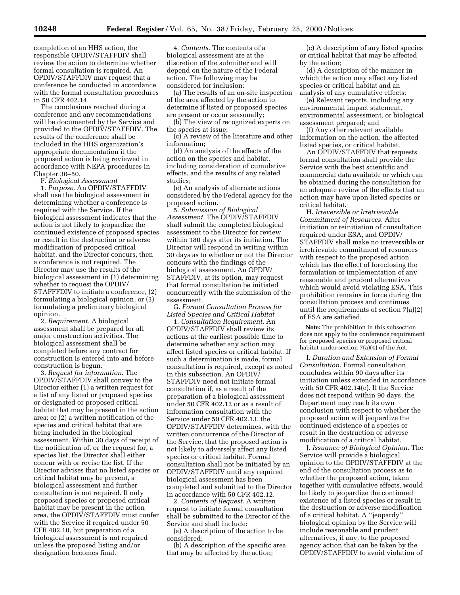completion of an HHS action, the responsible OPDIV/STAFFDIV shall review the action to determine whether formal consultation is required. An OPDIV/STAFFDIV may request that a conference be conducted in accordance with the formal consultation procedures in 50 CFR 402.14.

The conclusions reached during a conference and any recommendations will be documented by the Service and provided to the OPDIV/STAFFDIV. The results of the conference shall be included in the HHS organization's appropriate documentation if the proposed action is being reviewed in accordance with NEPA procedures in Chapter 30–50.

F. *Biological Assessment*

1. *Purpose.* An OPDIV/STAFFDIV shall use the biological assessment in determining whether a conference is required with the Service. If the biological assessment indicates that the action is not likely to jeopardize the continued existence of proposed species or result in the destruction or adverse modification of proposed critical habitat, and the Director concurs, then a conference is not required. The Director may use the results of the biological assessment in (1) determining whether to request the OPDIV/ STAFFFDIV to initiate a conference, (2) formulating a biological opinion, or (3) formulating a preliminary biological opinion.

2. *Requirement.* A biological assessment shall be prepared for all major construction activities. The biological assessment shall be completed before any contract for construction is entered into and before construction is begun.

3. *Request for information.* The OPDIV/STAFFDIV shall convey to the Director either (1) a written request for a list of any listed or proposed species or designated or proposed critical habitat that may be present in the action area; or (2) a written notification of the species and critical habitat that are being included in the biological assessment. Within 30 days of receipt of the notification of, or the request for, a species list, the Director shall either concur with or revise the list. If the Director advises that no listed species or critical habitat may be present, a biological assessment and further consultation is not required. If only proposed species or proposed critical habitat may be present in the action area, the OPDIV/STAFFDIV must confer with the Service if required under 50 CFR 402.10, but preparation of a biological assessment is not required unless the proposed listing and/or designation becomes final.

4. *Contents.* The contents of a biological assessment are at the discretion of the submitter and will depend on the nature of the Federal action. The following may be considered for inclusion:

(a) The results of an on-site inspection of the area affected by the action to determine if listed or proposed species are present or occur seasonally;

(b) The view of recognized experts on the species at issue;

(c) A review of the literature and other information;

(d) An analysis of the effects of the action on the species and habitat, including consideration of cumulative effects, and the results of any related studies;

(e) An analysis of alternate actions considered by the Federal agency for the proposed action.

5. *Submission of Biological Assessment.* The OPDIV/STAFFDIV shall submit the completed biological assessment to the Director for review within 180 days after its initiation. The Director will respond in writing within 30 days as to whether or not the Director concurs with the findings of the biological assessment. An OPDIV/ STAFFDIV, at its option, may request that formal consultation be initiated concurrently with the submission of the assessment.

G. *Formal Consultation Process for Listed Species and Critical Habitat*

1. *Consultation Requirement.* An OPDIV/STAFFDIV shall review its actions at the earliest possible time to determine whether any action may affect listed species or critical habitat. If such a determination is made, formal consultation is required, except as noted in this subsection. An OPDIV/ STAFFDIV need not initiate formal consultation if, as a result of the preparation of a biological assessment under 50 CFR 402.12 or as a result of information consultation with the Service under 50 CFR 402.13, the OPDIV/STAFFDIV determines, with the written concurrence of the Director of the Service, that the proposed action is not likely to adversely affect any listed species or critical habitat. Formal consultation shall not be initiated by an OPDIV/STAFFDIV until any required biological assessment has been completed and submitted to the Director in accordance with 50 CFR 402.12.

2. *Contents of Request.* A written request to initiate formal consultation shall be submitted to the Director of the Service and shall include:

(a) A description of the action to be considered;

(b) A description of the specific area that may be affected by the action;

(c) A description of any listed species or critical habitat that may be affected by the action;

(d) A description of the manner in which the action may affect any listed species or critical habitat and an analysis of any cumulative effects;

(e) Relevant reports, including any environmental impact statement, environmental assessment, or biological assessment prepared; and

(f) Any other relevant available information on the action, the affected listed species, or critical habitat.

An OPDIV/STAFFDIV that requests formal consultation shall provide the Service with the best scientific and commercial data available or which can be obtained during the consultation for an adequate review of the effects that an action may have upon listed species or critical habitat.

H. *Irreversible or Irretrievable Commitment of Resources.* After initiation or reinitiation of consultation required under ESA, and OPDIV/ STAFFDIV shall make no irreversible or irretrievable commitment of resources with respect to the proposed action which has the effect of foreclosing the formulation or implementation of any reasonable and prudent alternatives which would avoid violating ESA. This prohibition remains in force during the consultation process and continues until the requirements of section 7(a)(2) of ESA are satisfied.

**Note:** The prohibition in this subsection does not apply to the conference requirement for proposed species or proposed critical habitat under section 7(a)(4) of the Act.

I. *Duration and Extension of Formal Consultation.* Formal consultation concludes within 90 days after its initiation unless extended in accordance with 50 CFR 402.14(e). If the Service does not respond within 90 days, the Department may reach its own conclusion with respect to whether the proposed action will jeopardize the continued existence of a species or result in the destruction or adverse modification of a critical habitat.

J. *Issuance of Biological Opinion.* The Service will provide a biological opinion to the OPDIV/STAFFDIV at the end of the consultation process as to whether the proposed action, taken together with cumulative effects, would be likely to jeopardize the continued existence of a listed species or result in the destruction or adverse modification of a critical habitat. A ''jeopardy'' biological opinion by the Service will include reasonable and prudent alternatives, if any, to the proposed agency action that can be taken by the OPDIV/STAFFDIV to avoid violation of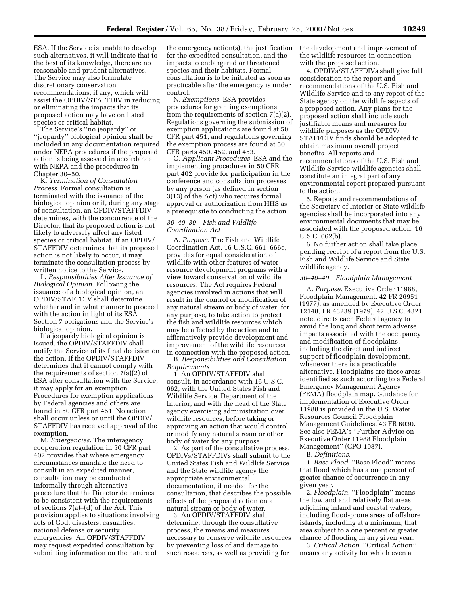ESA. If the Service is unable to develop such alternatives, it will indicate that to the best of its knowledge, there are no reasonable and prudent alternatives. The Service may also formulate discretionary conservation recommendations, if any, which will assist the OPDIV/STAFFDIV in reducing or eliminating the impacts that its proposed action may have on listed species or critical habitat.

The Service's ''no jeopardy'' or ''jeopardy'' biological opinion shall be included in any documentation required under NEPA procedures if the proposed action is being assessed in accordance with NEPA and the procedures in Chapter 30–50.

K. *Termination of Consultation Process.* Formal consultation is terminated with the issuance of the biological opinion or if, during any stage of consultation, an OPDIV/STAFFDIV determines, with the concurrence of the Director, that its proposed action is not likely to adversely affect any listed species or critical habitat. If an OPDIV/ STAFFDIV determines that its proposed action is not likely to occur, it may terminate the consultation process by written notice to the Service.

L. *Responsibilities After Issuance of Biological Opinion.* Following the issuance of a biological opinion, an OPDIV/STAFFDIV shall determine whether and in what manner to proceed with the action in light of its ESA Section 7 obligations and the Service's biological opinion.

If a jeopardy biological opinion is issued, the OPDIV/STAFFDIV shall notify the Service of its final decision on the action. If the OPDIV/STAFFDIV determines that it cannot comply with the requirements of section 7(a)(2) of ESA after consultation with the Service, it may apply for an exemption. Procedures for exemption applications by Federal agencies and others are found in 50 CFR part 451. No action shall occur unless or until the OPDIV/ STAFFDIV has received approval of the exemption.

M. *Emergencies.* The interagency cooperation regulation in 50 CFR part 402 provides that where emergency circumstances mandate the need to consult in an expedited manner, consultation may be conducted informally through alternative procedure that the Director determines to be consistent with the requirements of sections 7(a)–(d) of the Act. This provision applies to situations involving acts of God, disasters, casualties, national defense or security emergencies. An OPDIV/STAFFDIV may request expedited consultation by submitting information on the nature of

the emergency action(s), the justification for the expedited consultation, and the impacts to endangered or threatened species and their habitats. Formal consultation is to be initiated as soon as practicable after the emergency is under control.

N. *Exemptions.* ESA provides procedures for granting exemptions from the requirements of section 7(a)(2). Regulations governing the submission of exemption applications are found at 50 CFR part 451, and regulations governing the exemption process are found at 50 CFR parts 450, 452, and 453.

O. *Applicant Procedures.* ESA and the implementing procedures in 50 CFR part 402 provide for participation in the conference and consultation processes by any person (as defined in section 3(13) of the Act) who requires formal approval or authorization from HHS as a prerequisite to conducting the action.

## *30–40–30 Fish and Wildlife Coordination Act*

A. *Purpose.* The Fish and Wildlife Coordination Act, 16 U.S.C. 661–666c, provides for equal consideration of wildlife with other features of water resource development programs with a view toward conservation of wildlife resources. The Act requires Federal agencies involved in actions that will result in the control or modification of any natural stream or body of water, for any purpose, to take action to protect the fish and wildlife resources which may be affected by the action and to affirmatively provide development and improvement of the wildlife resources in connection with the proposed action.

B. *Responsibilities and Consultation Requirements*

1. An OPDIV/STAFFDIV shall consult, in accordance with 16 U.S.C. 662, with the United States Fish and Wildlife Service, Department of the Interior, and with the head of the State agency exercising administration over wildlife resources, before taking or approving an action that would control or modify any natural stream or other body of water for any purpose.

2. As part of the consultative process, OPDIVs/STAFFDIVs shall submit to the United States Fish and Wildlife Service and the State wildlife agency the appropriate environmental documentation, if needed for the consultation, that describes the possible effects of the proposed action on a natural stream or body of water.

3. An OPDIV/STAFFDIV shall determine, through the consultative process, the means and measures necessary to conserve wildlife resources by preventing loss of and damage to such resources, as well as providing for

the development and improvement of the wildlife resources in connection with the proposed action.

4. OPDIVs/STAFFDIVs shall give full consideration to the report and recommendations of the U.S. Fish and Wildlife Service and to any report of the State agency on the wildlife aspects of a proposed action. Any plans for the proposed action shall include such justifiable means and measures for wildlife purposes as the OPDIV/ STAFFDIV finds should be adopted to obtain maximum overall project benefits. All reports and recommendations of the U.S. Fish and Wildlife Service wildlife agencies shall constitute an integral part of any environmental report prepared pursuant to the action.

5. Reports and recommendations of the Secretary of Interior or State wildlife agencies shall be incorporated into any environmental documents that may be associated with the proposed action. 16 U.S.C. 662(b).

6. No further action shall take place pending receipt of a report from the U.S. Fish and Wildlife Service and State wildlife agency.

#### *30–40–40 Floodplain Management*

A. *Purpose.* Executive Order 11988, Floodplain Management, 42 FR 26951 (1977), as amended by Executive Order 12148, FR 43239 (1979), 42 U.S.C. 4321 note, directs each Federal agency to avoid the long and short term adverse impacts associated with the occupancy and modification of floodplains, including the direct and indirect support of floodplain development, whenever there is a practicable alternative. Floodplains are those areas identified as such according to a Federal Emergency Management Agency (FEMA) floodplain map. Guidance for implementation of Executive Order 11988 is provided in the U.S. Water Resources Council Floodplain Management Guidelines, 43 FR 6030. See also FEMA's ''Further Advice on Executive Order 11988 Floodplain Management'' (GPO 1987).

B. *Definitions.*

1. *Base Flood.* ''Base Flood'' means that flood which has a one percent of greater chance of occurrence in any given year.

2. *Floodplain.* "Floodplain" means the lowland and relatively flat areas adjoining inland and coastal waters, including flood-prone areas of offshore islands, including at a minimum, that area subject to a one percent or greater chance of flooding in any given year.

3. *Critical Action.* ''Critical Action'' means any activity for which even a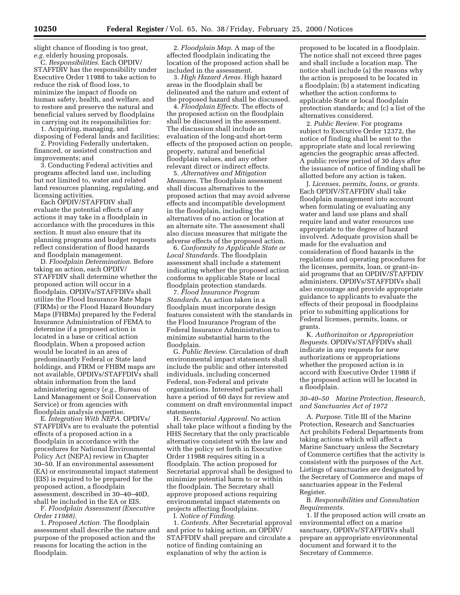slight chance of flooding is too great, *e.g.* elderly housing proposals.

C. *Responsibilities.* Each OPDIV/ STAFFDIV has the responsibility under Executive Order 11988 to take action to reduce the risk of flood loss, to minimize the impact of floods on human safety, health, and welfare, and to restore and preserve the natural and beneficial values served by floodplains in carrying out its responsibilities for:

1. Acquiring, managing, and disposing of Federal lands and facilities;

2. Providing Federally undertaken, financed, or assisted construction and improvements; and

3. Conducting Federal activities and programs affected land use, including but not limited to, water and related land resources planning, regulating, and licensing activities.

Each OPDIV/STAFFDIV shall evaluate the potential effects of any actions it may take in a floodplain in accordance with the procedures in this section. It must also ensure that its planning programs and budget requests reflect consideration of flood hazards and floodplain management.

D. *Floodplain Determination.* Before taking an action, each OPDIV/ STAFFDIV shall determine whether the proposed action will occur in a floodplain. OPDIVs/STAFFDIVs shall utilize the Flood Insurance Rate Maps (FIRMs) or the Flood Hazard Boundary Maps (FHBMs) prepared by the Federal Insurance Administration of FEMA to determine if a proposed action is located in a base or critical action floodplain. When a proposed action would be located in an area of predominantly Federal or State land holdings, and FIRM or FHBM maps are not available, OPDIVs/STAFFDIVs shall obtain information from the land administering agency (*e.g.,* Bureau of Land Management or Soil Conservation Service) or from agencies with floodplain analysis expertise.

E. *Integration With NEPA.* OPDIVs/ STAFFDIVs are to evaluate the potential effects of a proposed action in a floodplain in accordance with the procedures for National Environmental Policy Act (NEPA) review in Chapter 30–50. If an environmental assessment (EA) or environmental impact statement (EIS) is required to be prepared for the proposed action, a floodplain assessment, described in 30–40–40D, shall be included in the EA or EIS.

F. *Floodplain Assessment (Executive Order 11988).*

1. *Proposed Action.* The floodplain assessment shall describe the nature and purpose of the proposed action and the reasons for locating the action in the floodplain.

2. *Floodplain Map.* A map of the affected floodplain indicating the location of the proposed action shall be included in the assessment.

3. *High Hazard Areas.* High hazard areas in the floodplain shall be delineated and the nature and extent of the proposed hazard shall be discussed.

4. *Floodplain Effects.* The effects of the proposed action on the floodplain shall be discussed in the assessment. The discussion shall include an evaluation of the long-and short-term effects of the proposed action on people, property, natural and beneficial floodplain values, and any other relevant direct or indirect effects.

5. *Alternatives and Mitigation Measures.* The floodplain assessment shall discuss alternatives to the proposed action that may avoid adverse effects and incompatible development in the floodplain, including the alternatives of no action or location at an alternate site. The assessment shall also discuss measures that mitigate the adverse effects of the proposed action.

6. *Conformity to Applicable State or Local Standards.* The floodplain assessment shall include a statement indicating whether the proposed action conforms to applicable State or local floodplain protection standards.

7. *Flood Insurance Program Standards.* An action taken in a floodplain must incorporate design features consistent with the standards in the Flood Insurance Program of the Federal Insurance Administration to minimize substantial harm to the floodplain.

G. *Public Review.* Circulation of draft environmental impact statements shall include the public and other interested individuals, including concerned Federal, non-Federal and private organizations. Interested parties shall have a period of 60 days for review and comment on draft environmental impact statements.

H. *Secretarial Approval.* No action shall take place without a finding by the HHS Secretary that the only practicable alternative consistent with the law and with the policy set forth in Executive Order 11988 requires siting in a floodplain. The action proposed for Secretarial approval shall be designed to minimize potential harm to or within the floodplain. The Secretary shall approve proposed actions requiring environmental impact statements on projects affecting floodplains. I. *Notice of Finding*.

1. *Contents.* After Secretarial approval and prior to taking action, an OPDIV/ STAFFDIV shall prepare and circulate a notice of finding containing an explanation of why the action is

proposed to be located in a floodplain. The notice shall not exceed three pages and shall include a location map. The notice shall include (a) the reasons why the action is proposed to be located in a floodplain; (b) a statement indicating whether the action conforms to applicable State or local floodplain protection standards; and (c) a list of the alternatives considered.

2. *Public Review.* For programs subject to Executive Order 12372, the notice of finding shall be sent to the appropriate state and local reviewing agencies the geographic areas affected. A public review period of 30 days after the issuance of notice of finding shall be allotted before any action is taken.

J. *Licenses, permits, loans, or grants.* Each OPDIV/STAFFDIV shall take floodplain management into account when formulating or evaluating any water and land use plans and shall require land and water resources use appropriate to the degree of hazard involved. Adequate provision shall be made for the evaluation and consideration of flood hazards in the regulations and operating procedures for the licenses, permits, loan, or grant-inaid programs that an OPDIV/STAFFDIV administers. OPDIVs/STAFFDIVs shall also encourage and provide appropriate guidance to applicants to evaluate the effects of their proposal in floodplains prior to submitting applications for Federal licenses, permits, loans, or grants.

K. *Authorizaiton or Appropriation Requests.* OPDIVs/STAFFDIVs shall indicate in any requests for new authorizations or appropriations whether the proposed action is in accord with Executive Order 11988 if the proposed action will be located in a floodplain.

*30–40–50 Marine Protection, Research, and Sanctuaries Act of 1972*

A. *Purpose.* Title III of the Marine Protection, Research and Sanctuaries Act prohibits Federal Departments from taking actions which will affect a Marine Sanctuary unless the Secretary of Commerce certifies that the activity is consistent with the purposes of the Act. Listings of sanctuaries are designated by the Secretary of Commerce and maps of sanctuaries appear in the Federal Register.

B. *Responsibilities and Consultation Requirements.*

1. If the proposed action will create an environmental effect on a marine sanctuary, OPDIVs/STAFFDIVs shall prepare an appropriate environmental document and forward it to the Secretary of Commerce.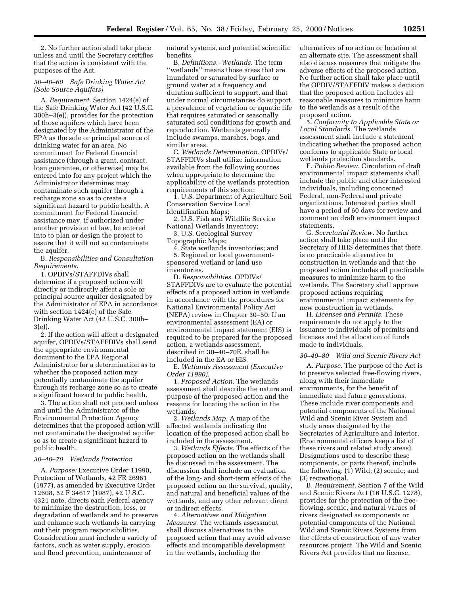2. No further action shall take place unless and until the Secretary certifies that the action is consistent with the purposes of the Act.

## *30–40–60 Safe Drinking Water Act (Sole Source Aquifers)*

A. *Requirement.* Section 1424(e) of the Safe Drinking Water Act (42 U.S.C. 300h–3(e)), provides for the protection of those aquifers which have been designated by the Administrator of the EPA as the sole or principal source of drinking water for an area. No commitment for Federal financial assistance (through a grant, contract, loan guarantee, or otherwise) may be entered into for any project which the Administrator determines may contaminate such aquifer through a recharge zone so as to create a significant hazard to public health. A commitment for Federal financial assistance may, if authorized under another provision of law, be entered into to plan or design the project to assure that it will not so contaminate the aquifer.

B. *Responsibilities and Consultation Requirements.*

1. OPDIVs/STAFFDIVs shall determine if a proposed action will directly or indirectly affect a sole or principal source aquifer designated by the Administrator of EPA in accordance with section 1424(e) of the Safe Drinking Water Act (42 U.S.C. 300h– 3(e)).

2. If the action will affect a designated aquifer, OPDIVs/STAFFDIVs shall send the appropriate environmental document to the EPA Regional Administrator for a determination as to whether the proposed action may potentially contaminate the aquifer through its recharge zone so as to create a significant hazard to public health.

3. The action shall not proceed unless and until the Administrator of the Environmental Protection Agency determines that the proposed action will not contaminate the designated aquifer so as to create a significant hazard to public health.

#### *30–40–70 Wetlands Protection*

A. *Purpose:* Executive Order 11990, Protection of Wetlands, 42 FR 26961 (1977), as amended by Executive Order 12608, 52 F 34617 (1987), 42 U.S.C. 4321 note, directs each Federal agency to minimize the destruction, loss, or degradation of wetlands and to preserve and enhance such wetlands in carrying out their program responsibilities. Consideration must include a variety of factors, such as water supply, erosion and flood prevention, maintenance of

natural systems, and potential scientific benefits.

B. *Definitions.*–*Wetlands.* The term ''wetlands'' means those areas that are inundated or saturated by surface or ground water at a frequency and duration sufficient to support, and that under normal circumstances do support, a prevalence of vegetation or aquatic life that requires saturated or seasonally saturated soil conditions for growth and reproduction. Wetlands generally include swamps, marshes, bogs, and similar areas.

C. *Wetlands Determination.* OPDIVs/ STAFFDIVs shall utilize information available from the following sources when appropriate to determine the applicability of the wetlands protection requirements of this section:

1. U.S. Department of Agriculture Soil Conservation Service Local Identification Maps;

2. U.S. Fish and Wildlife Service National Wetlands Inventory;

3. U.S. Geological Survey Topographic Maps;

4. State wetlands inventories; and

5. Regional or local governmentsponsored wetland or land use inventories.

D. *Responsibilities.* OPDIVs/ STAFFDIVs are to evaluate the potential effects of a proposed action in wetlands in accordance with the procedures for National Environmental Policy Act (NEPA) review in Chapter 30–50. If an environmental assessment (EA) or environmental impact statement (EIS) is required to be prepared for the proposed action, a wetlands assessment, described in 30–40–70E, shall be included in the EA or EIS.

E. *Wetlands Assessment (Executive Order 11990).*

1. *Proposed Action.* The wetlands assessment shall describe the nature and purpose of the proposed action and the reasons for locating the action in the wetlands.

2. *Wetlands Map.* A map of the affected wetlands indicating the location of the proposed action shall be included in the assessment.

3. *Wetlands Effects.* The effects of the proposed action on the wetlands shall be discussed in the assessment. The discussion shall include an evaluation of the long- and short-term effects of the proposed action on the survival, quality, and natural and beneficial values of the wetlands, and any other relevant direct or indirect effects.

4. *Alternatives and Mitigation Measures.* The wetlands assessment shall discuss alternatives to the proposed action that may avoid adverse effects and incompatible development in the wetlands, including the

alternatives of no action or location at an alternate site. The assessment shall also discuss measures that mitigate the adverse effects of the proposed action. No further action shall take place until the OPDIV/STAFFDIV makes a decision that the proposed action includes all reasonable measures to minimize harm to the wetlands as a result of the proposed action.

5. *Conformity to Applicable State or Local Standards.* The wetlands assessment shall include a statement indicating whether the proposed action conforms to applicable State or local wetlands protection standards.

F. *Public Review.* Circulation of draft environmental impact statements shall include the public and other interested individuals, including concerned Federal, non-Federal and private organizations. Interested parties shall have a period of 60 days for review and comment on draft environment impact statements.

G. *Secretarial Review.* No further action shall take place until the Secretary of HHS determines that there is no practicable alternative to construction in wetlands and that the proposed action includes all practicable measures to minimize harm to the wetlands. The Secretary shall approve proposed actions requiring environmental impact statements for new construction in wetlands.

H. *Licenses and Permits.* These requirements do not apply to the issuance to individuals of permits and licenses and the allocation of funds made to individuals.

## *30–40–80 Wild and Scenic Rivers Act*

A. *Purpose.* The purpose of the Act is to preserve selected free-flowing rivers, along with their immediate environments, for the benefit of immediate and future generations. These include river components and potential components of the National Wild and Scenic River System and study areas designated by the Secretaries of Agriculture and Interior. (Environmental officers keep a list of these rivers and related study areas). Designations used to describe these components, or parts thereof, include the following: (1) Wild; (2) scenic; and (3) recreational.

B. *Requirement.* Section 7 of the Wild and Scenic Rivers Act (16 U.S.C. 1278), provides for the protection of the freeflowing, scenic, and natural values of rivers designated as components or potential components of the National Wild and Scenic Rivers Systems from the effects of construction of any water resources project. The Wild and Scenic Rivers Act provides that no license,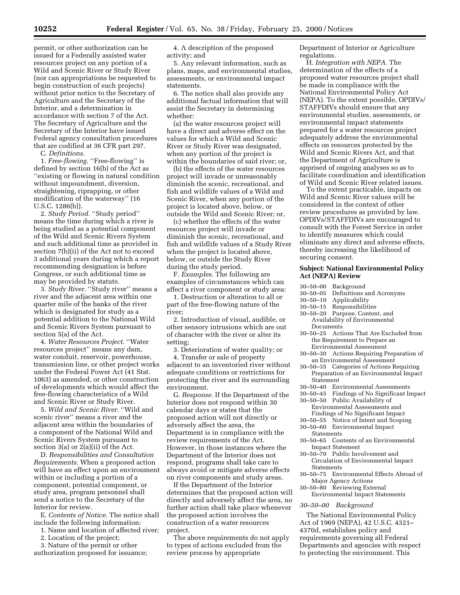permit, or other authorization can be issued for a Federally assisted water resources project on any portion of a Wild and Scenic River or Study River (nor can appropriations be requested to begin construction of such projects) without prior notice to the Secretary of Agriculture and the Secretary of the Interior, and a determination in accordance with section 7 of the Act. The Secretary of Agriculture and the Secretary of the Interior have issued Federal agency consultation procedures that are codified at 36 CFR part 297.

C. *Definitions.*

1. *Free-flowing.* "Free-flowing" is defined by section 16(b) of the Act as ''existing or flowing in natural condition without impoundment, diversion, straightening, riprapping, or other modification of the waterway'' (16 U.S.C. 1286(b)).

2. *Study Period.* ''Study period'' means the time during which a river is being studied as a potential component of the Wild and Scenic Rivers System and such additional time as provided in section 7(b)(ii) of the Act not to exceed 3 additional years during which a report recommending designation is before Congress, or such additional time as may be provided by statute.

3. *Study River.* "Study river" means a river and the adjacent area within one quarter mile of the banks of the river which is designated for study as a potential addition to the National Wild and Scenic Rivers System pursuant to section 5(a) of the Act.

4. *Water Resources Project.* ''Water resources project'' means any dam, water conduit, reservoir, powerhouse, transmission line, or other project works under the Federal Power Act (41 Stat. 1063) as amended, or other construction of developments which would affect the free-flowing characteristics of a Wild and Scenic River or Study River.

5. *Wild and Scenic River.* ''Wild and scenic river'' means a river and the adjacent area within the boundaries of a component of the National Wild and Scenic Rivers System pursuant to section 3(a) or 2(a)(ii) of the Act.

D. *Responsibilities and Consultation Requirements.* When a proposed action will have an effect upon an environment within or including a portion of a component, potential component, or study area, program personnel shall send a notice to the Secretary of the Interior for review.

E. *Contents of Notice.* The notice shall include the following information:

1. Name and location of affected river;

- 2. Location of the project;
- 3. Nature of the permit or other authorization proposed for issuance;

4. A description of the proposed activity; and

5. Any relevant information, such as plans, maps, and environmental studies, assessments, or environmental impact statements.

6. The notice shall also provide any additional factual information that will assist the Secretary in determining whether:

(a) the water resources project will have a direct and adverse effect on the values for which a Wild and Scenic River or Study River was designated, when any portion of the project is within the boundaries of said river; or,

(b) the effects of the water resources project will invade or unreasonably diminish the scenic, recreational, and fish and wildlife values of a Wild and Scenic River, when any portion of the project is located above, below, or outside the Wild and Scenic River; or,

(c) whether the effects of the water resources project will invade or diminish the scenic, recreational, and fish and wildlife values of a Study River when the project is located above, below, or outside the Study River during the study period.

F. *Examples.* The following are examples of circumstances which can affect a river component or study area:

1. Destruction or alteration to all or part of the free-flowing nature of the river;

2. Introduction of visual, audible, or other sensory intrusions which are out of character with the river or alter its setting;

3. Deterioration of water quality; or

4. Transfer or sale of property adjacent to an inventoried river without adequate conditions or restrictions for protecting the river and its surrounding environment.

G. *Response.* If the Department of the Interior does not respond within 30 calendar days or states that the proposed action will not directly or adversely affect the area, the Department is in compliance with the review requirements of the Act. However, in those instances where the Department of the Interior does not respond, programs shall take care to always avoid or mitigate adverse effects on river components and study areas.

If the Department of the Interior determines that the proposed action will directly and adversely affect the area, no further action shall take place whenever the proposed action involves the construction of a water resources project.

The above requirements do not apply to types of actions excluded from the review process by appropriate

Department of Interior or Agriculture regulations.

H. *Integration with NEPA.* The determination of the effects of a proposed water resources project shall be made in compliance with the National Environmental Policy Act (NEPA). To the extent possible, OPDIVs/ STAFFDIVs should ensure that any environmental studies, assessments, or environmental impact statements prepared for a water resources project adequately address the environmental effects on resources protected by the Wild and Scenic Rivers Act, and that the Department of Agriculture is apprised of ongoing analyses so as to facilitate coordination and identification of Wild and Scenic River related issues.

To the extent practicable, impacts on Wild and Scenic River values will be considered in the context of other review procedures as provided by law. OPDIVs/STAFFDIVs are encouraged to consult with the Forest Service in order to identify measures which could eliminate any direct and adverse effects, thereby increasing the likelihood of securing consent.

## **Subject: National Environmental Policy Act (NEPA) Review**

- 30–50–00 Background
- 30–50–05 Definitions and Acronyms
- 30–50–10 Applicability
- 
- 30–50–15 Responsibilities Purpose, Content, and Availability of Environmental Documents
- 30–50–25 Actions That Are Excluded from the Requirement to Prepare an Environmental Assessment
- 30–50–30 Actions Requiring Preparation of an Environmental Assessment
- 30–50–35 Categories of Actions Requiring Preparation of an Environmental Impact
- **Statement**
- 30–50–40 Environmental Assessments
- 30–50–45 Findings of No Significant Impact 30–50–50 Public Availability of Environmental Assessments and Findings of No Significant Impact
- 30–50–55 Notice of Intent and Scoping 30–50–60 Environmental Impact
- Statements 30–50–65 Contents of an Environmental
- Impact Statement
- 30–50–70 Public Involvement and Circulation of Environmental Impact Statements
- 30–50–75 Environmental Effects Abroad of Major Agency Actions
- 30–50–80 Reviewing External Environmental Impact Statements

#### *30–50–00 Background*

The National Environmental Policy Act of 1969 (NEPA), 42 U.S.C. 4321– 4370d, establishes policy and requirements governing all Federal Departments and agencies with respect to protecting the environment. This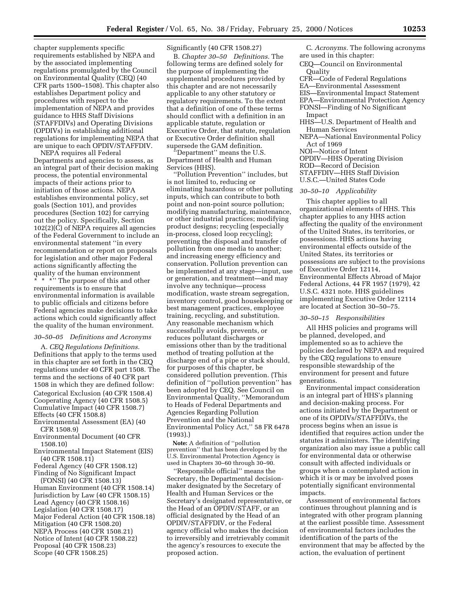chapter supplements specific requirements established by NEPA and by the associated implementing regulations promulgated by the Council on Environmental Quality (CEQ) (40 CFR parts 1500–1508). This chapter also establishes Department policy and procedures with respect to the implementation of NEPA and provides guidance to HHS Staff Divisions (STAFFDIVs) and Operating Divisions (OPDIVs) in establishing additional regulations for implementing NEPA that are unique to each OPDIV/STAFFDIV.

NEPA requires all Federal Departments and agencies to assess, as an integral part of their decision making process, the potential environmental impacts of their actions prior to initiation of those actions. NEPA establishes environmental policy, set goals (Section 101), and provides procedures (Section 102) for carrying out the policy. Specifically, Section  $102(2)(\overline{C})$  of NEPA requires all agencies of the Federal Government to include an environmental statement ''in every recommendation or report on proposals for legislation and other major Federal actions significantly affecting the quality of the human environment

 $\frac{1}{x}$  \* \*" The purpose of this and other requirements is to ensure that environmental information is available to public officials and citizens before Federal agencies make decisions to take actions which could significantly affect the quality of the human environment.

#### *30–50–05 Definitions and Acronyms*

A. *CEQ Regulations Definitions.* Definitions that apply to the terms used in this chapter are set forth in the CEQ regulations under 40 CFR part 1508. The terms and the sections of 40 CFR part 1508 in which they are defined follow: Categorical Exclusion (40 CFR 1508.4) Cooperating Agency (40 CFR 1508.5) Cumulative Impact (40 CFR 1508.7) Effects (40 CFR 1508.8)

Environmental Assessment (EA) (40 CFR 1508.9)

- Environmental Document (40 CFR 1508.10)
- Environmental Impact Statement (EIS) (40 CFR 1508.11)
- Federal Agency (40 CFR 1508.12) Finding of No Significant Impact

(FONSI) (40 CFR 1508.13) Human Environment (40 CFR 1508.14) Jurisdiction by Law (40 CFR 1508.15) Lead Agency (40 CFR 1508.16) Legislation (40 CFR 1508.17) Major Federal Action (40 CFR 1508.18) Mitigation (40 CFR 1508.20) NEPA Process (40 CFR 1508.21) Notice of Intent (40 CFR 1508.22) Proposal (40 CFR 1508.23) Scope (40 CFR 1508.25)

## Significantly (40 CFR 1508.27)

B. *Chapter 30–50 Definitions.* The following terms are defined solely for the purpose of implementing the supplemental procedures provided by this chapter and are not necessarily applicable to any other statutory or regulatory requirements. To the extent that a definition of one of these terms should conflict with a definition in an applicable statute, regulation or Executive Order, that statute, regulation or Executive Order definition shall supersede the GAM definition.

'Department'' means the U.S. Department of Health and Human Services (HHS).

''Pollution Prevention'' includes, but is not limited to, reducing or eliminating hazardous or other polluting inputs, which can contribute to both point and non-point source pollution; modifying manufacturing, maintenance, or other industrial practices; modifying product designs; recycling (especially in-process, closed loop recycling); preventing the disposal and transfer of pollution from one media to another; and increasing energy efficiency and conservation. Pollution prevention can be implemented at any stage—input, use or generation, and treatment—and may involve any technique—process modification, waste stream segregation, inventory control, good housekeeping or best management practices, employee training, recycling, and substitution. Any reasonable mechanism which successfully avoids, prevents, or reduces pollutant discharges or emissions other than by the traditional method of treating pollution at the discharge end of a pipe or stack should, for purposes of this chapter, be considered pollution prevention. (This definition of ''pollution prevention'' has been adopted by CEQ. See Council on Environmental Quality, ''Memorandum to Heads of Federal Departments and Agencies Regarding Pollution Prevention and the National Environmental Policy Act,'' 58 FR 6478 (1993).)

**Note:** A definition of ''pollution prevention'' that has been developed by the U.S. Environmental Protection Agency is used in Chapters 30–60 through 30–90.

''Responsible official'' means the Secretary, the Departmental decisionmaker designated by the Secretary of Health and Human Services or the Secretary's designated representative, or the Head of an OPDIV/STAFF, or an official designated by the Head of an OPDIV/STAFFDIV, or the Federal agency official who makes the decision to irreversibly and irretrievably commit the agency's resources to execute the proposed action.

C. *Acronyms.* The following acronyms are used in this chapter:

CEQ—Council on Environmental **Ouality** 

CFR—Code of Federal Regulations EA—Environmental Assessment EIS—Environmental Impact Statement EPA—Environmental Protection Agency FONSI—Finding of No Significant Impact

HHS—U.S. Department of Health and Human Services

- NEPA—National Environmental Policy Act of 1969
- NOI—Notice of Intent

OPDIV—HHS Operating Division ROD—Record of Decision

STAFFDIV—HHS Staff Division

U.S.C.—United States Code

#### *30–50–10 Applicability*

This chapter applies to all organizational elements of HHS. This chapter applies to any HHS action affecting the quality of the environment of the United States, its territories, or possessions. HHS actions having environmental effects outside of the United States, its territories or possessions are subject to the provisions of Executive Order 12114, Environmental Effects Abroad of Major Federal Actions, 44 FR 1957 (1979), 42 U.S.C. 4321 note. HHS guidelines implementing Executive Order 12114 are located at Section 30–50–75.

#### *30–50–15 Responsibilities*

All HHS policies and programs will be planned, developed, and implemented so as to achieve the policies declared by NEPA and required by the CEQ regulations to ensure responsible stewardship of the environment for present and future generations.

Environmental impact consideration is an integral part of HHS's planning and decision-making process. For actions initiated by the Department or one of its OPDIVs/STAFFDIVs, the process begins when an issue is identified that requires action under the statutes it administers. The identifying organization also may issue a public call for environmental data or otherwise consult with affected individuals or groups when a contemplated action in which it is or may be involved poses potentially significant environmental impacts.

Assessment of environmental factors continues throughout planning and is integrated with other program planning at the earliest possible time. Assessment of environmental factors includes the identification of the parts of the environment that may be affected by the action, the evaluation of pertinent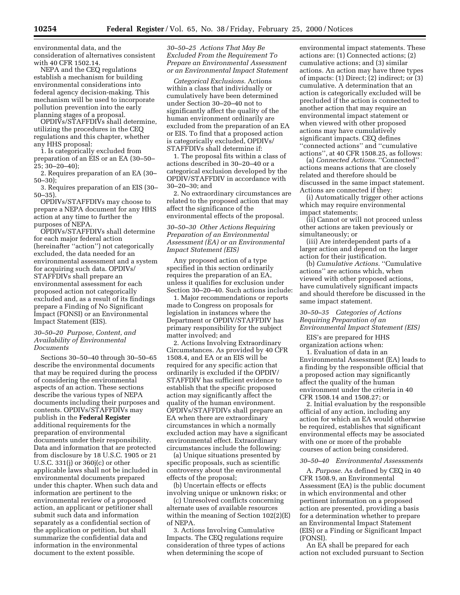environmental data, and the consideration of alternatives consistent with 40 CFR 1502.14.

NEPA and the CEQ regulations establish a mechanism for building environmental considerations into federal agency decision-making. This mechanism will be used to incorporate pollution prevention into the early planning stages of a proposal.

OPDIVs/STAFFDIVs shall determine, utilizing the procedures in the CEQ regulations and this chapter, whether any HHS proposal:

1. Is categorically excluded from preparation of an EIS or an EA (30–50– 25; 30–20–40);

2. Requires preparation of an EA (30– 50–30);

3. Requires preparation of an EIS (30– 50–35).

OPDIVs/STAFFDIVs may choose to prepare a NEPA document for any HHS action at any time to further the purposes of NEPA.

OPDIVs/STAFFDIVs shall determine for each major federal action (hereinafter ''action'') not categorically excluded, the data needed for an environmental assessment and a system for acquiring such data. OPDIVs/ STAFFDIVs shall prepare an environmental assessment for each proposed action not categorically excluded and, as a result of its findings prepare a Finding of No Significant Impact (FONSI) or an Environmental Impact Statement (EIS).

#### *30–50–20 Purpose, Content, and Availability of Environmental Documents*

Sections 30–50–40 through 30–50–65 describe the environmental documents that may be required during the process of considering the environmental aspects of an action. These sections describe the various types of NEPA documents including their purposes and contents. OPDIVs/STAFFDIVs may publish in the **Federal Register** additional requirements for the preparation of environmental documents under their responsibility. Data and information that are protected from disclosure by 18 U.S.C. 1905 or 21 U.S.C. 331(j) or 360j(c) or other applicable laws shall not be included in environmental documents prepared under this chapter. When such data and information are pertinent to the environmental review of a proposed action, an applicant or petitioner shall submit such data and information separately as a confidential section of the application or petition, but shall summarize the confidential data and information in the environmental document to the extent possible.

## *30–50–25 Actions That May Be Excluded From the Requirement To Prepare an Environmental Assessment or an Environmental Impact Statement*

*Categorical Exclusions.* Actions within a class that individually or cumulatively have been determined under Section 30–20–40 not to significantly affect the quality of the human environment ordinarily are excluded from the preparation of an EA or EIS. To find that a proposed action is categorically excluded, OPDIVs/ STAFFDIVs shall determine if:

1. The proposal fits within a class of actions described in 30–20–40 or a categorical exclusion developed by the OPDIV/STAFFDIV in accordance with 30–20–30; and

2. No extraordinary circumstances are related to the proposed action that may affect the significance of the environmental effects of the proposal.

## *30–50–30 Other Actions Requiring Preparation of an Environmental Assessment (EA) or an Environmental Impact Statement (EIS)*

Any proposed action of a type specified in this section ordinarily requires the preparation of an EA, unless it qualifies for exclusion under Section 30–20–40. Such actions include:

1. Major recommendations or reports made to Congress on proposals for legislation in instances where the Department or OPDIV/STAFFDIV has primary responsibility for the subject matter involved; and

2. Actions Involving Extraordinary Circumstances. As provided by 40 CFR 1508.4, and EA or an EIS will be required for any specific action that ordinarily is excluded if the OPDIV/ STAFFDIV has sufficient evidence to establish that the specific proposed action may significantly affect the quality of the human environment. OPDIVs/STAFFDIVs shall prepare an EA when there are extraordinary circumstances in which a normally excluded action may have a significant environmental effect. Extraordinary circumstances include the following:

(a) Unique situations presented by specific proposals, such as scientific controversy about the environmental effects of the proposal;

(b) Uncertain effects or effects involving unique or unknown risks; or

(c) Unresolved conflicts concerning alternate uses of available resources within the meaning of Section 102(2)(E) of NEPA.

3. Actions Involving Cumulative Impacts. The CEQ regulations require consideration of three types of actions when determining the scope of

environmental impact statements. These actions are: (1) Connected actions; (2) cumulative actions; and (3) similar actions. An action may have three types of impacts: (1) Direct; (2) indirect; or (3) cumulative. A determination that an action is categorically excluded will be precluded if the action is connected to another action that may require an environmental impact statement or when viewed with other proposed actions may have cumulatively significant impacts. CEQ defines ''connected actions'' and ''cumulative actions'', at 40 CFR 1508.25, as follows:

(a) *Connected Actions.* ''Connected'' actions means actions that are closely related and therefore should be discussed in the same impact statement. Actions are connected if they:

(i) Automatically trigger other actions which may require environmental impact statements;

(ii) Cannot or will not proceed unless other actions are taken previously or simultaneously; or

(iii) Are interdependent parts of a larger action and depend on the larger action for their justification.

(b) *Cumulative Actions.* ''Cumulative actions'' are actions which, when viewed with other proposed actions, have cumulatively significant impacts and should therefore be discussed in the same impact statement.

## *30–50–35 Categories of Actions Requiring Preparation of an Environmental Impact Statement (EIS)*

EIS's are prepared for HHS organization actions when:

1. Evaluation of data in an Environmental Assessment (EA) leads to a finding by the responsible official that a proposed action may significantly affect the quality of the human environment under the criteria in 40 CFR 1508.14 and 1508.27; or

2. Initial evaluation by the responsible official of any action, including any action for which an EA would otherwise be required, establishes that significant environmental effects may be associated with one or more of the probable courses of action being considered.

#### *30–50–40 Environmental Assessments*

A. *Purpose.* As defined by CEQ in 40 CFR 1508.9, an Environmental Assessment (EA) is the public document in which environmental and other pertinent information on a proposed action are presented, providing a basis for a determination whether to prepare an Environmental Impact Statement (EIS) or a Finding or Significant Impact (FONSI).

An EA shall be prepared for each action not excluded pursuant to Section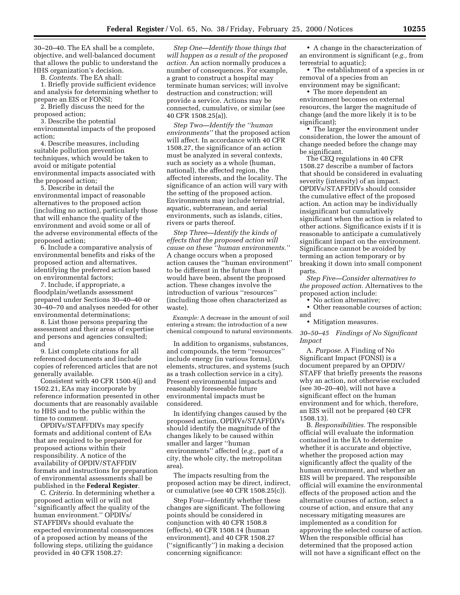30–20–40. The EA shall be a complete, objective, and well-balanced document that allows the public to understand the HHS organization's decision.

B. *Contents.* The EA shall:

1. Briefly provide sufficient evidence and analysis for determining whether to prepare an EIS or FONSI;

2. Briefly discuss the need for the proposed action;

3. Describe the potential

environmental impacts of the proposed action;

4. Describe measures, including suitable pollution prevention techniques, which would be taken to avoid or mitigate potential environmental impacts associated with the proposed action;

5. Describe in detail the environmental impact of reasonable alternatives to the proposed action (including no action), particularly those that will enhance the quality of the environment and avoid some or all of the adverse environmental effects of the proposed action;

6. Include a comparative analysis of environmental benefits and risks of the proposed action and alternatives, identifying the preferred action based on environmental factors;

7. Include, if appropriate, a floodplain/wetlands assessment prepared under Sections 30–40–40 or 30–40–70 and analyses needed for other environmental determinations;

8. List those persons preparing the assessment and their areas of expertise and persons and agencies consulted; and

9. List complete citations for all referenced documents and include copies of referenced articles that are not generally available.

Consistent with 40 CFR 1500.4(j) and 1502.21, EAs may incorporate by reference information presented in other documents that are reasonably available to HHS and to the public within the time to comment.

OPDIVs/STAFFDIVs may specify formats and additional content of EAs that are required to be prepared for proposed actions within their responsibility. A notice of the availability of OPDIV/STAFFDIV formats and instructions for preparation of environmental assessments shall be published in the **Federal Register**.

C. *Criteria.* In determining whether a proposed action will or will not 'significantly affect the quality of the human environment.'' OPDIVs/ STAFFDIVs should evaluate the expected environmental consequences of a proposed action by means of the following steps, utilizing the guidance provided in 40 CFR 1508.27:

*Step One—Identify those things that will happen as a result of the proposed action.* An action normally produces a number of consequences. For example, a grant to construct a hospital may terminate human services; will involve destruction and construction; will provide a service. Actions may be connected, cumulative, or similar (see 40 CFR 1508.25(a)).

*Step Two—Identify the ''human environments''* that the proposed action will affect. In accordance with 40 CFR 1508.27, the significance of an action must be analyzed in several contexts, such as society as a whole (human, national), the affected region, the affected interests, and the locality. The significance of an action will vary with the setting of the proposed action. Environments may include terrestrial, aquatic, subterranean, and aerial environments, such as islands, cities, rivers or parts thereof.

*Step Three—Identify the kinds of effects that the proposed action will cause on these ''human environments.''* A change occurs when a proposed action causes the ''human environment'' to be different in the future than it would have been, absent the proposed action. These changes involve the introduction of various ''resources'' (including those often characterized as waste).

*Example:* A decrease in the amount of soil entering a stream; the introduction of a new chemical compound to natural environments.

In addition to organisms, substances, and compounds, the term ''resources'' include energy (in various forms), elements, structures, and systems (such as a trash collection service in a city). Present environmental impacts and reasonably foreseeable future environmental impacts must be considered.

In identifying changes caused by the proposed action, OPDIVs/STAFFDIVs should identify the magnitude of the changes likely to be caused within smaller and larger ''human environments'' affected (*e.g.,* part of a city, the whole city, the metropolitan area).

The impacts resulting from the proposed action may be direct, indirect, or cumulative (see 40 CFR 1508.25(c)).

Step Four—Identify whether these changes are significant. The following points should be considered in conjunction with 40 CFR 1508.8 (effects), 40 CFR 1508.14 (human environment), and 40 CFR 1508.27 (''significantly'') in making a decision concerning significance:

• A change in the characterization of an environment is significant (*e.g.,* from terrestrial to aquatic);

• The establishment of a species in or removal of a species from an

environment may be significant; • The more dependent an environment becomes on external resources, the larger the magnitude of change (and the more likely it is to be significant);

• The larger the environment under consideration, the lower the amount of change needed before the change may be significant.

The CEQ regulations in 40 CFR 1508.27 describe a number of factors that should be considered in evaluating severity (intensity) of an impact. OPDIVs/STAFFDIVs should consider the cumulative effect of the proposed action. An action may be individually insignificant but cumulatively significant when the action is related to other actions. Significance exists if it is reasonable to anticipate a cumulatively significant impact on the environment. Significance cannot be avoided by terming an action temporary or by breaking it down into small component parts.

*Step Five—Consider alternatives to the proposed action.* Alternatives to the proposed action include:

• No action alternative:

• Other reasonable courses of action; and

• Mitigation measures.

*30–50–45 Findings of No Significant Impact*

A. *Purpose.* A Finding of No Significant Impact (FONSI) is a document prepared by an OPDIV/ STAFF that briefly presents the reasons why an action, not otherwise excluded (see 30–20–40), will not have a significant effect on the human environment and for which, therefore, an EIS will not be prepared (40 CFR 1508.13).

B. *Responsibilities.* The responsible official will evaluate the information contained in the EA to determine whether it is accurate and objective, whether the proposed action may significantly affect the quality of the human environment, and whether an EIS will be prepared. The responsible official will examine the environmental effects of the proposed action and the alternative courses of action, select a course of action, and ensure that any necessary mitigating measures are implemented as a condition for approving the selected course of action. When the responsible official has determined that the proposed action will not have a significant effect on the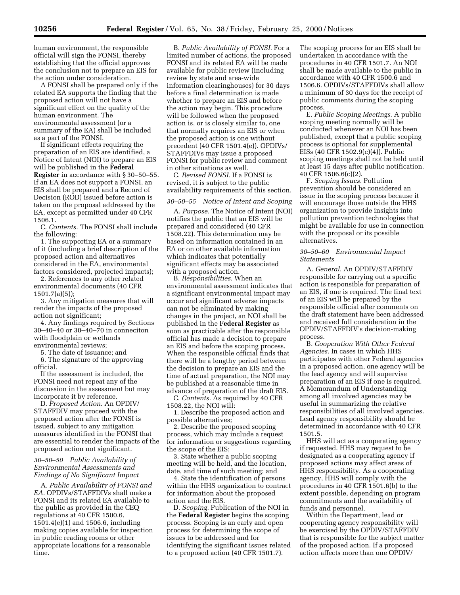human environment, the responsible official will sign the FONSI, thereby establishing that the official approves the conclusion not to prepare an EIS for the action under consideration.

A FONSI shall be prepared only if the related EA supports the finding that the proposed action will not have a significant effect on the quality of the human environment. The environmental assessment (or a summary of the EA) shall be included as a part of the FONSI.

If significant effects requiring the preparation of an EIS are identified, a Notice of Intent (NOI) to prepare an EIS will be published in the **Federal Register** in accordance with § 30–50–55. If an EA does not support a FONSI, an EIS shall be prepared and a Record of Decision (ROD) issued before action is taken on the proposal addressed by the EA, except as permitted under 40 CFR 1506.1.

C. *Contents.* The FONSI shall include the following:

1. The supporting EA or a summary of it (including a brief description of the proposed action and alternatives considered in the EA, environmental factors considered, projected impacts);

2. References to any other related environmental documents (40 CFR 1501.7(a)(5));

3. Any mitigation measures that will render the impacts of the proposed action not significant;

4. Any findings required by Sections 30–40–40 or 30–40–70 in conneciton with floodplain or wetlands environmental reviews;

5. The date of issuance; and

6. The signature of the approving official.

If the assessment is included, the FONSI need not repeat any of the discussion in the assessment but may incorporate it by reference.

D. *Proposed Action.* An OPDIV/ STAFFDIV may proceed with the proposed action after the FONSI is issued, subject to any mitigation measures identified in the FONSI that are essential to render the impacts of the proposed action not significant.

## *30–50–50 Public Availability of Environmental Assessments and Findings of No Significant Impact*

A. *Public Availability of FONSI and EA.* OPDIVs/STAFFDIVs shall make a FONSI and its related EA available to the public as provided in the CEQ regulations at 40 CFR 1500.6, 1501.4(e)(1) and 1506.6, including making copies available for inspection in public reading rooms or other appropriate locations for a reasonable time.

B. *Public Availability of FONSI.* For a limited number of actions, the proposed FONSI and its related EA will be made available for public review (including review by state and area-wide information clearinghouses) for 30 days before a final determination is made whether to prepare an EIS and before the action may begin. This procedure will be followed when the proposed action is, or is closely similar to, one that normally requires an EIS or when the proposed action is one without precedent (40 CFR 1501.4(e)). OPDIVs/ STAFFDIVs may issue a proposed FONSI for public review and comment in other situations as well.

C. *Revised FONSI.* If a FONSI is revised, it is subject to the public availability requirements of this section.

## *30–50–55 Notice of Intent and Scoping*

A. *Purpose.* The Notice of Intent (NOI) notifies the public that an EIS will be prepared and considered (40 CFR 1508.22). This determination may be based on information contained in an EA or on other available information which indicates that potentially significant effects may be associated with a proposed action.

B. *Responsibilities.* When an environmental assessment indicates that a significant environmental impact may occur and significant adverse impacts can not be eliminated by making changes in the project, an NOI shall be published in the **Federal Register** as soon as practicable after the responsible official has made a decision to prepare an EIS and before the scoping process. When the responsible official finds that there will be a lengthy period between the decision to prepare an EIS and the time of actual preparation, the NOI may be published at a reasonable time in advance of preparation of the draft EIS. C. *Contents.* As required by 40 CFR

1508.22, the NOI will:

1. Describe the proposed action and possible alternatives;

2. Describe the proposed scoping process, which may include a request for information or suggestions regarding the scope of the EIS;

3. State whether a public scoping meeting will be held, and the location, date, and time of such meeting; and

4. State the identification of persons within the HHS organization to contract for information about the proposed action and the EIS.

D. *Scoping.* Publication of the NOI in the **Federal Register** begins the scoping process. Scoping is an early and open process for determining the scope of issues to be addressed and for identifying the significant issues related to a proposed action (40 CFR 1501.7).

The scoping process for an EIS shall be undertaken in accordance with the procedures in 40 CFR 1501.7. An NOI shall be made available to the public in accordance with 40 CFR 1500.6 and 1506.6. OPDIVs/STAFFDIVs shall allow a minimum of 30 days for the receipt of public comments during the scoping process.

E. *Public Scoping Meetings.* A public scoping meeting normally will be conducted whenever an NOI has been published, except that a public scoping process is optional for supplemental EISs (40 CFR 1502.9(c)(4)). Public scoping meetings shall not be held until at least 15 days after public notification. 40 CFR 1506.6(c)(2).

F. *Scoping Issues.* Pollution prevention should be considered an issue in the scoping process because it will encourage those outside the HHS organization to provide insights into pollution prevention technologies that might be available for use in connection with the proposal or its possible alternatives.

#### *30–50–60 Environmental Impact Statements*

A. *General.* An OPDIV/STAFFDIV responsible for carrying out a specific action is responsible for preparation of an EIS, if one is required. The final text of an EIS will be prepared by the responsible official after comments on the draft statement have been addressed and received full consideration in the OPDIV/STAFFDIV's decision-making process.

B. *Cooperation With Other Federal Agencies.* In cases in which HHS participates with other Federal agencies in a proposed action, one agency will be the lead agency and will supervise preparation of an EIS if one is required. A Memorandum of Understanding among all involved agencies may be useful in summarizing the relative responsibilities of all involved agencies. Lead agency responsibility should be determined in accordance with 40 CFR 1501.5.

HHS will act as a cooperating agency if requested. HHS may request to be designated as a cooperating agency if proposed actions may affect areas of HHS responsibility. As a cooperating agency, HHS will comply with the procedures in 40 CFR 1501.6(b) to the extent possible, depending on program commitments and the availability of funds and personnel.

Within the Department, lead or cooperating agency responsibility will be exercised by the OPDIV/STAFFDIV that is responsible for the subject matter of the proposed action. If a proposed action affects more than one OPDIV/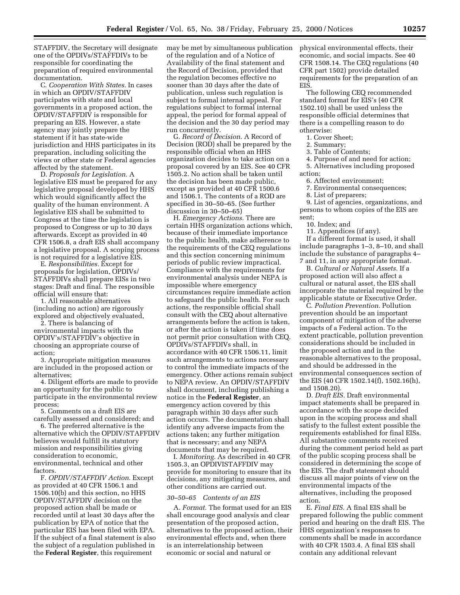STAFFDIV, the Secretary will designate one of the OPDIVs/STAFFDIVs to be responsible for coordinating the preparation of required environmental documentation.

C. *Cooperation With States.* In cases in which an OPDIV/STAFFDIV participates with state and local governments in a proposed action, the OPDIV/STAFFDIV is responsible for preparing an EIS. However, a state agency may jointly prepare the statement if it has state-wide jurisdiction and HHS participates in its preparation, including soliciting the views or other state or Federal agencies affected by the statement.

D. *Proposals for Legislation.* A legislative EIS must be prepared for any legislative proposal developed by HHS which would significantly affect the quality of the human environment. A legislative EIS shall be submitted to Congress at the time the legislation is proposed to Congress or up to 30 days afterwards. Except as provided in 40 CFR 1506.8, a draft EIS shall accompany a legislative proposal. A scoping process is not required for a legislative EIS.

E. *Responsibilities.* Except for proposals for legislation, OPDIVs/ STAFFDIVs shall prepare EISs in two stages: Draft and final. The responsible official will ensure that:

1. All reasonable alternatives (including no action) are rigorously explored and objectively evaluated,

2. There is balancing of environmental impacts with the OPDIV's/STAFFDIV's objective in choosing an appropriate course of action;

3. Appropriate mitigation measures are included in the proposed action or alternatives;

4. Diligent efforts are made to provide an opportunity for the public to participate in the environmental review process;

5. Comments on a draft EIS are carefully assessed and considered; and

6. The preferred alternative is the alternative which the OPDIV/STAFFDIV believes would fulfill its statutory mission and responsibilities giving consideration to economic, environmental, technical and other factors.

F. *OPDIV/STAFFDIV Action.* Except as provided at 40 CFR 1506.1 and 1506.10(b) and this section, no HHS OPDIV/STAFFDIV decision on the proposed action shall be made or recorded until at least 30 days after the publication by EPA of notice that the particular EIS has been filed with EPA. If the subject of a final statement is also the subject of a regulation published in the **Federal Register**, this requirement

may be met by simultaneous publication of the regulation and of a Notice of Availability of the final statement and the Record of Decision, provided that the regulation becomes effective no sooner than 30 days after the date of publication, unless such regulation is subject to formal internal appeal. For regulations subject to formal internal appeal, the period for formal appeal of the decision and the 30 day period may run concurrently.

G. *Record of Decision.* A Record of Decision (ROD) shall be prepared by the responsible official when an HHS organization decides to take action on a proposal covered by an EIS. See 40 CFR 1505.2. No action shall be taken until the decision has been made public, except as provided at 40 CFR 1500.6 and 1506.1. The contents of a ROD are specified in 30–50–65. (See further discussion in 30–50–65)

H. *Emergency Actions.* There are certain HHS organization actions which, because of their immediate importance to the public health, make adherence to the requirements of the CEQ regulations and this section concerning minimum periods of public review impractical. Compliance with the requirements for environmental analysis under NEPA is impossible where emergency circumstances require immediate action to safeguard the public health. For such actions, the responsible official shall consult with the CEQ about alternative arrangements before the action is taken, or after the action is taken if time does not permit prior consultation with CEQ. OPDIVs/STAFFDIVs shall, in accordance with 40 CFR 1506.11, limit such arrangements to actions necessary to control the immediate impacts of the emergency. Other actions remain subject to NEPA review. An OPDIV/STAFFDIV shall document, including publishing a notice in the **Federal Register**, an emergency action covered by this paragraph within 30 days after such action occurs. The documentation shall identify any adverse impacts from the actions taken; any further mitigation that is necessary; and any NEPA documents that may be required.

I. *Monitoring.* As described in 40 CFR 1505.3, an OPDIVISTAFFDIV may provide for monitoring to ensure that its decisions, any mitigating measures, and other conditions are carried out.

#### *30–50–65 Contents of an EIS*

A. *Format.* The format used for an EIS shall encourage good analysis and clear presentation of the proposed action, alternatives to the proposed action, their environmental effects and, when there is an interrelationship between economic or social and natural or

physical environmental effects, their economic, and social impacts. See 40 CFR 1508.14. The CEQ regulations (40 CFR part 1502) provide detailed requirements for the preparation of an EIS.

The following CEQ recommended standard format for EIS's (40 CFR 1502.10) shall be used unless the responsible official determines that there is a compelling reason to do otherwise:

## 1. Cover Sheet;

2. Summary;

3. Table of Contents;

4. Purpose of and need for action;

5. Alternatives including proposed action;

6. Affected environment;

7. Environmental consequences;

8. List of preparers;

9. List of agencies, organizations, and persons to whom copies of the EIS are sent;

10. Index; and

11. Appendices (if any).

If a different format is used, it shall include paragraphs 1–3, 8–10, and shall include the substance of paragraphs 4– 7 and 11, in any appropriate format.

B. *Cultural or Natural Assets.* If a proposed action will also affect a cultural or natural asset, the EIS shall incorporate the material required by the applicable statute or Executive Order.

C. *Pollution Prevention.* Pollution prevention should be an important component of mitigation of the adverse impacts of a Federal action. To the extent practicable, pollution prevention considerations should be included in the proposed action and in the reasonable alternatives to the proposal, and should be addressed in the environmental consequences section of the EIS (40 CFR 1502.14(f), 1502.16(h), and 1508.20).

D. *Draft EIS.* Draft environmental impact statements shall be prepared in accordance with the scope decided upon in the scoping process and shall satisfy to the fullest extent possible the requirements established for final EISs. All substantive comments received during the comment period held as part of the public scoping process shall be considered in determining the scope of the EIS. The draft statement should discuss all major points of view on the environmental impacts of the alternatives, including the proposed action.

E. *Final EIS.* A final EIS shall be prepared following the public comment period and hearing on the draft EIS. The HHS organization's responses to comments shall be made in accordance with 40 CFR 1503.4. A final EIS shall contain any additional relevant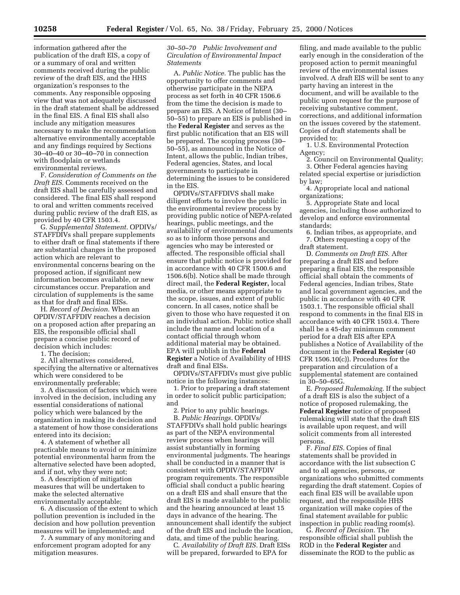information gathered after the publication of the draft EIS, a copy of or a summary of oral and written comments received during the public review of the draft EIS, and the HHS organization's responses to the comments. Any responsible opposing view that was not adequately discussed in the draft statement shall be addressed in the final EIS. A final EIS shall also include any mitigation measures necessary to make the recommendation alternative environmentally acceptable and any findings required by Sections 30–40–40 or 30–40–70 in connection with floodplain or wetlands environmental reviews.

F. *Consideration of Comments on the Draft EIS.* Comments received on the draft EIS shall be carefully assessed and considered. The final EIS shall respond to oral and written comments received during public review of the draft EIS, as provided by 40 CFR 1503.4.

G. *Supplemental Statement.* OPDIVs/ STAFFDIVs shall prepare supplements to either draft or final statements if there are substantial changes in the proposed action which are relevant to environmental concerns bearing on the proposed action, if significant new information becomes available, or new circumstances occur. Preparation and circulation of supplements is the same as that for draft and final EISs.

H. *Record of Decision.* When an OPDIV/STAFFDIV reaches a decision on a proposed action after preparing an EIS, the responsible official shall prepare a concise public record of decision which includes:

1. The decision;

2. All alternatives considered, specifying the alternative or alternatives which were considered to be environmentally preferable;

3. A discussion of factors which were involved in the decision, including any essential considerations of national policy which were balanced by the organization in making its decision and a statement of how those considerations entered into its decision;

4. A statement of whether all practicable means to avoid or minimize potential environmental harm from the alternative selected have been adopted, and if not, why they were not;

5. A description of mitigation measures that will be undertaken to make the selected alternative environmentally acceptable;

6. A discussion of the extent to which pollution prevention is included in the decision and how pollution prevention measures will be implemented; and

7. A summary of any monitoring and enforcement program adopted for any mitigation measures.

## *30–50–70 Public Involvement and Circulation of Environmental Impact Statements*

A. *Public Notice.* The public has the opportunity to offer comments and otherwise participate in the NEPA process as set forth in 40 CFR 1506.6 from the time the decision is made to prepare an EIS. A Notice of Intent (30– 50–55) to prepare an EIS is published in the **Federal Register** and serves as the first public notification that an EIS will be prepared. The scoping process (30– 50–55), as announced in the Notice of Intent, allows the public, Indian tribes, Federal agencies, States, and local governments to participate in determining the issues to be considered in the EIS.

OPDIVs/STAFFDIVS shall make diligent efforts to involve the public in the environmental review process by providing public notice of NEPA-related hearings, public meetings, and the availability of environmental documents so as to inform those persons and agencies who may be interested or affected. The responsible official shall ensure that public notice is provided for in accordance with 40 CFR 1500.6 and 1506.6(b). Notice shall be made through direct mail, the **Federal Register,** local media, or other means appropriate to the scope, issues, and extent of public concern. In all cases, notice shall be given to those who have requested it on an individual action. Public notice shall include the name and location of a contact official through whom additional material may be obtained. EPA will publish in the **Federal Register** a Notice of Availability of HHS draft and final EISs.

OPDIVs/STAFFDIVs must give public notice in the following instances:

1. Prior to preparing a draft statement in order to solicit public participation; and

2. Prior to any public hearings. B. *Public Hearings.* OPDIVs/ STAFFDIVs shall hold public hearings as part of the NEPA environmental review process when hearings will assist substantially in forming environmental judgments. The hearings shall be conducted in a manner that is consistent with OPDIV/STAFFDIV program requirements. The responsible official shall conduct a public hearing on a draft EIS and shall ensure that the draft EIS is made available to the public and the hearing announced at least 15 days in advance of the hearing. The announcement shall identify the subject of the draft EIS and include the location, data, and time of the public hearing.

C. *Availability of Draft EIS.* Draft EISs will be prepared, forwarded to EPA for

filing, and made available to the public early enough in the consideration of the proposed action to permit meaningful review of the environmental issues involved. A draft EIS will be sent to any party having an interest in the document, and will be available to the public upon request for the purpose of receiving substantive comment, corrections, and additional information on the issues covered by the statement. Copies of draft statements shall be provided to:

1. U.S. Environmental Protection Agency;

2. Council on Environmental Quality; 3. Other Federal agencies having

related special expertise or jurisdiction by law;

4. Appropriate local and national organizations;

5. Appropriate State and local agencies, including those authorized to develop and enforce environmental standards;

6. Indian tribes, as appropriate, and 7. Others requesting a copy of the draft statement.

D. *Comments on Draft EIS.* After preparing a draft EIS and before preparing a final EIS, the responsible official shall obtain the comments of Federal agencies, Indian tribes, State and local government agencies, and the public in accordance with 40 CFR 1503.1. The responsible official shall respond to comments in the final EIS in accordance with 40 CFR 1503.4. There shall be a 45-day minimum comment period for a draft EIS after EPA publishes a Notice of Availability of the document in the **Federal Register** (40 CFR 1506.10(c)). Procedures for the preparation and circulation of a supplemental statement are contained in 30–50–65G.

E. *Proposed Rulemaking.* If the subject of a draft EIS is also the subject of a notice of proposed rulemaking, the **Federal Register** notice of proposed rulemaking will state that the draft EIS is available upon request, and will solicit comments from all interested persons.

F. *Final EIS.* Copies of final statements shall be provided in accordance with the list subsection C and to all agencies, persons, or organizations who submitted comments regarding the draft statement. Copies of each final EIS will be available upon request, and the responsible HHS organization will make copies of the final statement available for public inspection in public reading room(s).

G. *Record of Decision.* The responsible official shall publish the ROD in the **Federal Register** and disseminate the ROD to the public as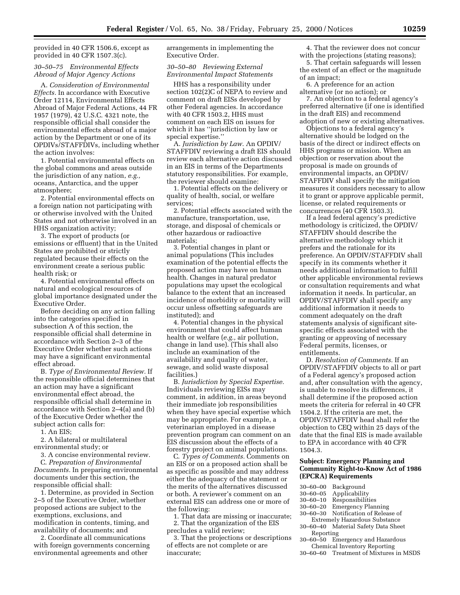provided in 40 CFR 1506.6, except as provided in 40 CFR 1507.3(c).

## *30–50–75 Environmental Effects Abroad of Major Agency Actions*

A. *Consideration of Environmental Effects.* In accordance with Executive Order 12114, Environmental Effects Abroad of Major Federal Actions, 44 FR 1957 (1979), 42 U.S.C. 4321 note, the responsible official shall consider the environmental effects abroad of a major action by the Department or one of its OPDIVs/STAFFDIVs, including whether the action involves:

1. Potential environmental effects on the global commons and areas outside the jurisdiction of any nation, *e.g.,* oceans, Antarctica, and the upper atmosphere;

2. Potential environmental effects on a foreign nation not participating with or otherwise involved with the United States and not otherwise involved in an HHS organization activity;

3. The export of products (or emissions or effluent) that in the United States are prohibited or strictly regulated because their effects on the environment create a serious public health risk; or

4. Potential environmental effects on natural and ecological resources of global importance designated under the Executive Order.

Before deciding on any action falling into the categories specified in subsection A of this section, the responsible official shall determine in accordance with Section 2–3 of the Executive Order whether such actions may have a significant environmental effect abroad.

B. *Type of Environmental Review.* If the responsible official determines that an action may have a significant environmental effect abroad, the responsible official shall determine in accordance with Section 2–4(a) and (b) of the Executive Order whether the subject action calls for:

1. An EIS;

2. A bilateral or multilateral environmental study; or

3. A concise environmental review.

C. *Preparation of Environmental Documents.* In preparing environmental documents under this section, the responsible official shall:

1. Determine, as provided in Section 2–5 of the Executive Order, whether proposed actions are subject to the exemptions, exclusions, and modification in contents, timing, and availability of documents; and

2. Coordinate all communications with foreign governments concerning environmental agreements and other

arrangements in implementing the Executive Order.

#### *30–50–80 Reviewing External Environmental Impact Statements*

HHS has a responsibility under section 102(2)C of NEPA to review and comment on draft EISs developed by other Federal agencies. In accordance with 40 CFR 1503.2, HHS must comment on each EIS on issues for which it has ''jurisdiction by law or special expertise.''

A. *Jurisdiction by Law.* An OPDIV/ STAFFDIV reviewing a draft EIS should review each alternative action discussed in an EIS in terms of the Departments statutory responsibilities. For example, the reviewer should examine:

1. Potential effects on the delivery or quality of health, social, or welfare services;

2. Potential effects associated with the manufacture, transportation, use, storage, and disposal of chemicals or other hazardous or radioactive materials;

3. Potential changes in plant or animal populations (This includes examination of the potential effects the proposed action may have on human health. Changes in natural predator populations may upset the ecological balance to the extent that an increased incidence of morbidity or mortality will occur unless offsetting safeguards are instituted); and

4. Potential changes in the physical environment that could affect human health or welfare (*e.g.,* air pollution, change in land use). (This shall also include an examination of the availability and quality of water, sewage, and solid waste disposal facilities.)

B. *Jurisdiction by Special Expertise.* Individuals reviewing EISs may comment, in addition, in areas beyond their immediate job responsibilities when they have special expertise which may be appropriate. For example, a veterinarian employed in a disease prevention program can comment on an EIS discussion about the effects of a forestry project on animal populations.

C. *Types of Comments.* Comments on an EIS or on a proposed action shall be as specific as possible and may address either the adequacy of the statement or the merits of the alternatives discussed or both. A reviewer's comment on an external EIS can address one or more of the following:

1. That data are missing or inaccurate; 2. That the organization of the EIS precludes a valid review;

3. That the projections or descriptions of effects are not complete or are inaccurate;

4. That the reviewer does not concur with the projections (stating reasons);

5. That certain safeguards will lessen the extent of an effect or the magnitude of an impact;

6. A preference for an action alternative (or no action); or

7. An objection to a federal agency's preferred alternative (if one is identified in the draft EIS) and recommend adoption of new or existing alternatives.

Objections to a federal agency's alternative should be lodged on the basis of the direct or indirect effects on HHS programs or mission. When an objection or reservation about the proposal is made on grounds of environmental impacts, an OPDIV/ STAFFDIV shall specify the mitigation measures it considers necessary to allow it to grant or approve applicable permit, license, or related requirements or concurrences (40 CFR 1503.3).

If a lead federal agency's predictive methodology is criticized, the OPDIV/ STAFFDIV should describe the alternative methodology which it prefers and the rationale for its preference. An OPDIV/STAFFDIV shall specify in its comments whether it needs additional information to fulfill other applicable environmental reviews or consultation requirements and what information it needs. In particular, an OPDIV/STAFFDIV shall specify any additional information it needs to comment adequately on the draft statements analysis of significant sitespecific effects associated with the granting or approving of necessary Federal permits, licenses, or entitlements.

D. *Resolution of Comments.* If an OPDIV/STAFFDIV objects to all or part of a Federal agency's proposed action and, after consultation with the agency, is unable to resolve its differences, it shall determine if the proposed action meets the criteria for referral in 40 CFR 1504.2. If the criteria are met, the OPDIV/STAFFDIV head shall refer the objection to CEQ within 25 days of the date that the final EIS is made available to EPA in accordance with 40 CFR 1504.3.

## **Subject: Emergency Planning and Community Right-to-Know Act of 1986 (EPCRA) Requirements**

| $30 - 60 - 00$ | Background                          |
|----------------|-------------------------------------|
| 30–60–05       | Applicability                       |
| 30–60–10       | Responsibilities                    |
| 30–60–20       | <b>Emergency Planning</b>           |
|                | 30-60-30 Notification of Release of |
|                | Extremely Hazardous Substance       |
|                | 30–60–40 Material Safety Data Sheet |
|                |                                     |

Reporting 30–60–50 Emergency and Hazardous

30–60–60 Treatment of Mixtures in MSDS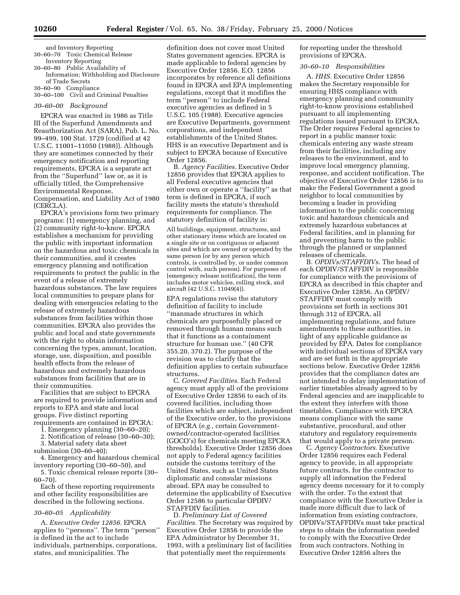and Inventory Reporting 30–60–70 Toxic Chemical Release

Inventory Reporting 30–60–80 Public Availability of

Information; Withholding and Disclosure of Trade Secrets

30–60–90 Compliance 30–60–100 Civil and Criminal Penalties

#### *30–60–00 Background*

EPCRA was enacted in 1986 as Title III of the Superfund Amendments and Reauthorization Act (SARA), Pub. L. No. 99–499, 100 Stat. 1729 (codified at 42 U.S.C. 11001–11050 (1988)). Although they are sometimes connected by their emergency notification and reporting requirements, EPCRA is a separate act from the ''Superfund'' law or, as it is officially titled, the Comprehensive Environmental Response, Compensation, and Liability Act of 1980 (CERCLA).

EPCRA's provisions form two primary programs: (1) emergency planning, and (2) community right-to-know. EPCRA establishes a mechanism for providing the public with important information on the hazardous and toxic chemicals in their communities, and it creates emergency planning and notification requirements to protect the public in the event of a release of extremely hazardous substances. The law requires local communities to prepare plans for dealing with emergencies relating to the release of extremely hazardous substances from facilities within those communities. EPCRA also provides the public and local and state governments with the right to obtain information concerning the types, amount, location, storage, use, disposition, and possible health effects from the release of hazardous and extremely hazardous substances from facilities that are in their communities.

Facilities that are subject to EPCRA are required to provide information and reports to EPA and state and local groups. Five distinct reporting requirements are contained in EPCRA:

1. Emergency planning (30–60–20);

2. Notification of release (30–60–30);

3. Material safety data sheet

submission (30–60–40);

4. Emergency and hazardous chemical inventory reporting (30–60–50), and 5. Toxic chemical release reports (30– 60–70).

Each of these reporting requirements and other facility responsibilities are described in the following sections.

#### *30–60–05 Applicability*

A. *Executive Order 12856.* EPCRA applies to ''persons''. The term ''person'' is defined in the act to include individuals, partnerships, corporations, states, and municipalities. The

definition does not cover most United States government agencies. EPCRA is made applicable to federal agencies by Executive Order 12856. E.O. 12856 incorporates by reference all definitions found in EPCRA and EPA implementing regulations, except that it modifies the term ''person'' to include Federal executive agencies as defined in 5 U.S.C. 105 (1988). Executive agencies are Executive Departments, government corporations, and independent establishments of the United States. HHS is an executive Department and is subject to EPCRA because of Executive Order 12856.

B. *Agency Facilities.* Executive Order 12856 provides that EPCRA applies to all Federal executive agencies that either own or operate a ''facility'' as that term is defined in EPCRA, if such facility meets the statute's threshold requirements for compliance. The statutory definition of facility is:

All buildings, equipment, structures, and other stationary items which are located on a single site or on contiguous or adjacent sites and which are owned or operated by the same person (or by any person which controls, is controlled by, or under common control with, such person). For purposes of [emergency release notification], the term includes motor vehicles, rolling stock, and aircraft (42 U.S.C. 11049(4)).

EPA regulations revise the statutory definition of facility to include ''manmade structures in which chemicals are purposefully placed or removed through human means such that it functions as a containment structure for human use.'' (40 CFR 355.20, 370.2). The purpose of the revision was to clarify that the definition applies to certain subsurface structures.

C. *Covered Facilities.* Each Federal agency must apply all of the provisions of Executive Order 12856 to each of its covered facilities, including those facilities which are subject, independent of the Executive order, to the provisions of EPCRA (*e.g.,* certain Governmentowned/contractor-operated facilities (GOCO's) for chemicals meeting EPCRA thresholds). Executive Order 12856 does not apply to Federal agency facilities outside the customs territory of the United States, such as United States diplomatic and consular missions abroad. EPA may be consulted to determine the applicability of Executive Order 12586 to particular OPDIV/ STAFFDIV facilities.

D. *Preliminary List of Covered Facilities.* The Secretary was required by Executive Order 12856 to provide the EPA Administrator by December 31, 1993, with a preliminary list of facilities that potentially meet the requirements

for reporting under the threshold provisions of EPCRA.

#### *30–60–10 Responsibilities*

A. *HHS.* Executive Order 12856 makes the Secretary responsible for ensuring HHS compliance with emergency planning and community right-to-know provisions established pursuant to all implementing regulations issued pursuant to EPCRA. The Order requires Federal agencies to report in a public manner toxic chemicals entering any waste stream from their facilities, including any releases to the environment, and to improve local emergency planning, response, and accident notification. The objective of Executive Order 12856 is to make the Federal Government a good neighbor to local communities by becoming a leader in providing information to the public concerning toxic and hazardous chemicals and extremely hazardous substances at Federal facilities, and in planning for and preventing harm to the public through the planned or unplanned releases of chemicals.

B. *OPDIVs/STAFFDIVs.* The head of each OPDIV/STAFFDIV is responsible for compliance with the provisions of EPCRA as described in this chapter and Executive Order 12856. An OPDIV/ STAFFDIV must comply with provisions set forth in sections 301 through 312 of EPCRA, all implementing regulations, and future amendments to these authorities, in light of any applicable guidance as provided by EPA. Dates for compliance with individual sections of EPCRA vary and are set forth in the appropriate sections below. Executive Order 12856 provides that the compliance dates are not intended to delay implementation of earlier timetables already agreed to by Federal agencies and are inapplicable to the extent they interfere with those timetables. Compliance with EPCRA means compliance with the same substantive, procedural, and other statutory and regulatory requirements that would apply to a private person.

C. *Agency Contractors.* Executive Order 12856 requires each Federal agency to provide, in all appropriate future contracts, for the contractor to supply all information the Federal agency deems necessary for it to comply with the order. To the extent that compliance with the Executive Order is made more difficult due to lack of information from existing contractors, OPDIVs/STAFFDIVs must take practical steps to obtain the information needed to comply with the Executive Order from such contractors. Nothing in Executive Order 12856 alters the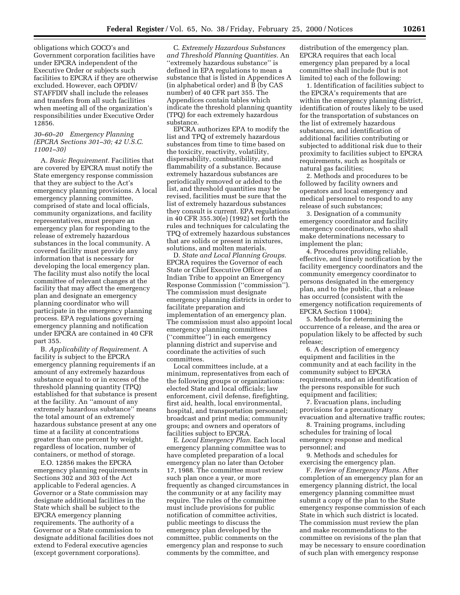obligations which GOCO's and Government corporation facilities have under EPCRA independent of the Executive Order or subjects such facilities to EPCRA if they are otherwise excluded. However, each OPDIV/ STAFFDIV shall include the releases and transfers from all such facilities when meeting all of the organization's responsibilities under Executive Order 12856.

## *30–60–20 Emergency Planning (EPCRA Sections 301–30; 42 U.S.C. 11001–30)*

A. *Basic Requirement.* Facilities that are covered by EPCRA must notify the State emergency response commission that they are subject to the Act's emergency planning provisions. A local emergency planning committee, comprised of state and local officials, community organizations, and facility representatives, must prepare an emergency plan for responding to the release of extremely hazardous substances in the local community. A covered facility must provide any information that is necessary for developing the local emergency plan. The facility must also notify the local committee of relevant changes at the facility that may affect the emergency plan and designate an emergency planning coordinator who will participate in the emergency planning process. EPA regulations governing emergency planning and notification under EPCRA are contained in 40 CFR part 355.

B. *Applicability of Requirement.* A facility is subject to the EPCRA emergency planning requirements if an amount of any extremely hazardous substance equal to or in excess of the threshold planning quantity (TPQ) established for that substance is present at the facility. An ''amount of any extremely hazardous substance'' means the total amount of an extremely hazardous substance present at any one time at a facility at concentrations greater than one percent by weight, regardless of location, number of containers, or method of storage.

E.O. 12856 makes the EPCRA emergency planning requirements in Sections 302 and 303 of the Act applicable to Federal agencies. A Governor or a State commission may designate additional facilities in the State which shall be subject to the EPCRA emergency planning requirements. The authority of a Governor or a State commission to designate additional facilities does not extend to Federal executive agencies (except government corporations).

C. *Extremely Hazardous Substances and Threshold Planning Quantities.* An ''extremely hazardous substance'' is defined in EPA regulations to mean a substance that is listed in Appendices A (in alphabetical order) and B (by CAS number) of 40 CFR part 355. The Appendices contain tables which indicate the threshold planning quantity (TPQ) for each extremely hazardous substance.

EPCRA authorizes EPA to modify the list and TPQ of extremely hazardous substances from time to time based on the toxicity, reactivity, volatility, dispersability, combustibility, and flammability of a substance. Because extremely hazardous substances are periodically removed or added to the list, and threshold quantities may be revised, facilities must be sure that the list of extremely hazardous substances they consult is current. EPA regulations in 40 CFR 355.30(e) (1992) set forth the rules and techniques for calculating the TPQ of extremely hazardous substances that are solids or present in mixtures, solutions, and molten materials.

D. *State and Local Planning Groups.* EPCRA requires the Governor of each State or Chief Executive Officer of an Indian Tribe to appoint an Emergency Response Commission (''commission''). The commission must designate emergency planning districts in order to facilitate preparation and implementation of an emergency plan. The commission must also appoint local emergency planning committees (''committee'') in each emergency planning district and supervise and coordinate the activities of such committees.

Local committees include, at a minimum, representatives from each of the following groups or organizations: elected State and local officials; law enforcement, civil defense, firefighting, first aid, health, local environmental, hospital, and transportation personnel; broadcast and print media; community groups; and owners and operators of facilities subject to EPCRA.

E. *Local Emergency Plan.* Each local emergency planning committee was to have completed preparation of a local emergency plan no later than October 17, 1988. The committee must review such plan once a year, or more frequently as changed circumstances in the community or at any facility may require. The rules of the committee must include provisions for public notification of committee activities, public meetings to discuss the emergency plan developed by the committee, public comments on the emergency plan and response to such comments by the committee, and

distribution of the emergency plan. EPCRA requires that each local emergency plan prepared by a local committee shall include (but is not limited to) each of the following:

1. Identification of facilities subject to the EPCRA's requirements that are within the emergency planning district, identification of routes likely to be used for the transportation of substances on the list of extremely hazardous substances, and identification of additional facilities contributing or subjected to additional risk due to their proximity to facilities subject to EPCRA requirements, such as hospitals or natural gas facilities;

2. Methods and procedures to be followed by facility owners and operators and local emergency and medical personnel to respond to any release of such substances;

3. Designation of a community emergency coordinator and facility emergency coordinators, who shall make determinations necessary to implement the plan;

4. Procedures providing reliable, effective, and timely notification by the facility emergency coordinators and the community emergency coordinator to persons designated in the emergency plan, and to the public, that a release has occurred (consistent with the emergency notification requirements of EPCRA Section 11004);

5. Methods for determining the occurrence of a release, and the area or population likely to be affected by such release;

6. A description of emergency equipment and facilities in the community and at each facility in the community subject to EPCRA requirements, and an identification of the persons responsible for such equipment and facilities;

7. Evacuation plans, including provisions for a precautionary evacuation and alternative traffic routes;

8. Training programs, including schedules for training of local emergency response and medical personnel; and

9. Methods and schedules for exercising the emergency plan.

F. *Review of Emergency Plans.* After completion of an emergency plan for an emergency planning district, the local emergency planning committee must submit a copy of the plan to the State emergency response commission of each State in which such district is located. The commission must review the plan and make recommendations to the committee on revisions of the plan that may be necessary to ensure coordination of such plan with emergency response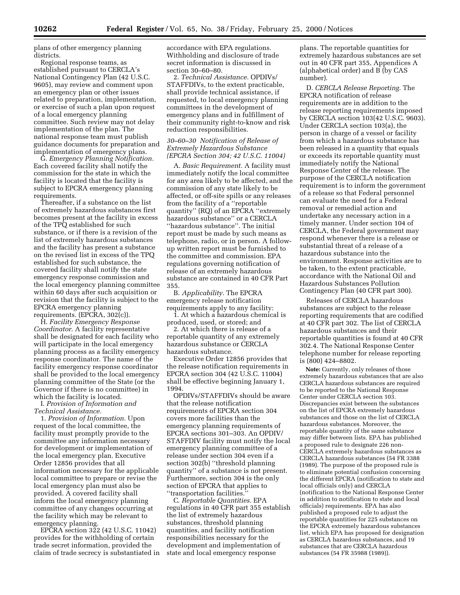plans of other emergency planning districts.

Regional response teams, as established pursuant to CERCLA's National Contingency Plan (42 U.S.C. 9605), may review and comment upon an emergency plan or other issues related to preparation, implementation, or exercise of such a plan upon request of a local emergency planning committee. Such review may not delay implementation of the plan. The national response team must publish guidance documents for preparation and implementation of emergency plans.

G. *Emergency Planning Notification.* Each covered facility shall notify the commission for the state in which the facility is located that the facility is subject to EPCRA emergency planning requirements.

Thereafter, if a substance on the list of extremely hazardous substances first becomes present at the facility in excess of the TPQ established for such substance, or if there is a revision of the list of extremely hazardous substances and the facility has present a substance on the revised list in excess of the TPQ established for such substance, the covered facility shall notify the state emergency response commission and the local emergency planning committee within 60 days after such acquisition or revision that the facility is subject to the EPCRA emergency planning requirements. (EPCRA, 302(c)).

H. *Facility Emergency Response Coordinator.* A facility representative shall be designated for each facility who will participate in the local emergency planning process as a facility emergency response coordinator. The name of the facility emergency response coordinator shall be provided to the local emergency planning committee of the State (or the Governor if there is no committee) in which the facility is located.

I. *Provision of Information and Technical Assistance.*

1. *Provision of Information.* Upon request of the local committee, the facility must promptly provide to the committee any information necessary for development or implementation of the local emergency plan. Executive Order 12856 provides that all information necessary for the applicable local committee to prepare or revise the local emergency plan must also be provided. A covered facility shall inform the local emergency planning committee of any changes occurring at the facility which may be relevant to emergency planning.

EPCRA section 322 (42 U.S.C. 11042) provides for the withholding of certain trade secret information, provided the claim of trade secrecy is substantiated in accordance with EPA regulations. Withholding and disclosure of trade secret information is discussed in section 30–60–80.

2. *Technical Assistance.* OPDIVs/ STAFFDIVs, to the extent practicable, shall provide technical assistance, if requested, to local emergency planning committees in the development of emergency plans and in fulfillment of their community right-to-know and risk reduction responsibilities.

## *30–60–30 Notification of Release of Extremely Hazardous Substance (EPCRA Section 304; 42 U.S.C. 11004)*

A. *Basic Requirement.* A facility must immediately notify the local committee for any area likely to be affected, and the commission of any state likely to be affected, or off-site spills or any releases from the facility of a ''reportable quantity'' (RQ) of an EPCRA ''extremely hazardous substance'' or a CERCLA ''hazardous substance''. The initial report must be made by such means as telephone, radio, or in person. A followup written report must be furnished to the committee and commission. EPA regulations governing notification of release of an extremely hazardous substance are contained in 40 CFR Part 355.

B. *Applicability.* The EPCRA emergency release notification requirements apply to any facility:

1. At which a hazardous chemical is produced, used, or stored; and

2. At which there is release of a reportable quantity of any extremely hazardous substance or CERCLA hazardous substance.

Executive Order 12856 provides that the release notification requirements in EPCRA section 304 (42 U.S.C. 11004) shall be effective beginning January 1, 1994.

OPDIVs/STAFFDIVs should be aware that the release notification requirements of EPCRA section 304 covers more facilities than the emergency planning requirements of EPCRA sections 301–303. An OPDIV/ STAFFDIV facility must notify the local emergency planning committee of a release under section 304 even if a section 302(b) ''threshold planning quantity'' of a substance is not present. Furthermore, section 304 is the only section of EPCRA that applies to ''transportation facilities.''

C. *Reportable Quantities.* EPA regulations in 40 CFR part 355 establish the list of extremely hazardous substances, threshold planning quantities, and facility notification responsibilities necessary for the development and implementation of state and local emergency response

plans. The reportable quantities for extremely hazardous substances are set out in 40 CFR part 355, Appendices A (alphabetical order) and B (by CAS number).

D. *CERCLA Release Reporting.* The EPCRA notification of release requirements are in addition to the release reporting requirements imposed by CERCLA section 103(42 U.S.C. 9603). Under CERCLA section 103(a), the person in charge of a vessel or facility from which a hazardous substance has been released in a quantity that equals or exceeds its reportable quantity must immediately notify the National Response Center of the release. The purpose of the CERCLA notification requirement is to inform the government of a release so that Federal personnel can evaluate the need for a Federal removal or remedial action and undertake any necessary action in a timely manner. Under section 104 of CERCLA, the Federal government may respond whenever there is a release or substantial threat of a release of a hazardous substance into the environment. Response activities are to be taken, to the extent practicable, accordance with the National Oil and Hazardous Substances Pollution Contingency Plan (40 CFR part 300).

Releases of CERCLA hazardous substances are subject to the release reporting requirements that are codified at 40 CFR part 302. The list of CERCLA hazardous substances and their reportable quantities is found at 40 CFR 302.4. The National Response Center telephone number for release reporting is (800) 424–8802.

**Note:** Currently, only releases of those extremely hazardous substances that are also CERCLA hazardous substances are required to be reported to the National Response Center under CERCLA section 103. Discrepancies exist between the substances on the list of EPCRA extremely hazardous substances and those on the list of CERCLA hazardous substances. Moreover, the reportable quantity of the same substance may differ between lists. EPA has published a proposed rule to designate 226 non-CERCLA extremely hazardous substances as CERCLA hazardous substances (54 FR 3388 (1989). The purpose of the proposed rule is to eliminate potential confusion concerning the different EPCRA (notification to state and local officials only) and CERCLA (notification to the National Response Center in addition to notification to state and local officials) requirements. EPA has also published a proposed rule to adjust the reportable quantities for 225 substances on the EPCRA extremely hazardous substances list, which EPA has proposed for designation as CERCLA hazardous substances, and 19 substances that are CERCLA hazardous substances (54 FR 35988 (1989)).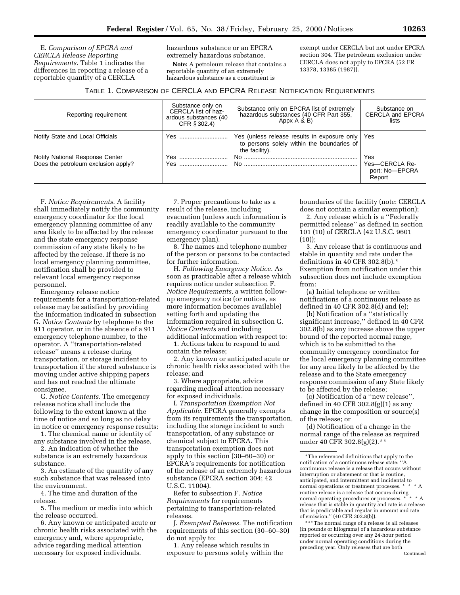E. *Comparison of EPCRA and CERCLA Release Reporting Requirements.* Table 1 indicates the differences in reporting a release of a reportable quantity of a CERCLA

hazardous substance or an EPCRA extremely hazardous substance.

**Note:** A petroleum release that contains a reportable quantity of an extremely hazardous substance as a constituent is

exempt under CERCLA but not under EPCRA section 304. The petroleum exclusion under CERCLA does not apply to EPCRA (52 FR 13378, 13385 (1987)).

## TABLE 1. COMPARISON OF CERCLA AND EPCRA RELEASE NOTIFICATION REQUIREMENTS

| Substance only on<br>CERCLA list of haz-<br>ardous substances (40<br>CFR § 302.4) | Substance only on EPCRA list of extremely<br>hazardous substances (40 CFR Part 355,<br>Appx A & B) | Substance on<br><b>CERCLA and EPCRA</b><br>lists   |
|-----------------------------------------------------------------------------------|----------------------------------------------------------------------------------------------------|----------------------------------------------------|
| Yes                                                                               | to persons solely within the boundaries of<br>the facility).                                       |                                                    |
| Yes<br>Yes                                                                        |                                                                                                    | Yes<br>Yes-CERCLA Re-<br>port; No-EPCRA<br>Report  |
|                                                                                   |                                                                                                    | Yes (unless release results in exposure only   Yes |

F. *Notice Requirements.* A facility shall immediately notify the community emergency coordinator for the local emergency planning committee of any area likely to be affected by the release and the state emergency response commission of any state likely to be affected by the release. If there is no local emergency planning committee, notification shall be provided to relevant local emergency response personnel.

Emergency release notice requirements for a transportation-related release may be satisfied by providing the information indicated in subsection G. *Notice Contents* by telephone to the 911 operator, or in the absence of a 911 emergency telephone number, to the operator. A ''transportation-related release'' means a release during transportation, or storage incident to transportation if the stored substance is moving under active shipping papers and has not reached the ultimate consignee.

G. *Notice Contents.* The emergency release notice shall include the following to the extent known at the time of notice and so long as no delay in notice or emergency response results:

1. The chemical name or identity of any substance involved in the release.

2. An indication of whether the substance is an extremely hazardous substance.

3. An estimate of the quantity of any such substance that was released into the environment.

4. The time and duration of the release.

5. The medium or media into which the release occurred.

6. Any known or anticipated acute or chronic health risks associated with the emergency and, where appropriate, advice regarding medical attention necessary for exposed individuals.

7. Proper precautions to take as a result of the release, including evacuation (unless such information is readily available to the community emergency coordinator pursuant to the emergency plan).

8. The names and telephone number of the person or persons to be contacted for further information.

H. *Following Emergency Notice.* As soon as practicable after a release which requires notice under subsection F. *Notice Requirements,* a written followup emergency notice (or notices, as more information becomes available) setting forth and updating the information required in subsection G. *Notice Contents* and including additional information with respect to:

1. Actions taken to respond to and contain the release;

2. Any known or anticipated acute or chronic health risks associated with the release; and

3. Where appropriate, advice regarding medical attention necessary for exposed individuals.

I. *Transportation Exemption Not Applicable.* EPCRA generally exempts from its requirements the transportation, including the storage incident to such transportation, of any substance or chemical subject to EPCRA. This transportation exemption does not apply to this section (30–60–30) or EPCRA's requirements for notification of the release of an extremely hazardous substance (EPCRA section 304; 42 U.S.C. 11004).

Refer to subsection F. *Notice Requirements* for requirements pertaining to transportation-related releases.

J. *Exempted Releases.* The notification requirements of this section (30–60–30) do not apply to:

1. Any release which results in exposure to persons solely within the boundaries of the facility (note: CERCLA does not contain a similar exemption);

2. Any release which is a ''Federally permitted release" as defined in section 101 (10) of CERCLA (42 U.S.C. 9601  $(10)$ :

3. Any release that is continuous and stable in quantity and rate under the definitions in 40 CFR 302.8(b).\* Exemption from notification under this subsection does not include exemption from:

(a) Initial telephone or written notifications of a continuous release as defined in 40 CFR 302.8(d) and (e);

(b) Notification of a ''statistically significant increase,'' defined in 40 CFR 302.8(b) as any increase above the upper bound of the reported normal range, which is to be submitted to the community emergency coordinator for the local emergency planning committee for any area likely to be affected by the release and to the State emergency response commission of any State likely to be affected by the release;

(c) Notification of a ''new release'', defined in 40 CFR  $302.8(g)(1)$  as any change in the composition or source(s) of the release; or

(d) Notification of a change in the normal range of the release as required under 40 CFR 302.8(g)(2).\*\*

\*\*''The normal range of a release is all releases (in pounds or kilograms) of a hazardous substance reported or occurring over any 24-hour period under normal operating conditions during the preceding year. Only releases that are both Continued

<sup>\*</sup>The referenced definitions that apply to the notification of a continuous release state: ''A continuous release is a release that occurs without interruption or abatement or that is routine, anticipated, and intermittent and incidental to normal operations or treatment processes. \*  $\,$   $^{\ast}$ routine release is a release that occurs during<br> $\frac{1}{2}$   $\frac{1}{2}$   $\frac{1}{2}$   $\frac{1}{2}$   $\frac{1}{2}$   $\frac{1}{2}$   $\frac{1}{2}$   $\frac{1}{2}$   $\frac{1}{2}$   $\frac{1}{2}$   $\frac{1}{2}$   $\frac{1}{2}$   $\frac{1}{2}$   $\frac{1}{2}$   $\frac{1}{2}$   $\frac{1}{2}$   $\frac{1}{2}$   $\frac$ normal operating procedures or processes. \* \* \* A release that is stable in quantity and rate is a release that is predictable and regular in amount and rate of emission.'' (40 CFR 302.8(b)).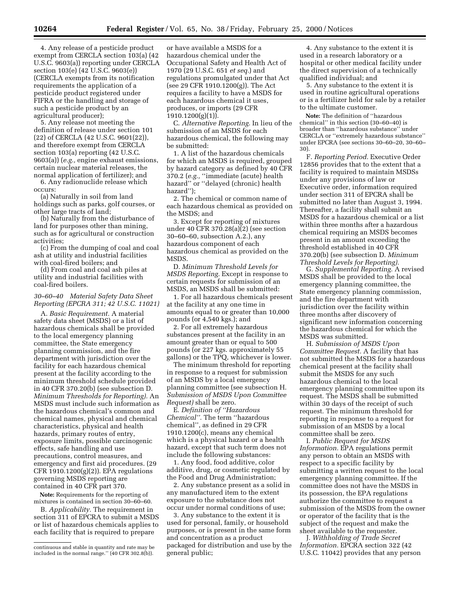4. Any release of a pesticide product exempt from CERCLA section 103(a) (42 U.S.C. 9603(a)) reporting under CERCLA section 103(e) (42 U.S.C. 9603(e)) (CERCLA exempts from its notification requirements the application of a pesticide product registered under FIFRA or the handling and storage of such a pesticide product by an agricultural producer);

5. Any release not meeting the definition of release under section 101 (22) of CERCLA (42 U.S.C. 9601(22)), and therefore exempt from CERCLA section 103(a) reporting (42 U.S.C. 9603(a)) (*e.g.,* engine exhaust emissions, certain nuclear material releases, the normal application of fertilizer); and

6. Any radionuclide release which occurs:

(a) Naturally in soil from land holdings such as parks, golf courses, or other large tracts of land;

(b) Naturally from the disturbance of land for purposes other than mining, such as for agricultural or construction activities;

(c) From the dumping of coal and coal ash at utility and industrial facilities with coal-fired boilers; and

(d) From coal and coal ash piles at utility and industrial facilities with coal-fired boilers.

## *30–60–40 Material Safety Data Sheet Reporting (EPCRA 311; 42 U.S.C. 11021)*

A. *Basic Requirement.* A material safety data sheet (MSDS) or a list of hazardous chemicals shall be provided to the local emergency planning committee, the State emergency planning commission, and the fire department with jurisdiction over the facility for each hazardous chemical present at the facility according to the minimum threshold schedule provided in 40 CFR 370.20(b) (see subsection D. *Minimum Thresholds for Reporting).* An MSDS must include such information as the hazardous chemical's common and chemical names, physical and chemical characteristics, physical and health hazards, primary routes of entry, exposure limits, possible carcinogenic effects, safe handling and use precautions, control measures, and emergency and first aid procedures. (29 CFR 1910.1200(g)(2)). EPA regulations governing MSDS reporting are contained in 40 CFR part 370.

**Note:** Requirements for the reporting of mixtures is contained in section 30–60–60.

B. *Applicability.* The requirement in section 311 of EPCRA to submit a MSDS or list of hazardous chemicals applies to each facility that is required to prepare

or have available a MSDS for a hazardous chemical under the Occupational Safety and Health Act of 1970 (29 U.S.C. 651 *et seq.*) and regulations promulgated under that Act (see 29 CFR 1910.1200(g)). The Act requires a facility to have a MSDS for each hazardous chemical it uses, produces, or imports (29 CFR 1910.1200(g)(1)).

C. *Alternative Reporting.* In lieu of the submission of an MSDS for each hazardous chemical, the following may be submitted:

1. A list of the hazardous chemicals for which an MSDS is required, grouped by hazard category as defined by 40 CFR 370.2 (*e.g.,* ''immediate (acute) health hazard'' or ''delayed (chronic) health hazard'');

2. The chemical or common name of each hazardous chemical as provided on the MSDS; and

3. Except for reporting of mixtures under 40 CFR 370.28(a)(2) (see section 30–60–60, subsection A.2.), any hazardous component of each hazardous chemical as provided on the MSDS.

D. *Minimum Threshold Levels for MSDS Reporting.* Except in response to certain requests for submission of an MSDS, an MSDS shall be submitted:

1. For all hazardous chemicals present at the facility at any one time in amounts equal to or greater than 10,000 pounds (or 4,540 kgs.); and

2. For all extremely hazardous substances present at the facility in an amount greater than or equal to 500 pounds (or 227 kgs. approximately 55 gallons) or the TPQ, whichever is lower.

The minimum threshold for reporting in response to a request for submission of an MSDS by a local emergency planning committee (see subsection H. *Submission of MSDS Upon Committee Request)* shall be zero.

E. *Definition of ''Hazardous Chemical''.* The term ''hazardous chemical'', as defined in 29 CFR 1910.1200(c), means any chemical which is a physical hazard or a health hazard, except that such term does not include the following substances:

1. Any food, food additive, color additive, drug, or cosmetic regulated by the Food and Drug Administration;

2. Any substance present as a solid in any manufactured item to the extent exposure to the substance does not occur under normal conditions of use;

3. Any substance to the extent it is used for personal, family, or household purposes, or is present in the same form and concentration as a product packaged for distribution and use by the general public;

4. Any substance to the extent it is used in a research laboratory or a hospital or other medical facility under the direct supervision of a technically qualified individual; and

5. Any substance to the extent it is used in routine agricultural operations or is a fertilizer held for sale by a retailer to the ultimate customer.

**Note:** The definition of ''hazardous chemical'' in this section (30–60–40) is broader than ''hazardous substance'' under CERCLA or ''extremely hazardous substance'' under EPCRA (see sections 30–60–20, 30–60– 30).

F. *Reporting Period.* Executive Order 12856 provides that to the extent that a facility is required to maintain MSDSs under any provisions of law or Executive order, information required under section 311 of EPCRA shall be submitted no later than August 3, 1994. Thereafter, a facility shall submit an MSDS for a hazardous chemical or a list within three months after a hazardous chemical requiring an MSDS becomes present in an amount exceeding the threshold established in 40 CFR 370.20(b) (see subsection D. *Minimum Threshold Levels for Reporting).*

G. *Supplemental Reporting.* A revised MSDS shall be provided to the local emergency planning committee, the State emergency planning commission, and the fire department with jurisdiction over the facility within three months after discovery of significant new information concerning the hazardous chemical for which the MSDS was submitted.

H. *Submission of MSDS Upon Committee Request.* A facility that has not submitted the MSDS for a hazardous chemical present at the facility shall submit the MSDS for any such hazardous chemical to the local emergency planning committee upon its request. The MSDS shall be submitted within 30 days of the receipt of such request. The minimum threshold for reporting in response to a request for submission of an MSDS by a local committee shall be zero.

I. *Public Request for MSDS Information.* EPA regulations permit any person to obtain an MSDS with respect to a specific facility by submitting a written request to the local emergency planning committee. If the committee does not have the MSDS in its possession, the EPA regulations authorize the committee to request a submission of the MSDS from the owner or operator of the facility that is the subject of the request and make the sheet available to the requester.

J. *Withholding of Trade Secret Information.* EPCRA section 322 (42 U.S.C. 11042) provides that any person

continuous and stable in quantity and rate may be included in the normal range.'' (40 CFR 302.8(b)).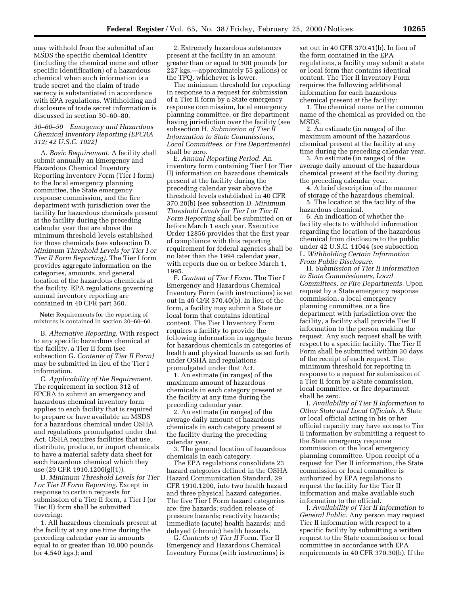may withhold from the submittal of an MSDS the specific chemical identity (including the chemical name and other specific identification) of a hazardous chemical when such information is a trade secret and the claim of trade secrecy is substantiated in accordance with EPA regulations. Withholding and disclosure of trade secret information is discussed in section 30–60–80.

## *30–60–50 Emergency and Hazardous Chemical Inventory Reporting (EPCRA 312; 42 U.S.C. 1022)*

A. *Basic Requirement.* A facility shall submit annually an Emergency and Hazardous Chemical Inventory Reporting Inventory Form (Tier I form) to the local emergency planning committee, the State emergency response commission, and the fire department with jurisdiction over the facility for hazardous chemicals present at the facility during the preceding calendar year that are above the minimum threshold levels established for those chemicals (see subsection D. *Minimum Threshold Levels for Tier I or Tier II Form Reporting).* The Tier I form provides aggregate information on the categories, amounts, and general location of the hazardous chemicals at the facility. EPA regulations governing annual inventory reporting are contained in 40 CFR part 360.

**Note:** Requirements for the reporting of mixtures is contained in section 30–60–60.

B. *Alternative Reporting.* With respect to any specific hazardous chemical at the facility, a Tier II form (see subsection G. *Contents of Tier II Form)* may be submitted in lieu of the Tier I information.

C. *Applicability of the Requirement.* The requirement in section 312 of EPCRA to submit an emergency and hazardous chemical inventory form applies to each facility that is required to prepare or have available an MSDS for a hazardous chemical under OSHA and regulations promulgated under that Act. OSHA requires facilities that use, distribute, produce, or import chemicals to have a material safety data sheet for each hazardous chemical which they use (29 CFR 1910.1200(g)(1)).

D. *Minimum Threshold Levels for Tier I or Tier II Form Reporting.* Except in response to certain requests for submission of a Tier II form, a Tier I (or Tier II) form shall be submitted covering:

1. All hazardous chemicals present at the facility at any one time during the preceding calendar year in amounts equal to or greater than 10,000 pounds (or 4,540 kgs.); and

2. Extremely hazardous substances present at the facility in an amount greater than or equal to 500 pounds (or 227 kgs.—approximately 55 gallons) or the TPQ, whichever is lower.

The minimum threshold for reporting in response to a request for submission of a Tier II form by a State emergency response commission, local emergency planning committee, or fire department having jurisdiction over the facility (see subsection H. *Submission of Tier II Information to State Commissions, Local Committees, or Fire Departments)* shall be zero.

E. *Annual Reporting Period.* An inventory form containing Tier I (or Tier II) information on hazardous chemicals present at the facility during the preceding calendar year above the threshold levels established in 40 CFR 370.20(b) (see subsection D. *Minimum Threshold Levels for Tier I or Tier II Form Reporting* shall be submitted on or before March 1 each year. Executive Order 12856 provides that the first year of compliance with this reporting requirement for federal agencies shall be no later than the 1994 calendar year, with reports due on or before March 1, 1995.

F. *Content of Tier I Form.* The Tier I Emergency and Hazardous Chemical Inventory Form (with instructions) is set out in 40 CFR 370.40(b). In lieu of the form, a facility may submit a State or local form that contains identical content. The Tier I Inventory Form requires a facility to provide the following information in aggregate terms for hazardous chemicals in categories of health and physical hazards as set forth under OSHA and regulations promulgated under that Act.

1. An estimate (in ranges) of the maximum amount of hazardous chemicals in each category present at the facility at any time during the preceding calendar year.

2. An estimate (in ranges) of the average daily amount of hazardous chemicals in each category present at the facility during the preceding calendar year.

3. The general location of hazardous chemicals in each category.

The EPA regulations consolidate 23 hazard categories defined in the OSHA Hazard Communication Standard, 29 CFR 1910.1200, into two health hazard and three physical hazard categories. The five Tier I Form hazard categories are: fire hazards; sudden release of pressure hazards; reactivity hazards; immediate (acute) health hazards; and delayed (chronic) health hazards.

G. *Contents of Tier II* Form. Tier II Emergency and Hazardous Chemical Inventory Forms (with instructions) is set out in 40 CFR 370.41(b). In lieu of the form contained in the EPA regulations, a facility may submit a state or local form that contains identical content. The Tier II Inventory Form requires the following additional information for each hazardous chemical present at the facility:

1. The chemical name or the common name of the chemical as provided on the MSDS.

2. An estimate (in ranges) of the maximum amount of the hazardous chemical present at the facility at any time during the preceding calendar year.

3. An estimate (in ranges) of the average daily amount of the hazardous chemical present at the facility during the preceding calendar year.

4. A brief description of the manner of storage of the hazardous chemical.

5. The location at the facility of the hazardous chemical.

6. An indication of whether the facility elects to withhold information regarding the location of the hazardous chemical from disclosure to the public under 42 U.S.C. 11044 (see subsection L. *Withholding Certain Information From Public Disclosure.*

H. *Submission of Tier II information to State Commissioners, Local Committees, or Fire Departments.* Upon request by a State emergency response commission, a local emergency planning committee, or a fire department with jurisdiction over the facility, a facility shall provide Tier II information to the person making the request. Any such request shall be with respect to a specific facility. The Tier II Form shall be submitted within 30 days of the receipt of each request. The minimum threshold for reporting in response to a request for submission of a Tier II form by a State commission, local committee, or fire department shall be zero.

I. *Availability of Tier II Information to Other State and Local Officials.* A State or local official acting in his or her official capacity may have access to Tier II information by submitting a request to the State emergency response commission or the local emergency planning committee. Upon receipt of a request for Tier II information, the State commission or local committee is authorized by EPA regulations to request the facility for the Tier II information and make available such information to the official.

J. *Availability of Tier II Information to General Public.* Any person may request Tier II information with respect to a specific facility by submitting a written request to the State commission or local committee in accordance with EPA requirements in 40 CFR 370.30(b). If the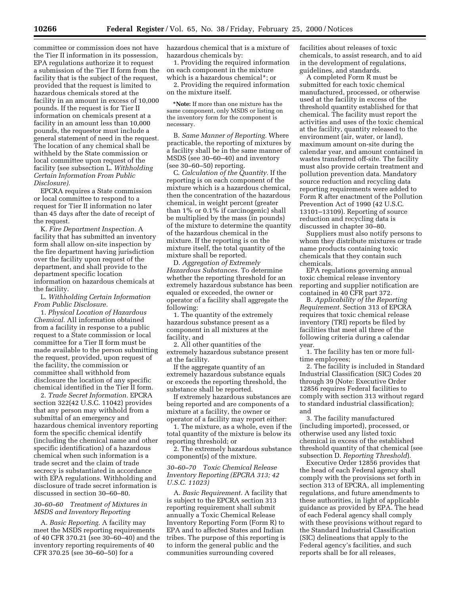committee or commission does not have the Tier II information in its possession, EPA regulations authorize it to request a submission of the Tier II form from the facility that is the subject of the request, provided that the request is limited to hazardous chemicals stored at the facility in an amount in excess of 10,000 pounds. If the request is for Tier II information on chemicals present at a facility in an amount less than 10,000 pounds, the requestor must include a general statement of need in the request. The location of any chemical shall be withheld by the State commission or local committee upon request of the facility (see subsection L. *Withholding Certain Information From Public Disclosure).*

EPCRA requires a State commission or local committee to respond to a request for Tier II information no later than 45 days after the date of receipt of the request.

K. *Fire Department Inspection.* A facility that has submitted an inventory form shall allow on-site inspection by the fire department having jurisdiction over the facility upon request of the department, and shall provide to the department specific location information on hazardous chemicals at the facility.

L. *Withholding Certain Information From Public Disclosure.*

1. *Physical Location of Hazardous Chemical.* All information obtained from a facility in response to a public request to a State commission or local committee for a Tier II form must be made available to the person submitting the request, provided, upon request of the facility, the commission or committee shall withhold from disclosure the location of any specific chemical identified in the Tier II form.

2. *Trade Secret Information.* EPCRA section 322(42 U.S.C. 11042) provides that any person may withhold from a submittal of an emergency and hazardous chemical inventory reporting form the specific chemical identify (including the chemical name and other specific identification) of a hazardous chemical when such information is a trade secret and the claim of trade secrecy is substantiated in accordance with EPA regulations. Withholding and disclosure of trade secret information is discussed in section 30–60–80.

## *30–60–60 Treatment of Mixtures in MSDS and Inventory Reporting*

A. *Basic Reporting.* A facility may meet the MSDS reporting requirements of 40 CFR 370.21 (see 30–60–40) and the inventory reporting requirements of 40 CFR 370.25 (see 30–60–50) for a

hazardous chemical that is a mixture of hazardous chemicals by:

1. Providing the required information on each component in the mixture which is a hazardous chemical\*; or

2. Providing the required information on the mixture itself.

**\*Note:** If more than one mixture has the same component, only MSDS or listing on the inventory form for the component is necessary.

B. *Same Manner of Reporting.* Where practicable, the reporting of mixtures by a facility shall be in the same manner of MSDS (see 30–60–40) and inventory (see 30–60–50) reporting.

C. *Calculation of the Quantity.* If the reporting is on each component of the mixture which is a hazardous chemical, then the concentration of the hazardous chemical, in weight percent (greater than 1% or 0.1% if carcinogenic) shall be multiplied by the mass (in pounds) of the mixture to determine the quantity of the hazardous chemical in the mixture. If the reporting is on the mixture itself, the total quantity of the mixture shall be reported.

D. *Aggregation of Extremely Hazardous Substances.* To determine whether the reporting threshold for an extremely hazardous substance has been equaled or exceeded, the owner or operator of a facility shall aggregate the following:

1. The quantity of the extremely hazardous substance present as a component in all mixtures at the facility, and

2. All other quantities of the extremely hazardous substance present at the facility.

If the aggregate quantity of an extremely hazardous substance equals or exceeds the reporting threshold, the substance shall be reported.

If extremely hazardous substances are being reported and are components of a mixture at a facility, the owner or operator of a facility may report either:

1. The mixture, as a whole, even if the total quantity of the mixture is below its reporting threshold; or

2. The extremely hazardous substance component(s) of the mixture.

## *30–60–70 Toxic Chemical Release Inventory Reporting (EPCRA 313; 42 U.S.C. 11023)*

A. *Basic Requirement.* A facility that is subject to the EPCRA section 313 reporting requirement shall submit annually a Toxic Chemical Release Inventory Reporting Form (Form R) to EPA and to affected States and Indian tribes. The purpose of this reporting is to inform the general public and the communities surrounding covered

facilities about releases of toxic chemicals, to assist research, and to aid in the development of regulations, guidelines, and standards.

A completed Form R must be submitted for each toxic chemical manufactured, processed, or otherwise used at the facility in excess of the threshold quantity established for that chemical. The facility must report the activities and uses of the toxic chemical at the facility, quantity released to the environment (air, water, or land), maximum amount on-site during the calendar year, and amount contained in wastes transferred off-site. The facility must also provide certain treatment and pollution prevention data. Mandatory source reduction and recycling data reporting requirements were added to Form R after enactment of the Pollution Prevention Act of 1990 (42 U.S.C. 13101–13109). Reporting of source reduction and recycling data is discussed in chapter 30–80.

Suppliers must also notify persons to whom they distribute mixtures or trade name products containing toxic chemicals that they contain such chemicals.

EPA regulations governing annual toxic chemical release inventory reporting and supplier notification are contained in 40 CFR part 372.

B. *Applicability of the Reporting Requirement.* Section 313 of EPCRA requires that toxic chemical release inventory (TRI) reports be filed by facilities that meet all three of the following criteria during a calendar year.

1. The facility has ten or more fulltime employees;

2. The facility is included in Standard Industrial Classification (SIC) Codes 20 through 39 (Note: Executive Order 12856 requires Federal facilities to comply with section 313 without regard to standard industrial classification); and

3. The facility manufactured (including imported), processed, or otherwise used any listed toxic chemical in excess of the established threshold quantity of that chemical (see subsection D. *Reporting Threshold*).

Executive Order 12856 provides that the head of each Federal agency shall comply with the provisions set forth in section 313 of EPCRA, all implementing regulations, and future amendments to these authorities, in light of applicable guidance as provided by EPA. The head of each Federal agency shall comply with these provisions without regard to the Standard Industrial Classification (SIC) delineations that apply to the Federal agency's facilities, and such reports shall be for all releases,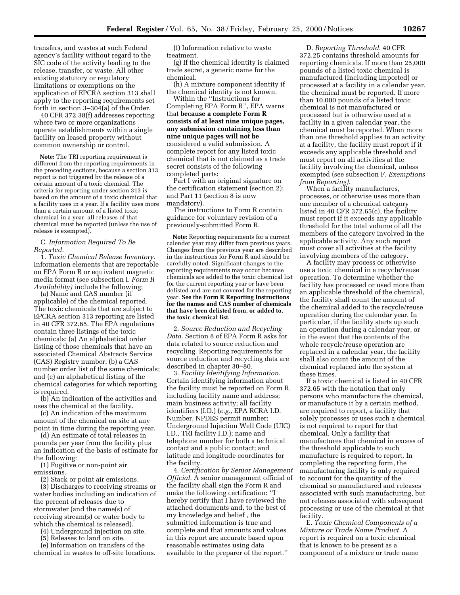transfers, and wastes at such Federal agency's facility without regard to the SIC code of the activity leading to the release, transfer, or waste. All other existing statutory or regulatory limitations or exemptions on the application of EPCRA section 313 shall apply to the reporting requirements set forth in section 3–304(a) of the Order.

40 CFR 372.38(f) addresses reporting where two or more organizations operate establishments within a single facility on leased property without common ownership or control.

**Note:** The TRI reporting requirement is different from the reporting requirements in the preceding sections, because a section 313 report is not triggered by the release of a certain amount of a toxic chemical. The criteria for reporting under section 313 is based on the amount of a toxic chemical that a facility uses in a year. If a facility uses more than a certain amount of a listed toxic chemical in a year, all releases of that chemical must be reported (unless the use of release is exempted).

#### C. *Information Required To Be Reported.*

1. *Toxic Chemical Release Inventory.* Information elements that are reportable on EPA Form R or equivalent magnetic media format (see subsection I. *Form R Availability)* include the following:

(a) Name and CAS number (if applicable) of the chemical reported. The toxic chemicals that are subject to EPCRA section 313 reporting are listed in 40 CFR 372.65. The EPA regulations contain three listings of the toxic chemicals: (a) An alphabetical order listing of those chemicals that have an associated Chemical Abstracts Service (CAS) Registry number; (b) a CAS number order list of the same chemicals; and (c) an alphabetical listing of the chemical categories for which reporting is required.

(b) An indication of the activities and uses the chemical at the facility.

(c) An indication of the maximum amount of the chemical on site at any point in time during the reporting year.

(d) An estimate of total releases in pounds per year from the facility plus an indication of the basis of estimate for the following:

(1) Fugitive or non-point air emissions.

(2) Stack or point air emissions.

(3) Discharges to receiving streams or water bodies including an indication of the percent of releases due to stormwater (and the name(s) of receiving stream(s) or water body to which the chemical is released).

(4) Underground injection on site.

(5) Releases to land on site.

(e) Information on transfers of the

chemical in wastes to off-site locations.

(f) Information relative to waste treatment.

(g) If the chemical identity is claimed trade secret, a generic name for the chemical.

(h) A mixture component identity if the chemical identity is not known.

Within the ''Instructions for Completing EPA Form R'', EPA warns that **because a complete Form R consists of at least nine unique pages, any submission containing less than nine unique pages will not be** considered a valid submission. A complete report for any listed toxic chemical that is not claimed as a trade secret consists of the following completed parts:

Part I with an original signature on the certification statement (section 2); and Part 11 (section 8 is now mandatory).

The instructions to Form R contain guidance for voluntary revision of a previously-submitted Form R.

**Note:** Reporting requirements for a current calender year may differ from previous years. Changes from the previous year are described in the instructions for Form R and should be carefully noted. Significant changes to the reporting requirements may occur because chemicals are added to the toxic chemical list for the current reporting year or have been delisted and are not covered for the reporting year. **See the Form R Reporting Instructions for the names and CAS number of chemicals that have been delisted from, or added to, the toxic chemical list.**

2. *Source Reduction and Recycling Data.* Section 8 of EPA Form R asks for data related to source reduction and recycling. Reporting requirements for source reduction and recycling data are described in chapter 30–80.

3. *Facility Identifying Information.* Certain identifying information about the facility must be reported on Form R, including facility name and address; main business activity; all facility identifiers (I.D.) (*e.g.,* EPA RCRA I.D. Number, NPDES permit number; Underground Injection Well Code (UIC) I.D., TRI facility I.D.); name and telephone number for both a technical contact and a public contact; and latitude and longitude coordinates for the facility.

4. *Certification by Senior Management Official.* A senior management official of the facility shall sign the Form R and make the following certification: ''I hereby certify that I have reviewed the attached documents and, to the best of my knowledge and belief , the submitted information is true and complete and that amounts and values in this report are accurate based upon reasonable estimates using data available to the preparer of the report.''

D. *Reporting Threshold.* 40 CFR 372.25 contains threshold amounts for reporting chemicals. If more than 25,000 pounds of a listed toxic chemical is manufactured (including imported) or processed at a facility in a calendar year, the chemical must be reported. If more than 10,000 pounds of a listed toxic chemical is not manufactured or processed but is otherwise used at a facility in a given calendar year, the chemical must be reported. When more than one threshold applies to an activity at a facility, the facility must report if it exceeds any applicable threshold and must report on all activities at the facility involving the chemical, unless exempted (see subsection F. *Exemptions from Reporting).*

When a facility manufactures, processes, or otherwise uses more than one member of a chemical category listed in 40 CFR 372.65(c), the facility must report if it exceeds any applicable threshold for the total volume of all the members of the category involved in the applicable activity. Any such report must cover all activities at the facility involving members of the category.

A facility may process or otherwise use a toxic chemical in a recycle/reuse operation. To determine whether the facility has processed or used more than an applicable threshold of the chemical, the facility shall count the amount of the chemical added to the recycle/reuse operation during the calendar year. In particular, if the facility starts up such an operation during a calendar year, or in the event that the contents of the whole recycle/reuse operation are replaced in a calendar year, the facility shall also count the amount of the chemical replaced into the system at these times.

If a toxic chemical is listed in 40 CFR 372.65 with the notation that only persons who manufacture the chemical, or manufacture it by a certain method, are required to report, a facility that solely processes or uses such a chemical is not required to report for that chemical. Only a facility that manufactures that chemical in excess of the threshold applicable to such manufacture is required to report. In completing the reporting form, the manufacturing facility is only required to account for the quantity of the chemical so manufactured and releases associated with such manufacturing, but not releases associated with subsequent processing or use of the chemical at that facility.

E. *Toxic Chemical Components of a Mixture or Trade Name Product.* A report is required on a toxic chemical that is known to be present as a component of a mixture or trade name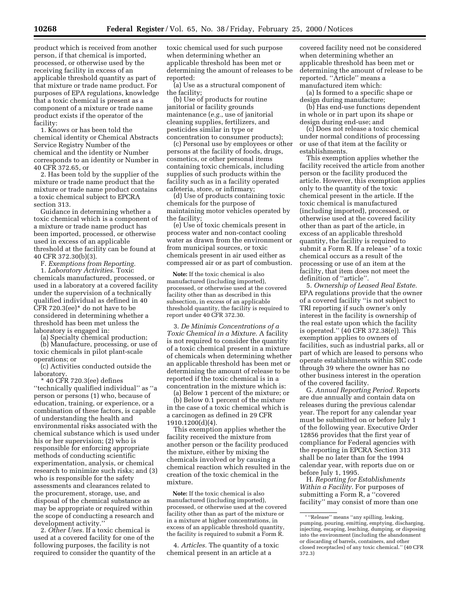product which is received from another person, if that chemical is imported, processed, or otherwise used by the receiving facility in excess of an applicable threshold quantity as part of that mixture or trade name product. For purposes of EPA regulations, knowledge that a toxic chemical is present as a component of a mixture or trade name product exists if the operator of the facility:

1. Knows or has been told the chemical identity or Chemical Abstracts Service Registry Number of the chemical and the identity or Number corresponds to an identity or Number in 40 CFR 372.65, or

2. Has been told by the supplier of the mixture or trade name product that the mixture or trade name product contains a toxic chemical subject to EPCRA section 313.

Guidance in determining whether a toxic chemical which is a component of a mixture or trade name product has been imported, processed, or otherwise used in excess of an applicable threshold at the facility can be found at 40 CFR 372.30(b)(3).

F. *Exemptions from Reporting.* 1. *Laboratory Activities.* Toxic chemicals manufactured, processed, or used in a laboratory at a covered facility under the supervision of a technically qualified individual as defined in 40 CFR 720.3(ee)\* do not have to be considered in determining whether a threshold has been met unless the laboratory is engaged in:

(a) Specialty chemical production; (b) Manufacture, processing, or use of

toxic chemicals in pilot plant-scale operations; or

(c) Activities conducted outside the laboratory.

\* 40 CFR 720.3(ee) defines ''technically qualified individual'' as ''a person or persons (1) who, because of education, training, or experience, or a combination of these factors, is capable of understanding the health and environmental risks associated with the chemical substance which is used under his or her supervision; (2) who is responsible for enforcing appropriate methods of conducting scientific experimentation, analysis, or chemical research to minimize such risks; and (3) who is responsible for the safety assessments and clearances related to the procurement, storage, use, and disposal of the chemical substance as may be appropriate or required within the scope of conducting a research and development activity.''

2. *Other Uses.* If a toxic chemical is used at a covered facility for one of the following purposes, the facility is not required to consider the quantity of the toxic chemical used for such purpose when determining whether an applicable threshold has been met or determining the amount of releases to be reported:

(a) Use as a structural component of the facility;

(b) Use of products for routine janitorial or facility grounds maintenance (*e.g.*, use of janitorial cleaning supplies, fertilizers, and pesticides similar in type or concentration to consumer products);

(c) Personal use by employees or other persons at the facility of foods, drugs, cosmetics, or other personal items containing toxic chemicals, including supplies of such products within the facility such as in a facility operated cafeteria, store, or infirmary;

(d) Use of products containing toxic chemicals for the purpose of maintaining motor vehicles operated by the facility;

(e) Use of toxic chemicals present in process water and non-contact cooling water as drawn from the environment or from municipal sources, or toxic chemicals present in air used either as compressed air or as part of combustion.

**Note:** If the toxic chemical is also manufactured (including imported), processed, or otherwise used at the covered facility other than as described in this subsection, in excess of an applicable threshold quantity, the facility is required to report under 40 CFR 372.30.

3. *De Minimis Concentrations of a Toxic Chemical in a Mixture.* A facility is not required to consider the quantity of a toxic chemical present in a mixture of chemicals when determining whether an applicable threshold has been met or determining the amount of release to be reported if the toxic chemical is in a concentration in the mixture which is:

(a) Below 1 percent of the mixture; or (b) Below 0.1 percent of the mixture

in the case of a toxic chemical which is a carcinogen as defined in 29 CFR 1910.1200(d)(4).

This exemption applies whether the facility received the mixture from another person or the facility produced the mixture, either by mixing the chemicals involved or by causing a chemical reaction which resulted in the creation of the toxic chemical in the mixture.

**Note:** If the toxic chemical is also manufactured (including imported), processed, or otherwise used at the covered facility other than as part of the mixture or in a mixture at higher concentrations, in excess of an applicable threshold quantity, the facility is required to submit a Form R.

4. *Articles.* The quantity of a toxic chemical present in an article at a

covered facility need not be considered when determining whether an applicable threshold has been met or determining the amount of release to be reported. ''Article'' means a manufactured item which:

(a) Is formed to a specific shape or design during manufacture;

(b) Has end-use functions dependent in whole or in part upon its shape or design during end-use; and

(c) Does not release a toxic chemical under normal conditions of processing or use of that item at the facility or establishments.

This exemption applies whether the facility received the article from another person or the facility produced the article. However, this exemption applies only to the quantity of the toxic chemical present in the article. If the toxic chemical is manufactured (including imported), processed, or otherwise used at the covered facility other than as part of the article, in excess of an applicable threshold quantity, the facility is required to submit a Form R. If a release \* of a toxic chemical occurs as a result of the processing or use of an item at the facility, that item does not meet the definition of ''article''.

5. *Ownership of Leased Real Estate.* EPA regulations provide that the owner of a covered facility ''is not subject to TRI reporting if such owner's only interest in the facility is ownership of the real estate upon which the facility is operated.'' (40 CFR 372.38(e)). This exemption applies to owners of facilities, such as industrial parks, all or part of which are leased to persons who operate establishments within SIC code through 39 where the owner has no other business interest in the operation of the covered facility.

G. *Annual Reporting Period.* Reports are due annually and contain data on releases during the previous calendar year. The report for any calendar year must be submitted on or before July 1 of the following year. Executive Order 12856 provides that the first year of compliance for Federal agencies with the reporting in EPCRA Section 313 shall be no later than for the 1994 calendar year, with reports due on or before July 1, 1995.

H. *Reporting for Establishments Within a Facility.* For purposes of submitting a Form R, a ''covered facility'' may consist of more than one

<sup>\*</sup> ''Release'' means ''any spilling, leaking, pumping, pouring, emitting, emptying, discharging, injecting, escaping, leaching, dumping, or disposing into the environment (including the abandonment or discarding of barrels, containers, and other closed receptacles) of any toxic chemical.'' (40 CFR 372.3)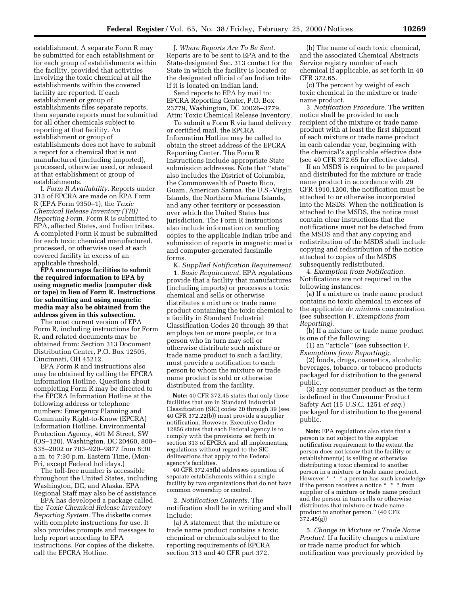establishment. A separate Form R may be submitted for each establishment or for each group of establishments within the facility, provided that activities involving the toxic chemical at all the establishments within the covered facility are reported. If each establishment or group of establishments files separate reports, then separate reports must be submitted for all other chemicals subject to reporting at that facility. An establishment or group of establishments does not have to submit a report for a chemical that is not manufactured (including imported), processed, otherwise used, or released at that establishment or group of establishments.

I. *Form R Availability.* Reports under 313 of EPCRA are made on EPA Form R (EPA Form 9350–1), the *Toxic Chemical Release Inventory (TRI) Reporting Form.* Form R is submitted to EPA, affected States, and Indian tribes. A completed Form R must be submitted for each toxic chemical manufactured, processed, or otherwise used at each covered facility in excess of an applicable threshold.

**EPA encourages facilities to submit the required information to EPA by using magnetic media (computer disk or tape) in lieu of Form R. Instructions for submitting and using magnetic media may also be obtained from the address given in this subsection.**

The most current version of EPA Form R, including instructions for Form R, and related documents may be obtained from: Section 313 Document Distribution Center, P.O. Box 12505, Cincinnati, OH 45212.

EPA Form R and instructions also may be obtained by calling the EPCRA Information Hotline. Questions about completing Form R may be directed to the EPCRA Information Hotline at the following address or telephone numbers: Emergency Planning and Community Right-to-Know (EPCRA) Information Hotline, Environmental Protection Agency, 401 M Street, SW (OS–120), Washington, DC 20460, 800– 535–2002 or 703–920–9877 from 8:30 a.m. to 7:30 p.m. Eastern Time, (Mon-Fri, except Federal holidays.)

The toll-free number is accessible throughout the United States, including Washington, DC, and Alaska. EPA Regional Staff may also be of assistance.

EPA has developed a package called the *Toxic Chemical Release Inventory Reporting System.* The diskette comes with complete instructions for use. It also provides prompts and messages to help report according to EPA instructions. For copies of the diskette, call the EPCRA Hotline.

J. *Where Reports Are To Be Sent.* Reports are to be sent to EPA and to the State-designated Sec. 313 contact for the State in which the facility is located or the designated official of an Indian tribe if it is located on Indian land.

Send reports to EPA by mail to: EPCRA Reporting Center, P.O. Box 23779, Washington, DC 20026–3779, Attn: Toxic Chemical Release Inventory.

To submit a Form R via hand delivery or certified mail, the EPCRA Information Hotline may be called to obtain the street address of the EPCRA Reporting Center. The Form R instructions include appropriate State submission addresses. Note that ''state'' also includes the District of Columbia, the Commonwealth of Puerto Rico, Guam, American Samoa, the U.S.-Virgin Islands, the Northern Mariana Islands, and any other territory or possession over which the United States has jurisdiction. The Form R instructions also include information on sending copies to the applicable Indian tribe and submission of reports in magnetic media and computer-generated facsimile forms.

K. *Supplied Notification Requirement.* 1. *Basic Requirement.* EPA regulations provide that a facility that manufactures (including imports) or processes a toxic chemical and sells or otherwise distributes a mixture or trade name product containing the toxic chemical to a facility in Standard Industrial Classification Codes 20 through 39 that employs ten or more people, or to a person who in turn may sell or otherwise distribute such mixture or trade name product to such a facility, must provide a notification to each person to whom the mixture or trade name product is sold or otherwise distributed from the facility.

**Note:** 40 CFR 372.45 states that only those facilities that are in Standard Industrial Classification (SIC) codes 20 through 39 (see 40 CFR 372.22(b)) must provide a supplier notification. However, Executive Order 12856 states that each Federal agency is to comply with the provisions set forth in section 313 of EPCRA and all implementing regulations without regard to the SIC delineations that apply to the Federal agency's facilities.

40 CFR 372.45(h) addresses operation of separate establishments within a single facility by two organizations that do not have common ownership or control.

2. *Notification Contents.* The notification shall be in writing and shall include:

(a) A statement that the mixture or trade name product contains a toxic chemical or chemicals subject to the reporting requirements of EPCRA section 313 and 40 CFR part 372.

(b) The name of each toxic chemical, and the associated Chemical Abstracts Service registry number of each chemical if applicable, as set forth in 40 CFR 372.65.

(c) The percent by weight of each toxic chemical in the mixture or trade name product.

3. *Notification Procedure.* The written notice shall be provided to each recipient of the mixture or trade name product with at least the first shipment of each mixture or trade name product in each calendar year, beginning with the chemical's applicable effective date (see 40 CFR 372.65 for effective dates).

If an MSDS is required to be prepared and distributed for the mixture or trade name product in accordance with 29 CFR 1910.1200, the notification must be attached to or otherwise incorporated into the MSDS. When the notification is attached to the MSDS, the notice must contain clear instructions that the notifications must not be detached from the MSDS and that any copying and redistribution of the MSDS shall include copying and redistribution of the notice attached to copies of the MSDS subsequently redistributed.

4. *Exemption from Notification.* Notifications are not required in the following instances:

(a) If a mixture or trade name product contains no toxic chemical in excess of the applicable *de minimis* concentration (see subsection F. *Exemptions from Reporting).*

(b) If a mixture or trade name product is one of the following:

(1) an ''article'' (see subsection F. *Exemptions from Reporting);.*

(2) foods, drugs, cosmetics, alcoholic beverages, tobacco, or tobacco products packaged for distribution to the general public.

(3) any consumer product as the term is defined in the Consumer Product Safety Act (15 U.S.C. 1251 *et seq.*) packaged for distribution to the general public.

**Note:** EPA regulations also state that a person is not subject to the supplier notification requirement to the extent the person does not know that the facility or establishment(s) is selling or otherwise distributing a toxic chemical to another person in a mixture or trade name product. However \* \* \* a person has such knowledge if the person receives a notice \* \* \* from supplier of a mixture or trade name product and the person in turn sells or otherwise distributes that mixture or trade name product to another person.'' (40 CFR 372.45(g))

5. *Change in Mixture or Trade Name Product.* If a facility changes a mixture or trade name product for which notification was previously provided by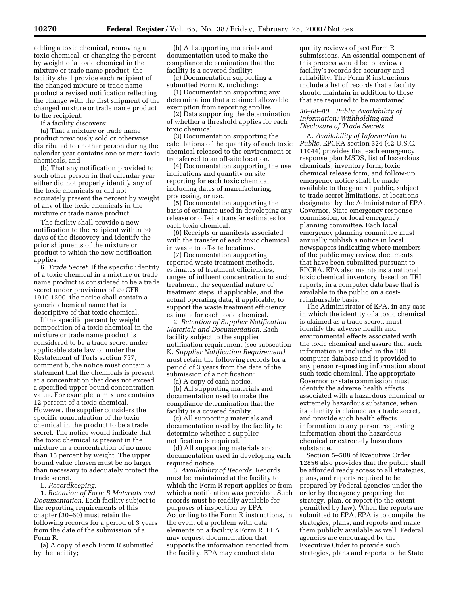adding a toxic chemical, removing a toxic chemical, or changing the percent by weight of a toxic chemical in the mixture or trade name product, the facility shall provide each recipient of the changed mixture or trade name product a revised notification reflecting the change with the first shipment of the changed mixture or trade name product to the recipient.

If a facility discovers:

(a) That a mixture or trade name product previously sold or otherwise distributed to another person during the calendar year contains one or more toxic chemicals, and

(b) That any notification provided to such other person in that calendar year either did not properly identify any of the toxic chemicals or did not accurately present the percent by weight of any of the toxic chemicals in the mixture or trade name product,

The facility shall provide a new notification to the recipient within 30 days of the discovery and identify the prior shipments of the mixture or product to which the new notification applies.

6. *Trade Secret.* If the specific identity of a toxic chemical in a mixture or trade name product is considered to be a trade secret under provisions of 29 CFR 1910.1200, the notice shall contain a generic chemical name that is descriptive of that toxic chemical.

If the specific percent by weight composition of a toxic chemical in the mixture or trade name product is considered to be a trade secret under applicable state law or under the Restatement of Torts section 757, comment b, the notice must contain a statement that the chemicals is present at a concentration that does not exceed a specified upper bound concentration value. For example, a mixture contains 12 percent of a toxic chemical. However, the supplier considers the specific concentration of the toxic chemical in the product to be a trade secret. The notice would indicate that the toxic chemical is present in the mixture in a concentration of no more than 15 percent by weight. The upper bound value chosen must be no larger than necessary to adequately protect the trade secret.

L. *Recordkeeping.*

1. *Retention of Form R Materials and Documentation.* Each facility subject to the reporting requirements of this chapter (30–60) must retain the following records for a period of 3 years from the date of the submission of a Form R.

(a) A copy of each Form R submitted by the facility;

(b) All supporting materials and documentation used to make the compliance determination that the facility is a covered facility;

(c) Documentation supporting a submitted Form R, including:

(1) Documentation supporting any determination that a claimed allowable exemption from reporting applies.

(2) Data supporting the determination of whether a threshold applies for each toxic chemical.

(3) Documentation supporting the calculations of the quantity of each toxic chemical released to the environment or transferred to an off-site location.

(4) Documentation supporting the use indications and quantity on site reporting for each toxic chemical, including dates of manufacturing, processing, or use.

(5) Documentation supporting the basis of estimate used in developing any release or off-site transfer estimates for each toxic chemical.

(6) Receipts or manifests associated with the transfer of each toxic chemical in waste to off-site locations.

(7) Documentation supporting reported waste treatment methods, estimates of treatment efficiencies, ranges of influent concentration to such treatment, the sequential nature of treatment steps, if applicable, and the actual operating data, if applicable, to support the waste treatment efficiency estimate for each toxic chemical.

2. *Retention of Supplier Notification Materials and Documentation.* Each facility subject to the supplier notification requirement (see subsection K. *Supplier Notification Requirement)* must retain the following records for a period of 3 years from the date of the submission of a notification:

(a) A copy of each notice.

(b) All supporting materials and documentation used to make the compliance determination that the facility is a covered facility.

(c) All supporting materials and documentation used by the facility to determine whether a supplier notification is required.

(d) All supporting materials and documentation used in developing each required notice.

3. *Availability of Records.* Records must be maintained at the facility to which the Form R report applies or from which a notification was provided. Such records must be readily available for purposes of inspection by EPA. According to the Form R instructions, in the event of a problem with data elements on a facility's Form R, EPA may request documentation that supports the information reported from the facility. EPA may conduct data

quality reviews of past Form R submissions. An essential component of this process would be to review a facility's records for accuracy and reliability. The Form R instructions include a list of records that a facility should maintain in addition to those that are required to be maintained.

## *30–60–80 Public Availability of Information; Withholding and Disclosure of Trade Secrets*

A. *Availability of Information to Public.* EPCRA section 324 (42 U.S.C. 11044) provides that each emergency response plan MSDS, list of hazardous chemicals, inventory form, toxic chemical release form, and follow-up emergency notice shall be made available to the general public, subject to trade secret limitations, at locations designated by the Administrator of EPA, Governor, State emergency response commission, or local emergency planning committee. Each local emergency planning committee must annually publish a notice in local newspapers indicating where members of the public may review documents that have been submitted pursuant to EPCRA. EPA also maintains a national toxic chemical inventory, based on TRI reports, in a computer data base that is available to the public on a costreimbursable basis.

The Administrator of EPA, in any case in which the identity of a toxic chemical is claimed as a trade secret, must identify the adverse health and environmental effects associated with the toxic chemical and assure that such information is included in the TRI computer database and is provided to any person requesting information about such toxic chemical. The appropriate Governor or state commission must identify the adverse health effects associated with a hazardous chemical or extremely hazardous substance, when its identity is claimed as a trade secret, and provide such health effects information to any person requesting information about the hazardous chemical or extremely hazardous substance.

Section 5–508 of Executive Order 12856 also provides that the public shall be afforded ready access to all strategies, plans, and reports required to be prepared by Federal agencies under the order by the agency preparing the strategy, plan, or report (to the extent permitted by law). When the reports are submitted to EPA, EPA is to compile the strategies, plans, and reports and make them publicly available as well. Federal agencies are encouraged by the Executive Order to provide such strategies, plans and reports to the State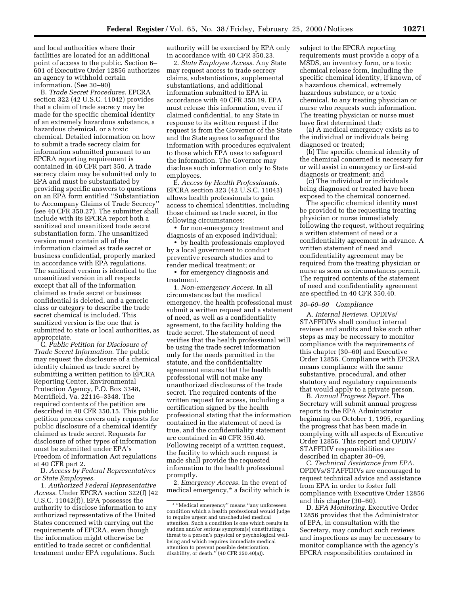and local authorities where their facilities are located for an additional point of access to the public. Section 6– 601 of Executive Order 12856 authorizes an agency to withhold certain information. (See 30–90)

B. *Trade Secret Procedures.* EPCRA section 322 (42 U.S.C. 11042) provides that a claim of trade secrecy may be made for the specific chemical identity of an extremely hazardous substance, a hazardous chemical, or a toxic chemical. Detailed information on how to submit a trade secrecy claim for information submitted pursuant to an EPCRA reporting requirement is contained in 40 CFR part 350. A trade secrecy claim may be submitted only to EPA and must be substantiated by providing specific answers to questions on an EPA form entitled ''Substantiation to Accompany Claims of Trade Secrecy'' (see 40 CFR 350.27). The submitter shall include with its EPCRA report both a sanitized and unsanitized trade secret substantiation form. The unsanitized version must contain all of the information claimed as trade secret or business confidential, properly marked in accordance with EPA regulations. The sanitized version is identical to the unsanitized version in all respects except that all of the information claimed as trade secret or business confidential is deleted, and a generic class or category to describe the trade secret chemical is included. This sanitized version is the one that is submitted to state or local authorities, as appropriate.

C. *Public Petition for Disclosure of Trade Secret Information.* The public may request the disclosure of a chemical identity claimed as trade secret by submitting a written petition to EPCRA Reporting Center, Environmental Protection Agency, P.O. Box 3348, Merrifield, Va. 22116–3348. The required contents of the petition are described in 40 CFR 350.15. This public petition process covers only requests for public disclosure of a chemical identify claimed as trade secret. Requests for disclosure of other types of information must be submitted under EPA's Freedom of Information Act regulations at 40 CFR part 2.

D. *Access by Federal Representatives or State Employees.*

1. *Authorized Federal Representative Access.* Under EPCRA section 322(f) (42 U.S.C. 11042(f)), EPA possesses the authority to disclose information to any authorized representative of the United States concerned with carrying out the requirements of EPCRA, even though the information might otherwise be entitled to trade secret or confidential treatment under EPA regulations. Such

authority will be exercised by EPA only in accordance with 40 CFR 350.23.

2. *State Employee Access.* Any State may request access to trade secrecy claims, substantiations, supplemental substantiations, and additional information submitted to EPA in accordance with 40 CFR 350.19. EPA must release this information, even if claimed confidential, to any State in response to its written request if the request is from the Governor of the State and the State agrees to safeguard the information with procedures equivalent to those which EPA uses to safeguard the information. The Governor may disclose such information only to State employees.

E. *Access by Health Professionals.* EPCRA section 323 (42 U.S.C. 11043) allows health professionals to gain access to chemical identities, including those claimed as trade secret, in the following circumstances:

• for non-emergency treatment and diagnosis of an exposed individual;

• by health professionals employed by a local government to conduct preventive research studies and to render medical treatment; or

• for emergency diagnosis and treatment.

1. *Non-emergency Access.* In all circumstances but the medical emergency, the health professional must submit a written request and a statement of need, as well as a confidentiality agreement, to the facility holding the trade secret. The statement of need verifies that the health professional will be using the trade secret information only for the needs permitted in the statute, and the confidentiality agreement ensures that the health professional will not make any unauthorized disclosures of the trade secret. The required contents of the written request for access, including a certification signed by the health professional stating that the information contained in the statement of need is true, and the confidentiality statement are contained in 40 CFR 350.40. Following receipt of a written request, the facility to which such request is made shall provide the requested information to the health professional promptly.

2. *Emergency Access.* In the event of medical emergency,\* a facility which is subject to the EPCRA reporting requirements must provide a copy of a MSDS, an inventory form, or a toxic chemical release form, including the specific chemical identity, if known, of a hazardous chemical, extremely hazardous substance, or a toxic chemical, to any treating physician or nurse who requests such information. The treating physician or nurse must have first determined that:

(a) A medical emergency exists as to the individual or individuals being diagnosed or treated;

(b) The specific chemical identity of the chemical concerned is necessary for or will assist in emergency or first-aid diagnosis or treatment; and

(c) The individual or individuals being diagnosed or treated have been exposed to the chemical concerned.

The specific chemical identity must be provided to the requesting treating physician or nurse immediately following the request, without requiring a written statement of need or a confidentiality agreement in advance. A written statement of need and confidentiality agreement may be required from the treating physician or nurse as soon as circumstances permit. The required contents of the statement of need and confidentiality agreement are specified in 40 CFR 350.40.

## *30–60–90 Compliance*

A. *Internal Reviews.* OPDIVs/ STAFFDIVs shall conduct internal reviews and audits and take such other steps as may be necessary to monitor compliance with the requirements of this chapter (30–60) and Executive Order 12856. Compliance with EPCRA means compliance with the same substantive, procedural, and other statutory and regulatory requirements that would apply to a private person.

B. *Annual Progress Report.* The Secretary will submit annual progress reports to the EPA Administrator beginning on October 1, 1995, regarding the progress that has been made in complying with all aspects of Executive Order 12856. This report and OPDIV/ STAFFDIV responsibilities are described in chapter 30–09.

C. *Technical Assistance from EPA.* OPDIVs/STAFFDIVs are encouraged to request technical advice and assistance from EPA in order to foster full compliance with Executive Order 12856 and this chapter (30–60).

D. *EPA Monitoring.* Executive Order 12856 provides that the Administrator of EPA, in consultation with the Secretary, may conduct such reviews and inspections as may be necessary to monitor compliance with the agency's EPCRA responsibilities contained in

<sup>\* &#</sup>x27;'Medical emergency'' means ''any unforeseen condition which a health professional would judge to require urgent and unscheduled medical attention. Such a condition is one which results in sudden and/or serious symptom(s) constituting a threat to a person's physical or psychological wellbeing and which requires immediate medical attention to prevent possible deterioration, disability, or death.'' (40 CFR 350.40(a)).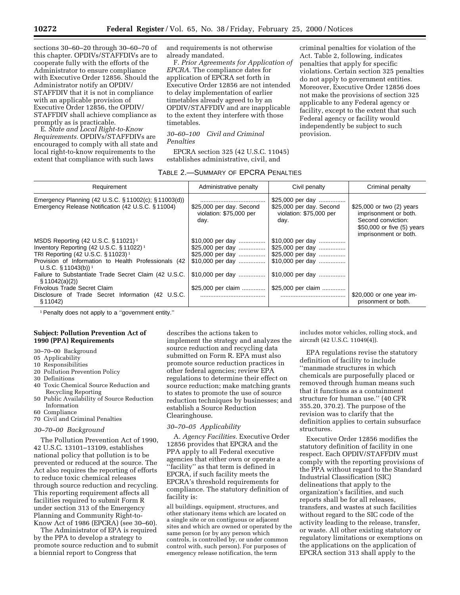sections 30–60–20 through 30–60–70 of this chapter. OPDIVs/STAFFDIVs are to cooperate fully with the efforts of the Administrator to ensure compliance with Executive Order 12856. Should the Administrator notify an OPDIV/ STAFFDIV that it is not in compliance with an applicable provision of Executive Order 12856, the OPDIV/

promptly as is practicable. E. *State and Local Right-to-Know Requirements.* OPDIVs/STAFFDIVs are encouraged to comply with all state and local right-to-know requirements to the extent that compliance with such laws

STAFFDIV shall achieve compliance as

and requirements is not otherwise already mandated.

F. *Prior Agreements for Application of EPCRA.* The compliance dates for application of EPCRA set forth in Executive Order 12856 are not intended to delay implementation of earlier timetables already agreed to by an OPDIV/STAFFDIV and are inapplicable to the extent they interfere with those timetables.

## *30–60–100 Civil and Criminal Penalties*

EPCRA section 325 (42 U.S.C. 11045) establishes administrative, civil, and

| TABLE 2.—SUMMARY OF EPCRA PENALTIES |  |  |  |
|-------------------------------------|--|--|--|
|-------------------------------------|--|--|--|

criminal penalties for violation of the Act. Table 2, following, indicates penalties that apply for specific violations. Certain section 325 penalties do not apply to government entities. Moreover, Executive Order 12856 does not make the provisions of section 325 applicable to any Federal agency or facility, except to the extent that such Federal agency or facility would independently be subject to such provision.

| Requirement                                                                                                                                                                                                                                           | Administrative penalty                                      | Civil penalty                                                                   | Criminal penalty                                                                                                                |
|-------------------------------------------------------------------------------------------------------------------------------------------------------------------------------------------------------------------------------------------------------|-------------------------------------------------------------|---------------------------------------------------------------------------------|---------------------------------------------------------------------------------------------------------------------------------|
| Emergency Planning (42 U.S.C. § 11002(c); § 11003(d))<br>Emergency Release Notification (42 U.S.C. § 11004)                                                                                                                                           | \$25,000 per day. Second<br>violation: \$75,000 per<br>day. | \$25,000 per day<br>\$25,000 per day. Second<br>violation: \$75,000 per<br>day. | \$25,000 or two (2) years<br>imprisonment or both.<br>Second conviction:<br>\$50,000 or five (5) years<br>imprisonment or both. |
| MSDS Reporting $(42 \text{ U.S.C. } § 11021)^1$<br>Inventory Reporting $(42 \text{ U.S.C. }$ §11022) <sup>1</sup><br>TRI Reporting (42 U.S.C. § 11023) <sup>1</sup><br>Provision of Information to Health Professionals (42<br>U.S.C. § 11043(b)) $1$ | \$10,000 per day<br>\$10,000 per day                        | \$10,000 per day<br>\$25,000 per day<br>\$25,000 per day<br>\$10,000 per day    |                                                                                                                                 |
| Failure to Substantiate Trade Secret Claim (42 U.S.C.<br>\$11042(a)(2))                                                                                                                                                                               | \$10,000 per day                                            | \$10,000 per day                                                                |                                                                                                                                 |
| Frivolous Trade Secret Claim<br>Disclosure of Trade Secret Information (42 U.S.C.<br>\$11042                                                                                                                                                          | \$25,000 per claim                                          | \$25,000 per claim                                                              | \$20,000 or one year im-<br>prisonment or both.                                                                                 |

<sup>1</sup> Penalty does not apply to a "government entity."

## **Subject: Pollution Prevention Act of 1990 (PPA) Requirements**

- 30–70–00 Background
- 05 Applicability
- 10 Responsibilities
- 20 Pollution Prevention Policy
- 30 Definitions
- 40 Toxic Chemical Source Reduction and Recycling Reporting
- 50 Public Availability of Source Reduction Information
- 60 Compliance
- 70 Civil and Criminal Penalties

#### *30–70–00 Background*

The Pollution Prevention Act of 1990, 42 U.S.C. 13101–13109, establishes national policy that pollution is to be prevented or reduced at the source. The Act also requires the reporting of efforts to reduce toxic chemical releases through source reduction and recycling. This reporting requirement affects all facilities required to submit Form R under section 313 of the Emergency Planning and Community Right-to-Know Act of 1986 (EPCRA) (see 30–60).

The Administrator of EPA is required by the PPA to develop a strategy to promote source reduction and to submit a biennial report to Congress that

describes the actions taken to implement the strategy and analyzes the source reduction and recycling data submitted on Form R. EPA must also promote source reduction practices in other federal agencies; review EPA regulations to determine their effect on source reduction; make matching grants to states to promote the use of source reduction techniques by businesses; and establish a Source Reduction Clearinghouse.

#### *30–70–05 Applicability*

A. *Agency Facilities.* Executive Order 12856 provides that EPCRA and the PPA apply to all Federal executive agencies that either own or operate a ''facility'' as that term is defined in EPCRA, if such facility meets the EPCRA's threshold requirements for compliance. The statutory definition of facility is:

all buildings, equipment, structures, and other stationary items which are located on a single site or on contiguous or adjacent sites and which are owned or operated by the same person (or by any person which controls, is controlled by, or under common control with, such person). For purposes of emergency release notification, the term

includes motor vehicles, rolling stock, and aircraft (42 U.S.C. 11049(4)).

EPA regulations revise the statutory definition of facility to include ''manmade structures in which chemicals are purposefully placed or removed through human means such that it functions as a containment structure for human use.'' (40 CFR 355.20, 370.2). The purpose of the revision was to clarify that the definition applies to certain subsurface structures.

Executive Order 12856 modifies the statutory definition of facility in one respect. Each OPDIV/STAFFDIV must comply with the reporting provisions of the PPA without regard to the Standard Industrial Classification (SIC) delineations that apply to the organization's facilities, and such reports shall be for all releases, transfers, and wastes at such facilities without regard to the SIC code of the activity leading to the release, transfer, or waste. All other existing statutory or regulatory limitations or exemptions on the applications on the application of EPCRA section 313 shall apply to the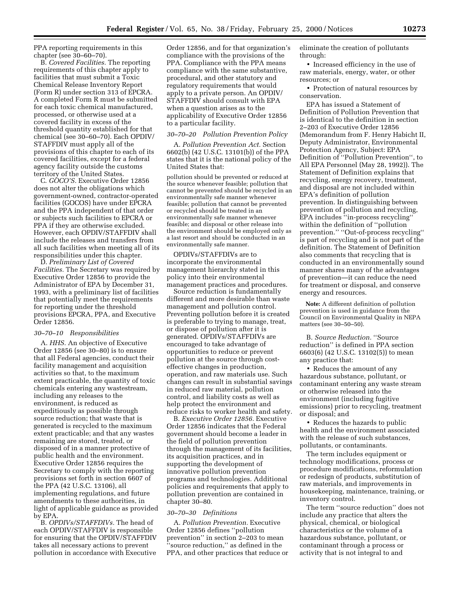PPA reporting requirements in this chapter (see 30–60–70).

B. *Covered Facilities.* The reporting requirements of this chapter apply to facilities that must submit a Toxic Chemical Release Inventory Report (Form R) under section 313 of EPCRA. A completed Form R must be submitted for each toxic chemical manufactured, processed, or otherwise used at a covered facility in excess of the threshold quantity established for that chemical (see 30–60–70). Each OPDIV/ STAFFDIV must apply all of the provisions of this chapter to each of its covered facilities, except for a federal agency facility outside the customs territory of the United States.

C. *GOCO'S.* Executive Order 12856 does not alter the obligations which government-owned, contractor-operated facilities (GOCOS) have under EPCRA and the PPA independent of that order or subjects such facilities to EPCRA or PPA if they are otherwise excluded. However, each OPDIV/STAFFDIV shall include the releases and transfers from all such facilities when meeting all of its responsibilities under this chapter.

D. *Preliminary List of Covered Facilities.* The Secretary was required by Executive Order 12856 to provide the Administrator of EPA by December 31, 1993, with a preliminary list of facilities that potentially meet the requirements for reporting under the threshold provisions EPCRA, PPA, and Executive Order 12856.

#### *30–70–10 Responsibilities*

A. *HHS.* An objective of Executive Order 12856 (see 30–80) is to ensure that all Federal agencies, conduct their facility management and acquisition activities so that, to the maximum extent practicable, the quantity of toxic chemicals entering any wastestream, including any releases to the environment, is reduced as expeditiously as possible through source reduction; that waste that is generated is recycled to the maximum extent practicable; and that any wastes remaining are stored, treated, or disposed of in a manner protective of public health and the environment. Executive Order 12856 requires the Secretary to comply with the reporting provisions set forth in section 6607 of the PPA (42 U.S.C. 13106), all implementing regulations, and future amendments to these authorities, in light of applicable guidance as provided by EPA.

B. *OPDIVs/STAFFDIVs.* The head of each OPDIV/STAFFDIV is responsible for ensuring that the OPDIV/STAFFDIV takes all necessary actions to prevent pollution in accordance with Executive

Order 12856, and for that organization's compliance with the provisions of the PPA. Compliance with the PPA means compliance with the same substantive, procedural, and other statutory and regulatory requirements that would apply to a private person. An OPDIV/ STAFFDIV should consult with EPA when a question arises as to the applicability of Executive Order 12856 to a particular facility.

#### *30–70–20 Pollution Prevention Policy*

A. *Pollution Prevention Act.* Section 6602(b) (42 U.S.C. 13101(b)) of the PPA states that it is the national policy of the United States that:

pollution should be prevented or reduced at the source whenever feasible; pollution that cannot be prevented should be recycled in an environmentally safe manner whenever feasible; pollution that cannot be prevented or recycled should be treated in an environmentally safe manner whenever feasible; and disposal or other release into the environment should be employed only as a last resort and should be conducted in an environmentally safe manner.

OPDIVs/STAFFDIVs are to incorporate the environmental management hierarchy stated in this policy into their environmental management practices and procedures.

Source reduction is fundamentally different and more desirable than waste management and pollution control. Preventing pollution before it is created is preferable to trying to manage, treat, or dispose of pollution after it is generated. OPDIVs/STAFFDIVs are encouraged to take advantage of opportunities to reduce or prevent pollution at the source through costeffective changes in production, operation, and raw materials use. Such changes can result in substantial savings in reduced raw material, pollution control, and liability costs as well as help protect the environment and reduce risks to worker health and safety.

B. *Executive Order 12856.* Executive Order 12856 indicates that the Federal government should become a leader in the field of pollution prevention through the management of its facilities, its acquisition practices, and in supporting the development of innovative pollution prevention programs and technologies. Additional policies and requirements that apply to pollution prevention are contained in chapter 30–80.

#### *30–70–30 Definitions*

A. *Pollution Prevention.* Executive Order 12856 defines ''pollution prevention'' in section 2–203 to mean ''source reduction,'' as defined in the PPA, and other practices that reduce or eliminate the creation of pollutants through:

• Increased efficiency in the use of raw materials, energy, water, or other resources; or

• Protection of natural resources by conservation.

EPA has issued a Statement of Definition of Pollution Prevention that is identical to the definition in section 2–203 of Executive Order 12856 (Memorandum from F. Henry Habicht II, Deputy Administrator, Environmental Protection Agency, Subject: EPA Definition of ''Pollution Prevention'', to All EPA Personnel (May 28, 1992)). The Statement of Definition explains that recycling, energy recovery, treatment, and disposal are not included within EPA's definition of pollution prevention. In distinguishing between prevention of pollution and recycling, EPA includes ''in-process recycling'' within the definition of ''pollution prevention.'' ''Out-of-process recycling'' is part of recycling and is not part of the definition. The Statement of Definition also comments that recycling that is conducted in an environmentally sound manner shares many of the advantages of prevention—it can reduce the need for treatment or disposal, and conserve energy and resources.

**Note:** A different definition of pollution prevention is used in guidance from the Council on Environmental Quality in NEPA matters (see 30–50–50).

B. *Source Reduction.* ''Source reduction'' is defined in PPA section 6603(6) (42 U.S.C. 13102(5)) to mean any practice that:

• Reduces the amount of any hazardous substance, pollutant, or contaminant entering any waste stream or otherwise released into the environment (including fugitive emissions) prior to recycling, treatment or disposal; and

• Reduces the hazards to public health and the environment associated with the release of such substances, pollutants, or contaminants.

The term includes equipment or technology modifications, process or procedure modifications, reformulation or redesign of products, substitution of raw materials, and improvements in housekeeping, maintenance, training, or inventory control.

The term ''source reduction'' does not include any practice that alters the physical, chemical, or biological characteristics or the volume of a hazardous substance, pollutant, or contaminant through a process or activity that is not integral to and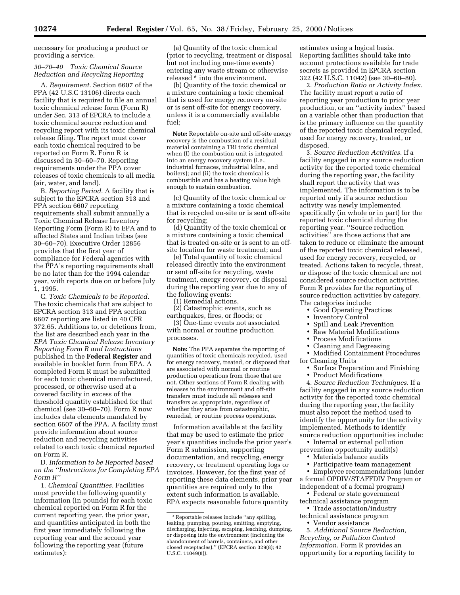necessary for producing a product or providing a service.

## *30–70–40 Toxic Chemical Source Reduction and Recycling Reporting*

A. *Requirement.* Section 6607 of the PPA (42 U.S.C 13106) directs each facility that is required to file an annual toxic chemical release form (Form R) under Sec. 313 of EPCRA to include a toxic chemical source reduction and recycling report with its toxic chemical release filing. The report must cover each toxic chemical required to be reported on Form R. Form R is discussed in 30–60–70. Reporting requirements under the PPA cover releases of toxic chemicals to all media (air, water, and land).

B. *Reporting Period.* A facility that is subject to the EPCRA section 313 and PPA section 6607 reporting requirements shall submit annually a Toxic Chemical Release Inventory Reporting Form (Form R) to EPA and to affected States and Indian tribes (see 30–60–70). Executive Order 12856 provides that the first year of compliance for Federal agencies with the PPA's reporting requirements shall be no later than for the 1994 calendar year, with reports due on or before July 1, 1995.

C. *Toxic Chemicals to be Reported.* The toxic chemicals that are subject to EPCRA section 313 and PPA section 6607 reporting are listed in 40 CFR 372.65. Additions to, or deletions from, the list are described each year in the *EPA Toxic Chemical Release Inventory Reporting Form R and Instructions* published in the **Federal Register** and available in booklet form from EPA. A completed Form R must be submitted for each toxic chemical manufactured, processed, or otherwise used at a covered facility in excess of the threshold quantity established for that chemical (see 30–60–70). Form R now includes data elements mandated by section 6607 of the PPA. A facility must provide information about source reduction and recycling activities related to each toxic chemical reported on Form R.

D. *Information to be Reported based on the ''Instructions for Completing EPA Form R''*

1. *Chemical Quantities.* Facilities must provide the following quantity information (in pounds) for each toxic chemical reported on Form R for the current reporting year, the prior year, and quantities anticipated in both the first year immediately following the reporting year and the second year following the reporting year (future estimates):

(a) Quantity of the toxic chemical (prior to recycling, treatment or disposal but not including one-time events) entering any waste stream or otherwise released \* into the environment.

(b) Quantity of the toxic chemical or a mixture containing a toxic chemical that is used for energy recovery on-site or is sent off-site for energy recovery, unless it is a commercially available fuel;

**Note:** Reportable on-site and off-site energy recovery is the combustion of a residual material containing a TRI toxic chemical when (I) the combustion unit is integrated into an energy recovery system (i.e., industrial furnaces, industrial kilns, and boilers); and (ii) the toxic chemical is combustible and has a heating value high enough to sustain combustion.

(c) Quantity of the toxic chemical or a mixture containing a toxic chemical that is recycled on-site or is sent off-site for recycling;

(d) Quantity of the toxic chemical or a mixture containing a toxic chemical that is treated on-site or is sent to an offsite location for waste treatment; and

(e) Total quantity of toxic chemical released directly into the environment or sent off-site for recycling, waste treatment, energy recovery, or disposal during the reporting year due to any of the following events:

(1) Remedial actions,

(2) Catastrophic events, such as earthquakes, fires, or floods; or

(3) One-time events not associated with normal or routine production processes.

**Note:** The PPA separates the reporting of quantities of toxic chemicals recycled, used for energy recovery, treated, or disposed that are associated with normal or routine production operations from those that are not. Other sections of Form R dealing with releases to the environment and off-site transfers must include all releases and transfers as appropriate, regardless of whether they arise from catastrophic, remedial, or routine process operations.

Information available at the facility that may be used to estimate the prior year's quantities include the prior year's Form R submission, supporting documentation, and recycling, energy recovery, or treatment operating logs or invoices. However, for the first year of reporting these data elements, prior year quantities are required only to the extent such information is available. EPA expects reasonable future quantity

estimates using a logical basis. Reporting facilities should take into account protections available for trade secrets as provided in EPCRA section 322 (42 U.S.C. 11042) (see 30–60–80).

2. *Production Ratio or Activity Index.* The facility must report a ratio of reporting year production to prior year production, or an ''activity index'' based on a variable other than production that is the primary influence on the quantity of the reported toxic chemical recycled, used for energy recovery, treated, or disposed.

3. *Source Reduction Activities.* If a facility engaged in any source reduction activity for the reported toxic chemical during the reporting year, the facility shall report the activity that was implemented. The information is to be reported only if a source reduction activity was newly implemented specifically (in whole or in part) for the reported toxic chemical during the reporting year. ''Source reduction activities'' are those actions that are taken to reduce or eliminate the amount of the reported toxic chemical released, used for energy recovery, recycled, or treated. Actions taken to recycle, threat, or dispose of the toxic chemical are not considered source reduction activities. Form R provides for the reporting of source reduction activities by category. The categories include:

- Good Operating Practices<br>• Inventory Control
- Inventory Control
- Spill and Leak Prevention
- Raw Material Modifications
- Process Modifications
- Cleaning and Degreasing

• Modified Containment Procedures for Cleaning Units

• Surface Preparation and Finishing

• Product Modifications

4. *Source Reduction Techniques.* If a facility engaged in any source reduction activity for the reported toxic chemical during the reporting year, the facility must also report the method used to identify the opportunity for the activity implemented. Methods to identify source reduction opportunities include:

• Internal or external pollution prevention opportunity audit(s)

• Materials balance audits

• Participative team management

• Employee recommendations (under a formal OPDIV/STAFFDIV Program or independent of a formal program)

• Federal or state government technical assistance program

• Trade association/industry technical assistance program

• Vendor assistance

5. *Additional Source Reduction, Recycling, or Pollution Control Information.* Form R provides an opportunity for a reporting facility to

<sup>\*</sup> Reportable releases include ''any spilling, leaking, pumping, pouring, emitting, emptying, discharging, injecting, escaping, leaching, dumping, or disposing into the environment (including the abandonment of barrels, containers, and other closed receptacles).'' (EPCRA section 329(8); 42 U.S.C. 11049(8)).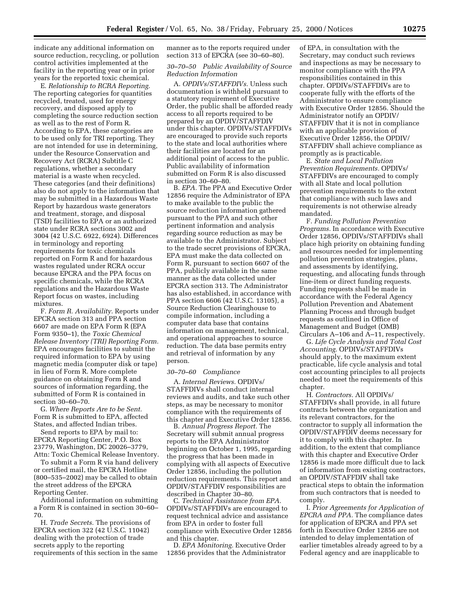indicate any additional information on source reduction, recycling, or pollution control activities implemented at the facility in the reporting year or in prior years for the reported toxic chemical.

E. *Relationship to RCRA Reporting.* The reporting categories for quantities recycled, treated, used for energy recovery, and disposed apply to completing the source reduction section as well as to the rest of Form R. According to EPA, these categories are to be used only for TRI reporting. They are not intended for use in determining, under the Resource Conservation and Recovery Act (RCRA) Subtitle C regulations, whether a secondary material is a waste when recycled. These categories (and their definitions) also do not apply to the information that may be submitted in a Hazardous Waste Report by hazardous waste generators and treatment, storage, and disposal (TSD) facilities to EPA or an authorized state under RCRA sections 3002 and 3004 (42 U.S.C. 6922, 6924). Differences in terminology and reporting requirements for toxic chemicals reported on Form R and for hazardous wastes regulated under RCRA occur because EPCRA and the PPA focus on specific chemicals, while the RCRA regulations and the Hazardous Waste Report focus on wastes, including mixtures.

F. *Form R. Availability.* Reports under EPCRA section 313 and PPA section 6607 are made on EPA Form R (EPA Form 9350–1), the *Toxic Chemical Release Inventory (TRI) Reporting Form.* EPA encourages facilities to submit the required information to EPA by using magnetic media (computer disk or tape) in lieu of Form R. More complete guidance on obtaining Form R and sources of information regarding, the submitted of Form R is contained in section 30–60–70.

G. *Where Reports Are to be Sent.* Form R is submitted to EPA, affected States, and affected Indian tribes.

Send reports to EPA by mail to: EPCRA Reporting Center, P.O. Box 23779, Washington, DC 20026–3779, Attn: Toxic Chemical Release Inventory.

To submit a Form R via hand delivery or certified mail, the EPCRA Hotline (800–535–2002) may be called to obtain the street address of the EPCRA Reporting Center.

Additional information on submitting a Form R is contained in section 30–60– 70.

H. *Trade Secrets.* The provisions of EPCRA section 322 (42 U.S.C. 11042) dealing with the protection of trade secrets apply to the reporting requirements of this section in the same

manner as to the reports required under section 313 of EPCRA (see 30–60–80).

## *30–70–50 Public Availability of Source Reduction Information*

A. *OPDIVs/STAFFDIVs.* Unless such documentation is withheld pursuant to a statutory requirement of Executive Order, the public shall be afforded ready access to all reports required to be prepared by an OPDIV/STAFFDIV under this chapter. OPDIVs/STAFFDIVs are encouraged to provide such reports to the state and local authorities where their facilities are located for an additional point of access to the public. Public availability of information submitted on Form R is also discussed in section 30–60–80.

B. *EPA.* The PPA and Executive Order 12856 require the Administrator of EPA to make available to the public the source reduction information gathered pursuant to the PPA and such other pertinent information and analysis regarding source reduction as may be available to the Administrator. Subject to the trade secret provisions of EPCRA, EPA must make the data collected on Form R, pursuant to section 6607 of the PPA, publicly available in the same manner as the data collected under EPCRA section 313. The Administrator has also established, in accordance with PPA section 6606 (42 U.S.C. 13105), a Source Reduction Clearinghouse to compile information, including a computer data base that contains information on management, technical, and operational approaches to source reduction. The data base permits entry and retrieval of information by any person.

#### *30–70–60 Compliance*

A. *Internal Reviews.* OPDIVs/ STAFFDIVs shall conduct internal reviews and audits, and take such other steps, as may be necessary to monitor compliance with the requirements of this chapter and Executive Order 12856.

B. *Annual Progress Report.* The Secretary will submit annual progress reports to the EPA Administrator beginning on October 1, 1995, regarding the progress that has been made in complying with all aspects of Executive Order 12856, including the pollution reduction requirements. This report and OPDIV/STAFFDIV responsibilities are described in Chapter 30–80.

C. *Technical Assistance from EPA.* OPDIVs/STAFFDIVs are encouraged to request technical advice and assistance from EPA in order to foster full compliance with Executive Order 12856 and this chapter.

D. *EPA Monitoring.* Executive Order 12856 provides that the Administrator of EPA, in consultation with the Secretary, may conduct such reviews and inspections as may be necessary to monitor compliance with the PPA responsibilities contained in this chapter. OPDIVs/STAFFDIVs are to cooperate fully with the efforts of the Administrator to ensure compliance with Executive Order 12856. Should the Administrator notify an OPDIV/ STAFFDIV that it is not in compliance with an applicable provision of Executive Order 12856, the OPDIV/ STAFFDIV shall achieve compliance as promptly as is practicable.

E. *State and Local Pollution Prevention Requirements.* OPDIVs/ STAFFDIVs are encouraged to comply with all State and local pollution prevention requirements to the extent that compliance with such laws and requirements is not otherwise already mandated.

F. *Funding Pollution Prevention Programs.* In accordance with Executive Order 12856, OPDIVs/STAFFDIVs shall place high priority on obtaining funding and resources needed for implementing pollution prevention strategies, plans, and assessments by identifying, requesting, and allocating funds through line-item or direct funding requests. Funding requests shall be made in accordance with the Federal Agency Pollution Prevention and Abatement Planning Process and through budget requests as outlined in Office of Management and Budget (OMB) Circulars A–106 and A–11, respectively.

G. *Life Cycle Analysis and Total Cost Accounting.* OPDIVs/STAFFDIVs should apply, to the maximum extent practicable, life cycle analysis and total cost accounting principles to all projects needed to meet the requirements of this chapter.

H. *Contractors.* All OPDIVs/ STAFFDIVs shall provide, in all future contracts between the organization and its relevant contractors, for the contractor to supply all information the OPDIV/STAFFDIV deems necessary for it to comply with this chapter. In addition, to the extent that compliance with this chapter and Executive Order 12856 is made more difficult due to lack of information from existing contractors, an OPDIV/STAFFDIV shall take practical steps to obtain the information from such contractors that is needed to comply.

I. *Prior Agreements for Application of EPCRA and PPA.* The compliance dates for application of EPCRA and PPA set forth in Executive Order 12856 are not intended to delay implementation of earlier timetables already agreed to by a Federal agency and are inapplicable to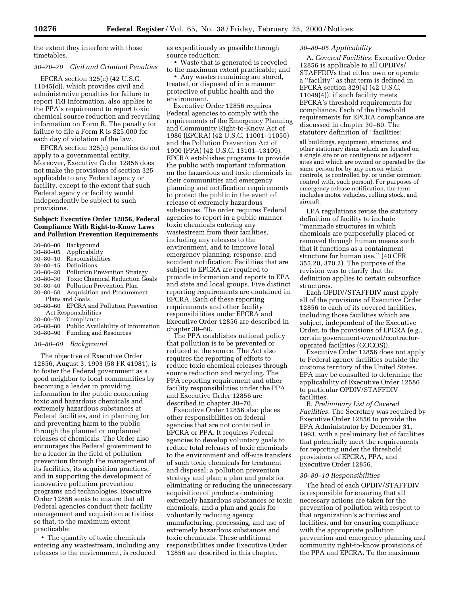the extent they interfere with those timetables.

#### *30–70–70 Civil and Criminal Penalties*

EPCRA section 325(c) (42 U.S.C. 11045(c)), which provides civil and administrative penalties for failure to report TRI information, also applies to the PPA's requirement to report toxic chemical source reduction and recycling information on Form R. The penalty for failure to file a Form R is \$25,000 for each day of violation of the law.

EPCRA section 325(c) penalties do not apply to a governmental entity. Moreover, Executive Order 12856 does not make the provisions of section 325 applicable to any Federal agency or facility, except to the extent that such Federal agency or facility would independently be subject to such provisions.

#### **Subject: Executive Order 12856, Federal Compliance With Right-to-Know Laws and Pollution Prevention Requirements**

|  | 30-80-00 Background |  |
|--|---------------------|--|
|--|---------------------|--|

| $30 - 80 - 05$ | Applicability |
|----------------|---------------|
|                |               |

| $30 - 80 - 10$ | Responsibilities |
|----------------|------------------|
|----------------|------------------|

- 30–80–15 Definitions
- 30–80–20 Pollution Prevention Strategy
- 30–80–30 Toxic Chemical Reduction Goals
- Pollution Prevention Plan
- 30–80–50 Acquisition and Procurement
- Plans and Goals 30–80–60 EPCRA and Pollution Prevention Act Responsibilities
- 30–80–70 Compliance
- 30–80–80 Public Availability of Information
- 30–80–90 Funding and Resources

#### *30–80–00 Background*

The objective of Executive Order 12856, August 3, 1993 (58 FR 41981), is to foster the Federal government as a good neighbor to local communities by becoming a leader in providing information to the public concerning toxic and hazardous chemicals and extremely hazardous substances at Federal facilities, and in planning for and preventing harm to the public through the planned or unplanned releases of chemicals. The Order also encourages the Federal government to be a leader in the field of pollution prevention through the management of its facilities, its acquisition practices, and in supporting the development of innovative pollution prevention programs and technologies. Executive Order 12856 seeks to ensure that all Federal agencies conduct their facility management and acquisition activities so that, to the maximum extent practicable:

• The quantity of toxic chemicals entering any wastestream, including any releases to the environment, is reduced

as expeditiously as possible through source reduction;

• Waste that is generated is recycled to the maximum extent practicable; and

• Any wastes remaining are stored, treated, or disposed of in a manner protective of public health and the environment.

Executive Order 12856 requires Federal agencies to comply with the requirements of the Emergency Planning and Community Right-to-Know Act of 1986 (EPCRA) (42 U.S.C. 11001–11050) and the Pollution Prevention Act of 1990 (PPA) (42 U.S.C. 13101–13109). EPCRA establishes programs to provide the public with important information on the hazardous and toxic chemicals in their communities and emergency planning and notification requirements to protect the public in the event of release of extremely hazardous substances. The order requires Federal agencies to report in a public manner toxic chemicals entering any wastestream from their facilities, including any releases to the environment, and to improve local emergency planning, response, and accident notification. Facilities that are subject to EPCRA are required to provide information and reports to EPA and state and local groups. Five distinct reporting requirements are contained in EPCRA. Each of these reporting requirements and other facility responsibilities under EPCRA and Executive Order 12856 are described in chapter 30–60.

The PPA establishes national policy that pollution is to be prevented or reduced at the source. The Act also requires the reporting of efforts to reduce toxic chemical releases through source reduction and recycling. The PPA reporting requirement and other facility responsibilities under the PPA and Executive Order 12856 are described in chapter 30–70.

Executive Order 12856 also places other responsibilities on federal agencies that are not contained in EPCRA or PPA. It requires Federal agencies to develop voluntary goals to reduce total releases of toxic chemicals to the environment and off-site transfers of such toxic chemicals for treatment and disposal; a pollution prevention strategy and plan; a plan and goals for eliminating or reducing the unnecessary acquisition of products containing extremely hazardous substances or toxic chemicals; and a plan and goals for voluntarily reducing agency manufacturing, processing, and use of extremely hazardous substances and toxic chemicals. These additional responsibilities under Executive Order 12856 are described in this chapter.

## *30–80–05 Applicability*

A. *Covered Facilities.* Executive Order 12856 is applicable to all OPDIVs/ STAFFDIVs that either own or operate a ''facility'' as that term is defined in EPCRA section 329(4) (42 U.S.C. 11049(4)), if such facility meets EPCRA's threshold requirements for compliance. Each of the threshold requirements for EPCRA compliance are discussed in chapter 30–60. The statutory definition of ''facilities:

all buildings, equipment, structures, and other stationary items which are located on a single site or on contiguous or adjacent sites and which are owned or operated by the same person (or by any person which controls, is controlled by, or under common control with, such person). For purposes of emergency release notification, the term includes motor vehicles, rolling stock, and aircraft.

EPA regulations revise the statutory definition of facility to include ''manmade structures in which chemicals are purposefully placed or removed through human means such that it functions as a containment structure for human use.'' (40 CFR 355.20, 370.2). The purpose of the revision was to clarify that the definition applies to certain subsurface structures.

Each OPDIV/STAFFDIV must apply all of the provisions of Executive Order 12856 to each of its covered facilities, including those facilities which are subject, independent of the Executive Order, to the provisions of EPCRA (e.g., certain government-owned/contractoroperated facilities (GOCOS)).

Executive Order 12856 does not apply to Federal agency facilities outside the customs territory of the United States. EPA may be consulted to determine the applicability of Executive Order 12586 to particular OPDIV/STAFFDIV facilities.

B. *Preliminary List of Covered Facilities.* The Secretary was required by Executive Order 12856 to provide the EPA Administrator by December 31, 1993, with a preliminary list of facilities that potentially meet the requirements for reporting under the threshold provisions of EPCRA, PPA, and Executive Order 12856.

#### *30–80–10 Responsibilities*

The head of each OPDIV/STAFFDIV is responsible for ensuring that all necessary actions are taken for the prevention of pollution with respect to that organization's activities and facilities, and for ensuring compliance with the appropriate pollution prevention and emergency planning and community right-to-know provisions of the PPA and EPCRA. To the maximum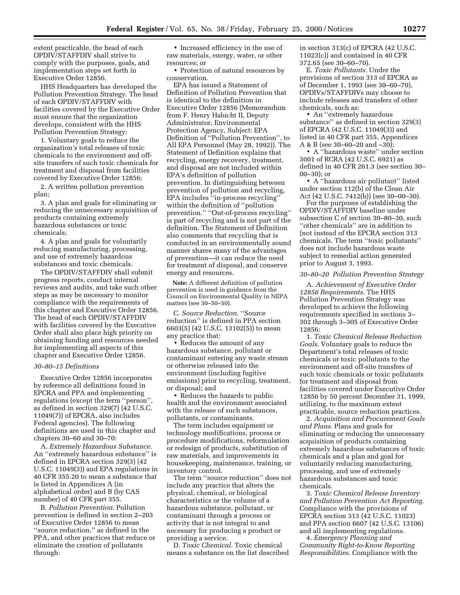extent practicable, the head of each OPDIV/STAFFDIV shall strive to comply with the purposes, goals, and implementation steps set forth in Executive Order 12856.

HHS Headquarters has developed the Pollution Prevention Strategy. The head of each OPDIV/STAFFDIV with facilities covered by the Executive Order must ensure that the organization develops, consistent with the HHS Pollution Prevention Strategy:

1. Voluntary goals to reduce the organization's total releases of toxic chemicals to the environment and offsite transfers of such toxic chemicals for treatment and disposal from facilities covered by Executive Order 12856;

2. A written pollution prevention plan;

3. A plan and goals for eliminating or reducing the unnecessary acquisition of products containing extremely hazardous substances or toxic chemicals;

4. A plan and goals for voluntarily reducing manufacturing, processing, and use of extremely hazardous substances and toxic chemicals.

The OPDIV/STAFFDIV shall submit progress reports, conduct internal reviews and audits, and take such other steps as may be necessary to monitor compliance with the requirements of this chapter and Executive Order 12856. The head of each OPDIV/STAFFDIV with facilities covered by the Executive Order shall also place high priority on obtaining funding and resources needed for implementing all aspects of this chapter and Executive Order 12856.

#### *30–80–15 Definitions*

Executive Order 12856 incorporates by reference all definitions found in EPCRA and PPA and implementing regulations (except the term ''person'', as defined in section 329(7) (42 U.S.C. 11049(7)) of EPCRA, also includes Federal agencies). The following definitions are used in this chapter and chapters 30–60 and 30–70:

A. *Extremely Hazardous Substance.* An ''extremely hazardous substance'' is defined in EPCRA section 329(3) (42 U.S.C. 11049(3)) and EPA regulations in 40 CFR 355.20 to mean a substance that is listed in Appendices A (in alphabetical order) and B (by CAS number) of 40 CFR part 355.

B. *Pollution Prevention.* Pollution prevention is defined in section 2–203 of Executive Order 12856 to mean ''source reduction,'' as defined in the PPA, and other practices that reduce or eliminate the creation of pollutants through:

• Increased efficiency in the use of raw materials, energy, water, or other resources; or

• Protection of natural resources by conservation.

EPA has issued a Statement of Definition of Pollution Prevention that is identical to the definition in Executive Order 12856 (Memorandum from F. Henry Habicht II, Deputy Administrator, Environmental Protection Agency, Subject: EPA Definition of ''Pollution Prevention'', to All EPA Personnel (May 28, 1992)). The Statement of Definition explains that recycling, energy recovery, treatment, and disposal are not included within EPA's definition of pollution prevention. In distinguishing between prevention of pollution and recycling, EPA includes ''in-process recycling'' within the definition of ''pollution prevention.'' ''Out-of-process recycling'' is part of recycling and is not part of the definition. The Statement of Definition also comments that recycling that is conducted in an environmentally sound manner shares many of the advantages of prevention—it can reduce the need for treatment of disposal, and conserve energy and resources.

**Note:** A different definition of pollution prevention is used in guidance from the Council on Environmental Quality in NEPA matters (see 30–50–50).

C. *Source Reduction.* ''Source reduction'' is defined in PPA section 6603(5) (42 U.S.C. 13102(5)) to mean any practice that:

• Reduces the amount of any hazardous substance, pollutant or contaminant entering any waste stream or otherwise released into the environment (including fugitive emissions) prior to recycling, treatment, or disposal; and

• Reduces the hazards to public health and the environment associated with the release of such substances, pollutants, or contaminants.

The term includes equipment or technology modifications, process or procedure modifications, reformulation or redesign of products, substitution of raw materials, and improvements in housekeeping, maintenance, training, or inventory control.

The term ''source reduction'' does not include any practice that alters the physical, chemical, or biological characteristics or the volume of a hazardous substance, pollutant, or contaminant through a process or activity that is not integral to and necessary for producing a product or providing a service.

D. *Toxic Chemical.* Toxic chemical means a substance on the list described in section 313(c) of EPCRA (42 U.S.C. 11023(c)) and contained in 40 CFR 372.65 (see 30–60–70).

E. *Toxic Pollutants.* Under the provisions of section 313 of EPCRA as of December 1, 1993 (see 30–60–70), OPDIVs/STAFFDIVs may choose to include releases and transfers of other chemicals, such as:

• An ''extremely hazardous substance'' as defined in section 329(3) of EPCRA (42 U.S.C. 11049(3)) and listed in 40 CFR part 355, Appendices A & B (see 30–60–20 and –30);

• A ''hazardous waste'' under section 3001 of RCRA (42 U.S.C. 6921) as defined in 40 CFR 261.3 (see section 30– 00–30); or

• A ''hazardous air pollutant'' listed under section 112(b) of the Clean Air Act (42 U.S.C. 7412(b)) (see 30–00–30).

For the purposes of establishing the OPDIV/STAFFDIV baseline under subsection C of section 30–80–30, such ''other chemicals'' are in addition to (not instead of the EPCRA section 313 chemicals. The term ''toxic pollutants'' does not include hazardous waste subject to remedial action generated prior to August 3, 1993.

#### *30–80–20 Pollution Prevention Strategy*

A. *Achievement of Executive Order 12856 Requirements.* The HHS Pollution Prevention Strategy was developed to achieve the following requirements specified in sections 3– 302 through 3–305 of Executive Order 12856:

1. *Toxic Chemical Release Reduction Goals.* Voluntary goals to reduce the Department's total releases of toxic chemicals or toxic pollutants to the environment and off-site transfers of such toxic chemicals or toxic pollutants for treatment and disposal from facilities covered under Executive Order 12856 by 50 percent December 31, 1999, utilizing, to the maximum extent practicable, source reduction practices.

2. *Acquisition and Procurement Goals and Plans.* Plans and goals for eliminating or reducing the unnecessary acquisition of products containing extremely hazardous substances of toxic chemicals and a plan and goal for voluntarily reducing manufacturing, processing, and use of extremely hazardous substances and toxic chemicals.

3. *Toxic Chemical Release Inventory and Pollution Prevention Act Reporting.* Compliance with the provisions of EPCRA section 313 (42 U.S.C. 11023) and PPA section 6607 (42 U.S.C. 13106) and all implementing regulations.

4. *Emergency Planning and Community Right-to-Know Reporting Responsibilities.* Compliance with the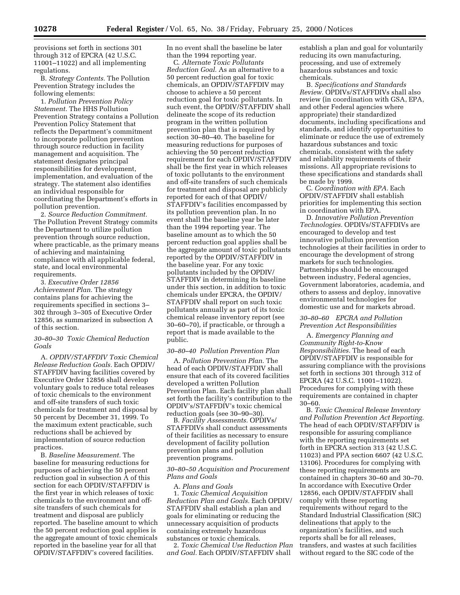provisions set forth in sections 301 through 312 of EPCRA (42 U.S.C. 11001–11022) and all implementing regulations.

B. *Strategy Contents.* The Pollution Prevention Strategy includes the following elements:

1. *Pollution Prevention Policy Statement.* The HHS Pollution Prevention Strategy contains a Pollution Prevention Policy Statement that reflects the Department's commitment to incorporate pollution prevention through source reduction in facility management and acquisition. The statement designates principal responsibilities for development, implementation, and evaluation of the strategy. The statement also identifies an individual responsible for coordinating the Department's efforts in pollution prevention.

2. *Source Reduction Commitment.* The Pollution Prevent Strategy commits the Department to utilize pollution prevention through source reduction, where practicable, as the primary means of achieving and maintaining compliance with all applicable federal, state, and local environmental requirements.

3. *Executive Order 12856 Achievement Plan.* The strategy contains plans for achieving the requirements specified in sections 3– 302 through 3–305 of Executive Order 12856, as summarized in subsection A of this section.

#### *30–80–30 Toxic Chemical Reduction Goals*

A. *OPDIV/STAFFDIV Toxic Chemical Release Reduction Goals.* Each OPDIV/ STAFFDIV having facilities covered by Executive Order 12856 shall develop voluntary goals to reduce total releases of toxic chemicals to the environment and off-site transfers of such toxic chemicals for treatment and disposal by 50 percent by December 31, 1999. To the maximum extent practicable, such reductions shall be achieved by implementation of source reduction practices.

B. *Baseline Measurement.* The baseline for measuring reductions for purposes of achieving the 50 percent reduction goal in subsection A of this section for each OPDIV/STAFFDIV is the first year in which releases of toxic chemicals to the environment and offsite transfers of such chemicals for treatment and disposal are publicly reported. The baseline amount to which the 50 percent reduction goal applies is the aggregate amount of toxic chemicals reported in the baseline year for all that OPDIV/STAFFDIV's covered facilities.

In no event shall the baseline be later than the 1994 reporting year.

C. *Alternate Toxic Pollutants Reduction Goal.* As an alternative to a 50 percent reduction goal for toxic chemicals, an OPDIV/STAFFDIV may choose to achieve a 50 percent reduction goal for toxic pollutants. In such event, the OPDIV/STAFFDIV shall delineate the scope of its reduction program in the written pollution prevention plan that is required by section 30–80–40. The baseline for measuring reductions for purposes of achieving the 50 percent reduction requirement for each OPDIV/STAFFDIV shall be the first year in which releases of toxic pollutants to the environment and off-site transfers of such chemicals for treatment and disposal are publicly reported for each of that OPDIV/ STAFFDIV's facilities encompassed by its pollution prevention plan. In no event shall the baseline year be later than the 1994 reporting year. The baseline amount as to which the 50 percent reduction goal applies shall be the aggregate amount of toxic pollutants reported by the OPDIV/STAFFDIV in the baseline year. For any toxic pollutants included by the OPDIV/ STAFFDIV in determining its baseline under this section, in addition to toxic chemicals under EPCRA, the OPDIV/ STAFFDIV shall report on such toxic pollutants annually as part of its toxic chemical release inventory report (see 30–60–70), if practicable, or through a report that is made available to the public.

#### *30–80–40 Pollution Prevention Plan*

A. *Pollution Prevention Plan.* The head of each OPDIV/STAFFDIV shall ensure that each of its covered facilities developed a written Pollution Prevention Plan. Each facility plan shall set forth the facility's contribution to the OPDIV's/STAFFDIV's toxic chemical reduction goals (see 30–90–30).

B. *Facility Assessments.* OPDIVs/ STAFFDIVs shall conduct assessments of their facilities as necessary to ensure development of facility pollution prevention plans and pollution prevention programs.

## *30–80–50 Acquisition and Procurement Plans and Goals*

A. *Plans and Goals* 1. *Toxic Chemical Acquisition Reduction Plan and Goals.* Each OPDIV/ STAFFDIV shall establish a plan and goals for eliminating or reducing the unnecessary acquisition of products containing extremely hazardous substances or toxic chemicals.

2. *Toxic Chemical Use Reduction Plan and Goal.* Each OPDIV/STAFFDIV shall

establish a plan and goal for voluntarily reducing its own manufacturing, processing, and use of extremely hazardous substances and toxic chemicals.

B. *Specifications and Standards Review.* OPDIVs/STAFFDIVs shall also review (in coordination with GSA, EPA, and other Federal agencies where appropriate) their standardized documents, including specifications and standards, and identify opportunities to eliminate or reduce the use of extremely hazardous substances and toxic chemicals, consistent with the safety and reliability requirements of their missions. All appropriate revisions to these specifications and standards shall be made by 1999.

C. *Coordination with EPA.* Each OPDIV/STAFFDIV shall establish priorities for implementing this section in coordination with EPA.

D. *Innovative Pollution Prevention Technologies.* OPDIVs/STAFFDIVs are encouraged to develop and test innovative pollution prevention technologies at their facilities in order to encourage the development of strong markets for such technologies. Partnerships should be encouraged between industry, Federal agencies, Government laboratories, academia, and others to assess and deploy, innovative environmental technologies for domestic use and for markets abroad.

## *30–80–60 EPCRA and Pollution Prevention Act Responsibilities*

A. *Emergency Planning and Community Right-to-Know Responsibilities.* The head of each OPDIV/STAFFDIV is responsible for assuring compliance with the provisions set forth in sections 301 through 312 of EPCRA (42 U.S.C. 11001–11022). Procedures for complying with these requirements are contained in chapter 30–60.

B. *Toxic Chemical Release Inventory and Pollution Prevention Act Reporting.* The head of each OPDIV/STAFFDIV is responsible for assuring compliance with the reporting requirements set forth in EPCRA section 313 (42 U.S.C. 11023) and PPA section 6607 (42 U.S.C. 13106). Procedures for complying with these reporting requirements are contained in chapters 30–60 and 30–70. In accordance with Executive Order 12856, each OPDIV/STAFFDIV shall comply with these reporting requirements without regard to the Standard Industrial Classification (SIC) delineations that apply to the organization's facilities, and such reports shall be for all releases, transfers, and wastes at such facilities without regard to the SIC code of the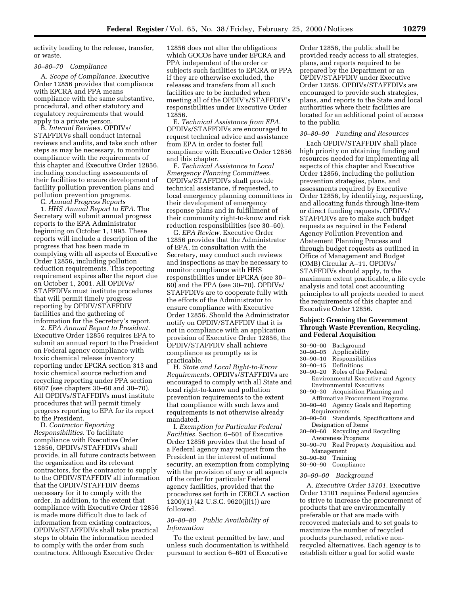activity leading to the release, transfer, or waste.

#### *30–80–70 Compliance*

A. *Scope of Compliance.* Executive Order 12856 provides that compliance with EPCRA and PPA means compliance with the same substantive, procedural, and other statutory and regulatory requirements that would apply to a private person.

B. *Internal Reviews.* OPDIVs/ STAFFDIVs shall conduct internal reviews and audits, and take such other steps as may be necessary, to monitor compliance with the requirements of this chapter and Executive Order 12856, including conducting assessments of their facilities to ensure development of facility pollution prevention plans and pollution prevention programs. C. *Annual Progress Reports*

1. *HHS Annual Report to EPA.* The Secretary will submit annual progress reports to the EPA Administrator beginning on October 1, 1995. These reports will include a description of the progress that has been made in complying with all aspects of Executive Order 12856, including pollution reduction requirements. This reporting requirement expires after the report due on October 1, 2001. All OPDIVs/ STAFFDIVs must institute procedures that will permit timely progress reporting by OPDIV/STAFFDIV facilities and the gathering of information for the Secretary's report.

2. *EPA Annual Report to President.* Executive Order 12856 requires EPA to submit an annual report to the President on Federal agency compliance with toxic chemical release inventory reporting under EPCRA section 313 and toxic chemical source reduction and recycling reporting under PPA section 6607 (see chapters 30–60 and 30–70). All OPDIVs/STAFFDIVs must institute procedures that will permit timely progress reporting to EPA for its report to the President.

D. *Contractor Reporting Responsibilities.* To facilitate compliance with Executive Order 12856, OPDIVs/STAFFDIVs shall provide, in all future contracts between the organization and its relevant contractors, for the contractor to supply to the OPDIV/STAFFDIV all information that the OPDIV/STAFFDIV deems necessary for it to comply with the order. In addition, to the extent that compliance with Executive Order 12856 is made more difficult due to lack of information from existing contractors, OPDIVs/STAFFDIVs shall take practical steps to obtain the information needed to comply with the order from such contractors. Although Executive Order

12856 does not alter the obligations which GOCOs have under EPCRA and PPA independent of the order or subjects such facilities to EPCRA or PPA if they are otherwise excluded, the releases and transfers from all such facilities are to be included when meeting all of the OPDIV's/STAFFDIV's responsibilities under Executive Order 12856.

E. *Technical Assistance from EPA.* OPDIVs/STAFFDIVs are encouraged to request technical advice and assistance from EPA in order to foster full compliance with Executive Order 12856 and this chapter.

F. *Technical Assistance to Local Emergency Planning Committees.* OPDIVs/STAFFDIVs shall provide technical assistance, if requested, to local emergency planning committees in their development of emergency response plans and in fulfillment of their community right-to-know and risk reduction responsibilities (see 30–60).

G. *EPA Review.* Executive Order 12856 provides that the Administrator of EPA, in consultation with the Secretary, may conduct such reviews and inspections as may be necessary to monitor compliance with HHS responsibilities under EPCRA (see 30– 60) and the PPA (see 30–70). OPDIVs/ STAFFDIVs are to cooperate fully with the efforts of the Administrator to ensure compliance with Executive Order 12856. Should the Administrator notify on OPDIV/STAFFDIV that it is not in compliance with an application provision of Executive Order 12856, the OPDIV/STAFFDIV shall achieve compliance as promptly as is practicable.

H. *State and Local Right-to-Know Requirements.* OPDIVs/STAFFDIVs are encouraged to comply with all State and local right-to-know and pollution prevention requirements to the extent that compliance with such laws and requirements is not otherwise already mandated.

I. *Exemption for Particular Federal Facilities.* Section 6–601 of Executive Order 12856 provides that the head of a Federal agency may request from the President in the interest of national security, an exemption from complying with the provision of any or all aspects of the order for particular Federal agency facilities, provided that the procedures set forth in CERCLA section 1200)(1) (42 U.S.C. 9620(j)(1)) are followed.

## *30–80–80 Public Availability of Information*

To the extent permitted by law, and unless such documentation is withheld pursuant to section 6–601 of Executive

Order 12856, the public shall be provided ready access to all strategies, plans, and reports required to be prepared by the Department or an OPDIV/STAFFDIV under Executive Order 12856. OPDIVs/STAFFDIVs are encouraged to provide such strategies, plans, and reports to the State and local authorities where their facilities are located for an additional point of access to the public.

#### *30–80–90 Funding and Resources*

Each OPDIV/STAFFDIV shall place high priority on obtaining funding and resources needed for implementing all aspects of this chapter and Executive Order 12856, including the pollution prevention strategies, plans, and assessments required by Executive Order 12856, by identifying, requesting, and allocating funds through line-item or direct funding requests. OPDIVs/ STAFFDIVs are to make such budget requests as required in the Federal Agency Pollution Prevention and Abatement Planning Process and through budget requests as outlined in Office of Management and Budget (OMB) Circular A–11. OPDIVs/ STAFFDIVs should apply, to the maximum extent practicable, a life cycle analysis and total cost accounting principles to all projects needed to meet the requirements of this chapter and Executive Order 12856.

#### **Subject: Greening the Government Through Waste Prevention, Recycling, and Federal Acquisition**

- 30–90–00 Background
- 
- 30–90–05 Applicability 30–90–10 Responsibilities
- Definitions
- 30–90–20 Roles of the Federal Environmental Executive and Agency Environmental Executives
- 30–90–30 Acquisition Planning and
- Affirmative Procurement Programs 30–90–40 Agency Goals and Reporting Requirements
- 30–90–50 Standards, Specifications and Designation of Items
- 30–90–60 Recycling and Recycling Awareness Programs
- 30–90–70 Real Property Acquisition and Management
- 30–90–80 Training
- 30–90–90 Compliance

#### *30–90–00 Background*

A. *Executive Order 13101.* Executive Order 13101 requires Federal agencies to strive to increase the procurement of products that are environmentally preferable or that are made with recovered materials and to set goals to maximize the number of recycled products purchased, relative nonrecycled alternatives. Each agency is to establish either a goal for solid waste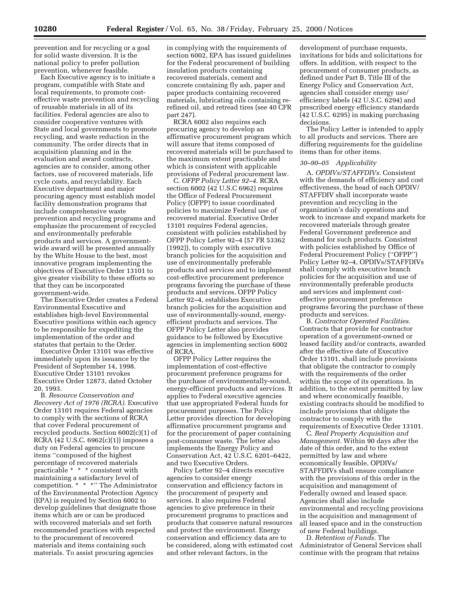prevention and for recycling or a goal for solid waste diversion. It is the national policy to prefer pollution prevention, whenever feasible.

Each Executive agency is to initiate a program, compatible with State and local requirements, to promote costeffective waste prevention and recycling of reusable materials in all of its facilities. Federal agencies are also to consider cooperative ventures with State and local governments to promote recycling, and waste reduction in the community. The order directs that in acquisition planning and in the evaluation and award contracts, agencies are to consider, among other factors, use of recovered materials, life cycle costs, and recyclability. Each Executive department and major procuring agency must establish model facility demonstration programs that include comprehensive waste prevention and recycling programs and emphasize the procurement of recycled and environmentally preferable products and services. A governmentwide award will be presented annually by the White House to the best, most innovative program implementing the objectives of Executive Order 13101 to give greater visibility to these efforts so that they can be incorporated government-wide.

The Executive Order creates a Federal Environmental Executive and establishes high-level Environmental Executive positions within each agency to be responsible for expediting the implementation of the order and statutes that pertain to the Order.

Executive Order 13101 was effective immediately upon its issuance by the President of September 14, 1998. Executive Order 13101 revokes Executive Order 12873, dated October 20, 1993.

B. *Resource Conservation and Recovery Act of 1976 (RCRA).* Executive Order 13101 requires Federal agencies to comply with the sections of RCRA that cover Federal procurement of recycled products. Section 6002(c)(1) of RCRA (42 U.S.C. 6962(c)(1)) imposes a duty on Federal agencies to procure items ''composed of the highest percentage of recovered materials practicable \* \* \* consistent with maintaining a satisfactory level of competition. \* \* \*'' The Administrator of the Environmental Protection Agency (EPA) is required by Section 6002 to develop guidelines that designate those items which are or can be produced with recovered materials and set forth recommended practices with respected to the procurement of recovered materials and items containing such materials. To assist procuring agencies

in complying with the requirements of section 6002, EPA has issued guidelines for the Federal procurement of building insulation products containing recovered materials, cement and concrete containing fly ash, paper and paper products containing recovered materials, lubricating oils containing rerefined oil, and retread tires (see 40 CFR part 247).

RCRA 6002 also requires each procuring agency to develop an affirmative procurement program which will assure that items composed of recovered materials will be purchased to the maximum extent practicable and which is consistent with applicable provisions of Federal procurement law.

C. *OFPP Policy Letter 92–4.* RCRA section 6002 (42 U.S.C 6962) requires the Office of Federal Procurement Policy (OFPP) to issue coordinated policies to maximize Federal use of recovered material. Executive Order 13101 requires Federal agencies, consistent with policies established by OFPP Policy Letter 92–4 (57 FR 53362 (1992)), to comply with executive branch policies for the acquisition and use of environmentally preferable products and services and to implement cost-effective procurement preference programs favoring the purchase of these products and services. OFPP Policy Letter 92–4, establishes Executive branch policies for the acquisition and use of environmentally-sound, energyefficient products and services. The OFPP Policy Letter also provides guidance to be followed by Executive agencies in implementing section 6002 of RCRA.

OFPP Policy Letter requires the implementation of cost-effective procurement preference programs for the purchase of environmentally-sound, energy-efficient products and services. It applies to Federal executive agencies that use appropriated Federal funds for procurement purposes. The Policy Letter provides direction for developing affirmative procurement programs and for the procurement of paper containing post-consumer waste. The letter also implements the Energy Policy and Conservation Act, 42 U.S.C. 6201–6422, and two Executive Orders.

Policy Letter 92–4 directs executive agencies to consider energy conservation and efficiency factors in the procurement of property and services. It also requires Federal agencies to give preference in their procurement programs to practices and products that conserve natural resources and protect the environment. Energy conservation and efficiency data are to be considered, along with estimated cost and other relevant factors, in the

development of purchase requests, invitations for bids and solicitations for offers. In addition, with respect to the procurement of consumer products, as defined under Part B, Title III of the Energy Policy and Conservation Act, agencies shall consider energy use/ efficiency labels (42 U.S.C. 6294) and prescribed energy efficiency standards (42 U.S.C. 6295) in making purchasing decisions.

The Policy Letter is intended to apply to all products and services. There are differing requirements for the guideline items than for other items.

#### *30–90–05 Applicability*

A. *OPDIVs/STAFFDIVs.* Consistent with the demands of efficiency and cost effectiveness, the head of each OPDIV/ STAFFDIV shall incorporate waste prevention and recycling in the organization's daily operations and work to increase and expand markets for recovered materials through greater Federal Government preference and demand for such products. Consistent with policies established by Office of Federal Procurement Policy (''OFPP'') Policy Letter 92–4, OPDIVs/STAFFDIVs shall comply with executive branch policies for the acquisition and use of environmentally preferable products and services and implement costeffective procurement preference programs favoring the purchase of these products and services.

B. *Contractor Operated Facilities.* Contracts that provide for contractor operation of a government-owned or leased facility and/or contracts, awarded after the effective date of Executive Order 13101, shall include provisions that obligate the contractor to comply with the requirements of the order within the scope of its operations. In addition, to the extent permitted by law and where economically feasible, existing contracts should be modified to include provisions that obligate the contractor to comply with the requirements of Executive Order 13101.

C. *Real Property Acquisition and Management.* Within 90 days after the date of this order, and to the extent permitted by law and where economically feasible, OPDIVs/ STAFFDIVs shall ensure compliance with the provisions of this order in the acquisition and management of Federally owned and leased space. Agencies shall also include environmental and recycling provisions in the acquisition and management of all leased space and in the construction of new Federal buildings.

D. *Retention of Funds.* The Administrator of General Services shall continue with the program that retains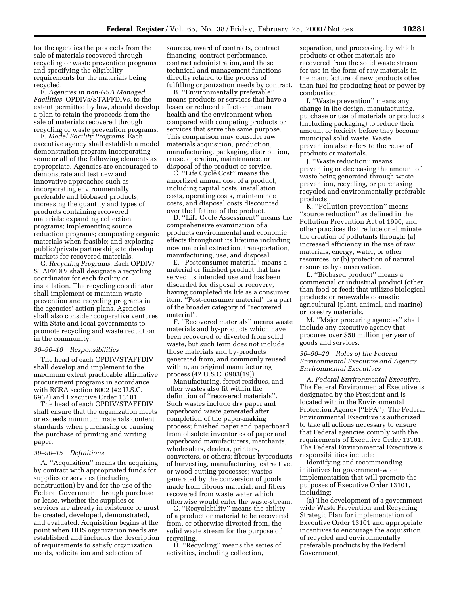for the agencies the proceeds from the sale of materials recovered through recycling or waste prevention programs and specifying the eligibility requirements for the materials being recycled.

E. *Agencies in non-GSA Managed Facilities.* OPDIVs/STAFFDIVs, to the extent permitted by law, should develop a plan to retain the proceeds from the sale of materials recovered through recycling or waste prevention programs.

F. *Model Facility Programs.* Each executive agency shall establish a model demonstration program incorporating some or all of the following elements as appropriate. Agencies are encouraged to demonstrate and test new and innovative approaches such as incorporating environmentally preferable and biobased products; increasing the quantity and types of products containing recovered materials; expanding collection programs; implementing source reduction programs; composting organic materials when feasible; and exploring public/private partnerships to develop markets for recovered materials.

G. *Recycling Programs.* Each OPDIV/ STAFFDIV shall designate a recycling coordinator for each facility or installation. The recycling coordinator shall implement or maintain waste prevention and recycling programs in the agencies' action plans. Agencies shall also consider cooperative ventures with State and local governments to promote recycling and waste reduction in the community.

#### *30–90–10 Responsibilities*

The head of each OPDIV/STAFFDIV shall develop and implement to the maximum extent practicable affirmative procurement programs in accordance with RCRA section 6002 (42 U.S.C. 6962) and Executive Order 13101.

The head of each OPDIV/STAFFDIV shall ensure that the organization meets or exceeds minimum materials content standards when purchasing or causing the purchase of printing and writing paper.

#### *30–90–15 Definitions*

A. ''Acquisition'' means the acquiring by contract with appropriated funds for supplies or services (including construction) by and for the use of the Federal Government through purchase or lease, whether the supplies or services are already in existence or must be created, developed, demonstrated, and evaluated. Acquisition begins at the point when HHS organization needs are established and includes the description of requirements to satisfy organization needs, solicitation and selection of

sources, award of contracts, contract financing, contract performance, contract administration, and those technical and management functions directly related to the process of fulfilling organization needs by contract.

B. ''Environmentally preferable'' means products or services that have a lesser or reduced effect on human health and the environment when compared with competing products or services that serve the same purpose. This comparison may consider raw materials acquisition, production, manufacturing, packaging, distribution, reuse, operation, maintenance, or disposal of the product or service.

C. ''Life Cycle Cost'' means the amortized annual cost of a product, including capital costs, installation costs, operating costs, maintenance costs, and disposal costs discounted over the lifetime of the product.

D. ''Life Cycle Assessment'' means the comprehensive examination of a products environmental and economic effects throughout its lifetime including new material extraction, transportation, manufacturing, use, and disposal.

E. ''Postconsumer material'' means a material or finished product that has served its intended use and has been discarded for disposal or recovery, having completed its life as a consumer item. ''Post-consumer material'' is a part of the broader category of ''recovered material''.

F. ''Recovered materials'' means waste materials and by-products which have been recovered or diverted from solid waste, but such term does not include those materials and by-products generated from, and commonly reused within, an original manufacturing process (42 U.S.C. 6903(19)).

Manufacturing, forest residues, and other wastes also fit within the definition of ''recovered materials''. Such wastes include dry paper and paperboard waste generated after completion of the paper-making process; finished paper and paperboard from obsolete inventories of paper and paperboard manufacturers, merchants, wholesalers, dealers, printers, converters, or others; fibrous byproducts of harvesting, manufacturing, extractive, or wood-cutting processes; wastes generated by the conversion of goods made from fibrous material; and fibers recovered from waste water which otherwise would enter the waste-stream.

G. ''Recyclability'' means the ability of a product or material to be recovered from, or otherwise diverted from, the solid waste stream for the purpose of recycling.

H. ''Recycling'' means the series of activities, including collection,

separation, and processing, by which products or other materials are recovered from the solid waste stream for use in the form of raw materials in the manufacture of new products other than fuel for producing heat or power by combustion.

I. ''Waste prevention'' means any change in the design, manufacturing, purchase or use of materials or products (including packaging) to reduce their amount or toxicity before they become municipal solid waste. Waste prevention also refers to the reuse of products or materials.

J. ''Waste reduction'' means preventing or decreasing the amount of waste being generated through waste prevention, recycling, or purchasing recycled and environmentally preferable products.

K. ''Pollution prevention'' means ''source reduction'' as defined in the Pollution Prevention Act of 1990, and other practices that reduce or eliminate the creation of pollutants through: (a) increased efficiency in the use of raw materials, energy, water, or other resources; or (b) protection of natural resources by conservation.

L. ''Biobased product'' means a commercial or industrial product (other than food or feed: that utilizes biological products or renewable domestic agricultural (plant, animal, and marine) or forestry materials.

M. ''Major procuring agencies'' shall include any executive agency that procures over \$50 million per year of goods and services.

## *30–90–20 Roles of the Federal Environmental Executive and Agency Environmental Executives*

A. *Federal Environmental Executive.* The Federal Environmental Executive is designated by the President and is located within the Environmental Protection Agency (''EPA''). The Federal Environmental Executive is authorized to take all actions necessary to ensure that Federal agencies comply with the requirements of Executive Order 13101. The Federal Environmental Executive's responsibilities include:

Identifying and recommending initiatives for government-wide implementation that will promote the purposes of Executive Order 13101, including:

(a) The development of a governmentwide Waste Prevention and Recycling Strategic Plan for implementation of Executive Order 13101 and appropriate incentives to encourage the acquisition of recycled and environmentally preferable products by the Federal Government,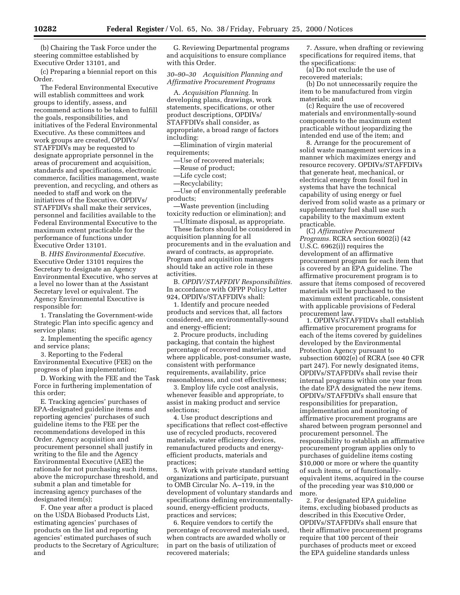(b) Chairing the Task Force under the steering committee established by Executive Order 13101, and

(c) Preparing a biennial report on this Order.

The Federal Environmental Executive will establish committees and work groups to identify, assess, and recommend actions to be taken to fulfill the goals, responsibilities, and initiatives of the Federal Environmental Executive. As these committees and work groups are created, OPDIVs/ STAFFDIVs may be requested to designate appropriate personnel in the areas of procurement and acquisition, standards and specifications, electronic commerce, facilities management, waste prevention, and recycling, and others as needed to staff and work on the initiatives of the Executive. OPDIVs/ STAFFDIVs shall make their services, personnel and facilities available to the Federal Environmental Executive to the maximum extent practicable for the performance of functions under Executive Order 13101.

B. *HHS Environmental Executive.* Executive Order 13101 requires the Secretary to designate an Agency Environmental Executive, who serves at a level no lower than at the Assistant Secretary level or equivalent. The Agency Environmental Executive is responsible for:

1. Translating the Government-wide Strategic Plan into specific agency and service plans;

2. Implementing the specific agency and service plans;

3. Reporting to the Federal Environmental Executive (FEE) on the progress of plan implementation;

D. Working with the FEE and the Task Force in furthering implementation of this order;

E. Tracking agencies' purchases of EPA-designated guideline items and reporting agencies' purchases of such guideline items to the FEE per the recommendations developed in this Order. Agency acquisition and procurement personnel shall justify in writing to the file and the Agency Environmental Executive (AEE) the rationale for not purchasing such items, above the micropurchase threshold, and submit a plan and timetable for increasing agency purchases of the designated item(s);

F. One year after a product is placed on the USDA Biobased Products List, estimating agencies' purchases of products on the list and reporting agencies' estimated purchases of such products to the Secretary of Agriculture; and

G. Reviewing Departmental programs and acquisitions to ensure compliance with this Order.

*30–90–30 Acquisition Planning and Affirmative Procurement Programs*

A. *Acquisition Planning.* In developing plans, drawings, work statements, specifications, or other product descriptions, OPDIVs/ STAFFDIVs shall consider, as appropriate, a broad range of factors including:

—Elimination of virgin material requirements;

—Use of recovered materials;

—Reuse of product;

—Life cycle cost;

—Recyclability;

—Use of environmentally preferable products;

—Waste prevention (including toxicity reduction or elimination); and

—Ultimate disposal, as appropriate. These factors should be considered in acquisition planning for all procurements and in the evaluation and award of contracts, as appropriate. Program and acquisition managers should take an active role in these activities.

B. *OPDIV/STAFFDIV Responsibilities.* In accordance with OFPP Policy Letter 924, OPDIVs/STAFFDIVs shall:

1. Identify and procure needed products and services that, all factors considered, are environmentally-sound and energy-efficient;

2. Procure products, including packaging, that contain the highest percentage of recovered materials, and where applicable, post-consumer waste, consistent with performance requirements, availability, price reasonableness, and cost effectiveness;

3. Employ life cycle cost analysis, whenever feasible and appropriate, to assist in making product and service selections;

4. Use product descriptions and specifications that reflect cost-effective use of recycled products, recovered materials, water efficiency devices, remanufactured products and energyefficient products, materials and practices;

5. Work with private standard setting organizations and participate, pursuant to OMB Circular No. A–119, in the development of voluntary standards and specifications defining environmentallysound, energy-efficient products, practices and services;

6. Require vendors to certify the percentage of recovered materials used, when contracts are awarded wholly or in part on the basis of utilization of recovered materials;

7. Assure, when drafting or reviewing specifications for required items, that the specifications:

(a) Do not exclude the use of recovered materials;

(b) Do not unnecessarily require the item to be manufactured from virgin materials; and

(c) Require the use of recovered materials and environmentally-sound components to the maximum extent practicable without jeopardizing the intended end use of the item; and

8. Arrange for the procurement of solid waste management services in a manner which maximizes energy and resource recovery. OPDIVs/STAFFDIVs that generate heat, mechanical, or electrical energy from fossil fuel in systems that have the technical capability of using energy or fuel derived from solid waste as a primary or supplementary fuel shall use such capability to the maximum extent practicable.

(C) *Affirmative Procurement Programs.* RCRA section 6002(i) (42 U.S.C. 6962(i)) requires the development of an affirmative procurement program for each item that is covered by an EPA guideline. The affirmative procurement program is to assure that items composed of recovered materials will be purchased to the maximum extent practicable, consistent with applicable provisions of Federal procurement law.

1. OPDIVs/STAFFIDVs shall establish affirmative procurement programs for each of the items covered by guidelines developed by the Environmental Protection Agency pursuant to subsection 6002(e) of RCRA (see 40 CFR part 247). For newly designated items, OPDIVs/STAFFDIVs shall revise their internal programs within one year from the date EPA designated the new items. OPDIVs/STAFFDIVs shall ensure that responsibilities for preparation, implementation and monitoring of affirmative procurement programs are shared between program personnel and procurement personnel. The responsibility to establish an affirmative procurement program applies only to purchases of guideline items costing \$10,000 or more or where the quantity of such items, or of functionallyequivalent items, acquired in the course of the preceding year was \$10,000 or more.

2. For designated EPA guideline items, excluding biobased products as described in this Executive Order, OPDIVs/STAFFDIVs shall ensure that their affirmative procurement programs require that 100 percent of their purchases of products meet or exceed the EPA guideline standards unless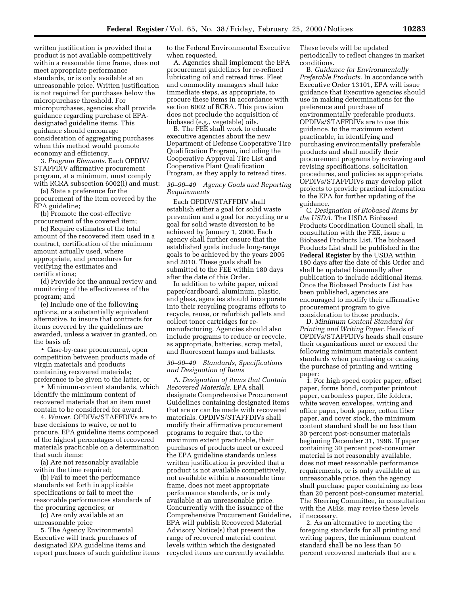written justification is provided that a product is not available competitively within a reasonable time frame, does not meet appropriate performance standards, or is only available at an unreasonable price. Written justification is not required for purchases below the micropurchase threshold. For micropurchases, agencies shall provide guidance regarding purchase of EPAdesignated guideline items. This guidance should encourage consideration of aggregating purchases when this method would promote economy and efficiency.

3. *Program Elements.* Each OPDIV/ STAFFDIV affirmative procurement program, at a minimum, must comply with RCRA subsection 6002(i) and must:

(a) State a preference for the procurement of the item covered by the EPA guideline;

(b) Promote the cost-effective procurement of the covered item;

(c) Require estimates of the total amount of the recovered item used in a contract, certification of the minimum amount actually used, where appropriate, and procedures for verifying the estimates and certifications;

(d) Provide for the annual review and monitoring of the effectiveness of the program; and

(e) Include one of the following options, or a substantially equivalent alternative, to insure that contracts for items covered by the guidelines are awarded, unless a waiver in granted, on the basis of:

• Case-by-case procurement, open competition between products made of virgin materials and products containing recovered materials; preference to be given to the latter, or

• Minimum-content standards, which identify the minimum content of recovered materials that an item must contain to be considered for award.

4. *Waiver.* OPDIVs/STAFFDIVs are to base decisions to waive, or not to procure, EPA guideline items composed of the highest percentages of recovered materials practicable on a determination that such items:

(a) Are not reasonably available within the time required;

(b) Fail to meet the performance standards set forth in applicable specifications or fail to meet the reasonable performances standards of the procuring agencies; or

(c) Are only available at an unreasonable price

5. The Agency Environmental Executive will track purchases of designated EPA guideline items and report purchases of such guideline items to the Federal Environmental Executive when requested.

A. Agencies shall implement the EPA procurement guidelines for re-refined lubricating oil and retread tires. Fleet and commodity managers shall take immediate steps, as appropriate, to procure these items in accordance with section 6002 of RCRA. This provision does not preclude the acquisition of biobased (e.g., vegetable) oils.

B. The FEE shall work to educate executive agencies about the new Department of Defense Cooperative Tire Qualification Program, including the Cooperative Approval Tire List and Cooperative Plant Qualification Program, as they apply to retread tires.

## *30–90–40 Agency Goals and Reporting Requirements*

Each OPDIV/STAFFDIV shall establish either a goal for solid waste prevention and a goal for recycling or a goal for solid waste diversion to be achieved by January 1, 2000. Each agency shall further ensure that the established goals include long-range goals to be achieved by the years 2005 and 2010. These goals shall be submitted to the FEE within 180 days after the date of this Order.

In addition to white paper, mixed paper/cardboard, aluminum, plastic, and glass, agencies should incorporate into their recycling programs efforts to recycle, reuse, or refurbish pallets and collect toner cartridges for remanufacturing. Agencies should also include programs to reduce or recycle, as appropriate, batteries, scrap metal, and fluorescent lamps and ballasts.

## *30–90–40 Standards, Specifications and Designation of Items*

A. *Designation of items that Contain Recovered Materials.* EPA shall designate Comprehensive Procurement Guidelines containing designated items that are or can be made with recovered materials. OPDIVS/STAFFDIVs shall modify their affirmative procurement programs to require that, to the maximum extent practicable, their purchases of products meet or exceed the EPA guideline standards unless written justification is provided that a product is not available competitively, not available within a reasonable time frame, does not meet appropriate performance standards, or is only available at an unreasonable price. Concurrently with the issuance of the Comprehensive Procurement Guideline, EPA will publish Recovered Material Advisory Notice(s) that present the range of recovered material content levels within which the designated recycled items are currently available.

These levels will be updated periodically to reflect changes in market conditions.

B. *Guidance for Environmentally Preferable Products.* In accordance with Executive Order 13101, EPA will issue guidance that Executive agencies should use in making determinations for the preference and purchase of environmentally preferable products. OPDIVs/STAFFDIVs are to use this guidance, to the maximum extent practicable, in identifying and purchasing environmentally preferable products and shall modify their procurement programs by reviewing and revising specifications, solicitation procedures, and policies as appropriate. OPDIVs/STAFFDIVs may develop pilot projects to provide practical information to the EPA for further updating of the guidance.

C. *Designation of Biobased Items by the USDA.* The USDA Biobased Products Coordination Council shall, in consultation with the FEE, issue a Biobased Products List. The biobased Products List shall be published in the **Federal Register** by the USDA within 180 days after the date of this Order and shall be updated biannually after publication to include additional items. Once the Biobased Products List has been published, agencies are encouraged to modify their affirmative procurement program to give consideration to those products.

D. *Minimum Content Standard for Printing and Writing Paper.* Heads of OPDIVs/STAFFDIVs heads shall ensure their organizations meet or exceed the following minimum materials content standards when purchasing or causing the purchase of printing and writing paper:

1. For high speed copier paper, offset paper, forms bond, computer printout paper, carbonless paper, file folders, white woven envelopes, writing and office paper, book paper, cotton fiber paper, and cover stock, the minimum content standard shall be no less than 30 percent post-consumer materials beginning December 31, 1998. If paper containing 30 percent post-consumer material is not reasonably available, does not meet reasonable performance requirements, or is only available at an unreasonable price, then the agency shall purchase paper containing no less than 20 percent post-consumer material. The Steering Committee, in consultation with the AEEs, may revise these levels if necessary.

2. As an alternative to meeting the foregoing standards for all printing and writing papers, the minimum content standard shall be no less than 50 percent recovered materials that are a